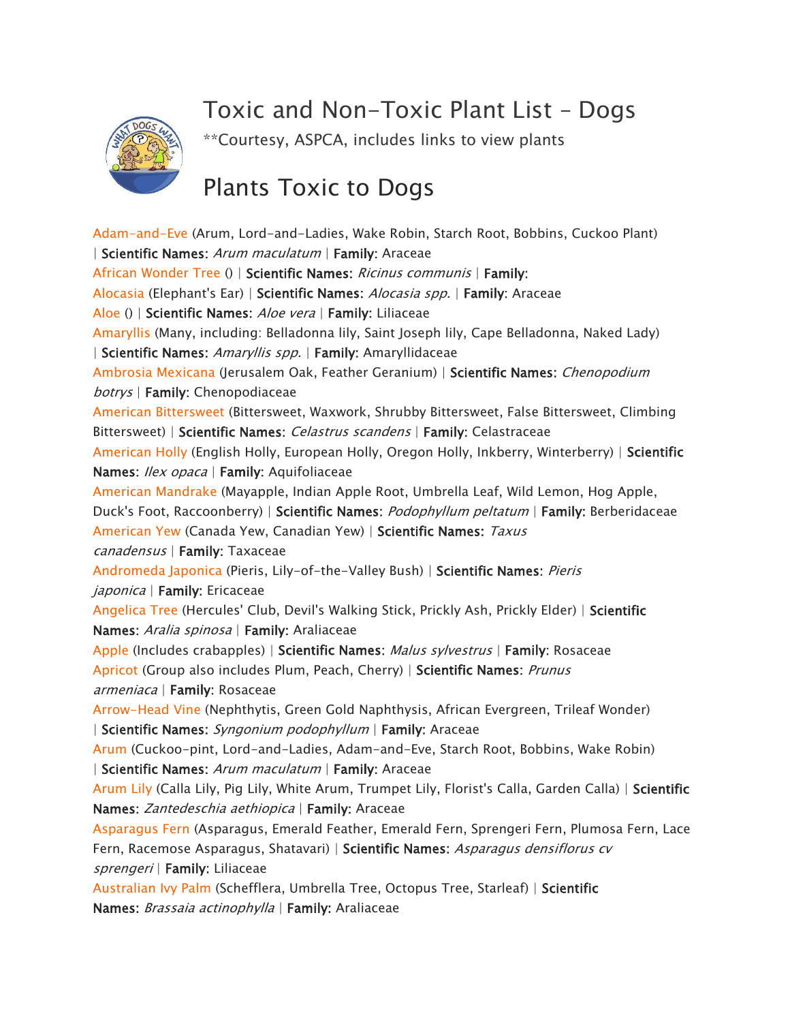## *Toxic and Non-Toxic Plant List* – *Dogs*



*\*\*Courtesy, ASPCA, includes links to view plants* 

## *Plants Toxic to Dogs*

*[Adam-and-Eve](https://www.aspca.org/pet-care/animal-poison-control/toxic-and-non-toxic-plants/adam-and-eve) (Arum, Lord-and-Ladies, Wake Robin, Starch Root, Bobbins, Cuckoo Plant) | Scientific Names: Arum maculatum | Family: Araceae [African Wonder Tree](https://www.aspca.org/pet-care/animal-poison-control/toxic-and-non-toxic-plants/african-wonder-tree) () | Scientific Names: Ricinus communis | Family: [Alocasia](https://www.aspca.org/pet-care/animal-poison-control/toxic-and-non-toxic-plants/alocasia) (Elephant's Ear) | Scientific Names: Alocasia spp. | Family: Araceae [Aloe](https://www.aspca.org/pet-care/animal-poison-control/toxic-and-non-toxic-plants/aloe) () | Scientific Names: Aloe vera | Family: Liliaceae [Amaryllis](https://www.aspca.org/pet-care/animal-poison-control/toxic-and-non-toxic-plants/amaryllis) (Many, including: Belladonna lily, Saint Joseph lily, Cape Belladonna, Naked Lady) | Scientific Names: Amaryllis spp. | Family: Amaryllidaceae [Ambrosia Mexicana](https://www.aspca.org/pet-care/animal-poison-control/toxic-and-non-toxic-plants/ambrosia-mexicana) (Jerusalem Oak, Feather Geranium) | Scientific Names: Chenopodium botrys | Family: Chenopodiaceae [American Bittersweet](https://www.aspca.org/pet-care/animal-poison-control/toxic-and-non-toxic-plants/american-bittersweet) (Bittersweet, Waxwork, Shrubby Bittersweet, False Bittersweet, Climbing Bittersweet) | Scientific Names: Celastrus scandens | Family: Celastraceae [American Holly](https://www.aspca.org/pet-care/animal-poison-control/toxic-and-non-toxic-plants/american-holly) (English Holly, European Holly, Oregon Holly, Inkberry, Winterberry) | Scientific Names: Ilex opaca | Family: Aquifoliaceae [American Mandrake](https://www.aspca.org/pet-care/animal-poison-control/toxic-and-non-toxic-plants/american-mandrake) (Mayapple, Indian Apple Root, Umbrella Leaf, Wild Lemon, Hog Apple, Duck's Foot, Raccoonberry) | Scientific Names: Podophyllum peltatum | Family: Berberidaceae [American Yew](https://www.aspca.org/pet-care/animal-poison-control/toxic-and-non-toxic-plants/american-yew) (Canada Yew, Canadian Yew) | Scientific Names: Taxus canadensus | Family: Taxaceae [Andromeda Japonica](https://www.aspca.org/pet-care/animal-poison-control/toxic-and-non-toxic-plants/andromeda-japonica) (Pieris, Lily-of-the-Valley Bush) | Scientific Names: Pieris japonica | Family: Ericaceae [Angelica Tree](https://www.aspca.org/pet-care/animal-poison-control/toxic-and-non-toxic-plants/angelica-tree) (Hercules' Club, Devil's Walking Stick, Prickly Ash, Prickly Elder) | Scientific Names: Aralia spinosa | Family: Araliaceae [Apple](https://www.aspca.org/pet-care/animal-poison-control/toxic-and-non-toxic-plants/apple) (Includes crabapples) | Scientific Names: Malus sylvestrus | Family: Rosaceae [Apricot](https://www.aspca.org/pet-care/animal-poison-control/toxic-and-non-toxic-plants/apricot) (Group also includes Plum, Peach, Cherry) | Scientific Names: Prunus armeniaca | Family: Rosaceae [Arrow-Head Vine](https://www.aspca.org/pet-care/animal-poison-control/toxic-and-non-toxic-plants/arrow-head-vine) (Nephthytis, Green Gold Naphthysis, African Evergreen, Trileaf Wonder) | Scientific Names: Syngonium podophyllum | Family: Araceae [Arum](https://www.aspca.org/pet-care/animal-poison-control/toxic-and-non-toxic-plants/arum) (Cuckoo-pint, Lord-and-Ladies, Adam-and-Eve, Starch Root, Bobbins, Wake Robin) | Scientific Names: Arum maculatum | Family: Araceae [Arum Lily](https://www.aspca.org/pet-care/animal-poison-control/toxic-and-non-toxic-plants/arum-lily) (Calla Lily, Pig Lily, White Arum, Trumpet Lily, Florist's Calla, Garden Calla) | Scientific Names: Zantedeschia aethiopica | Family: Araceae [Asparagus Fern](https://www.aspca.org/pet-care/animal-poison-control/toxic-and-non-toxic-plants/asparagus-fern) (Asparagus, Emerald Feather, Emerald Fern, Sprengeri Fern, Plumosa Fern, Lace Fern, Racemose Asparagus, Shatavari) | Scientific Names: Asparagus densiflorus cv sprengeri | Family: Liliaceae [Australian Ivy Palm](https://www.aspca.org/pet-care/animal-poison-control/toxic-and-non-toxic-plants/australian-ivy-palm) (Schefflera, Umbrella Tree, Octopus Tree, Starleaf) | Scientific Names: Brassaia actinophylla | Family: Araliaceae*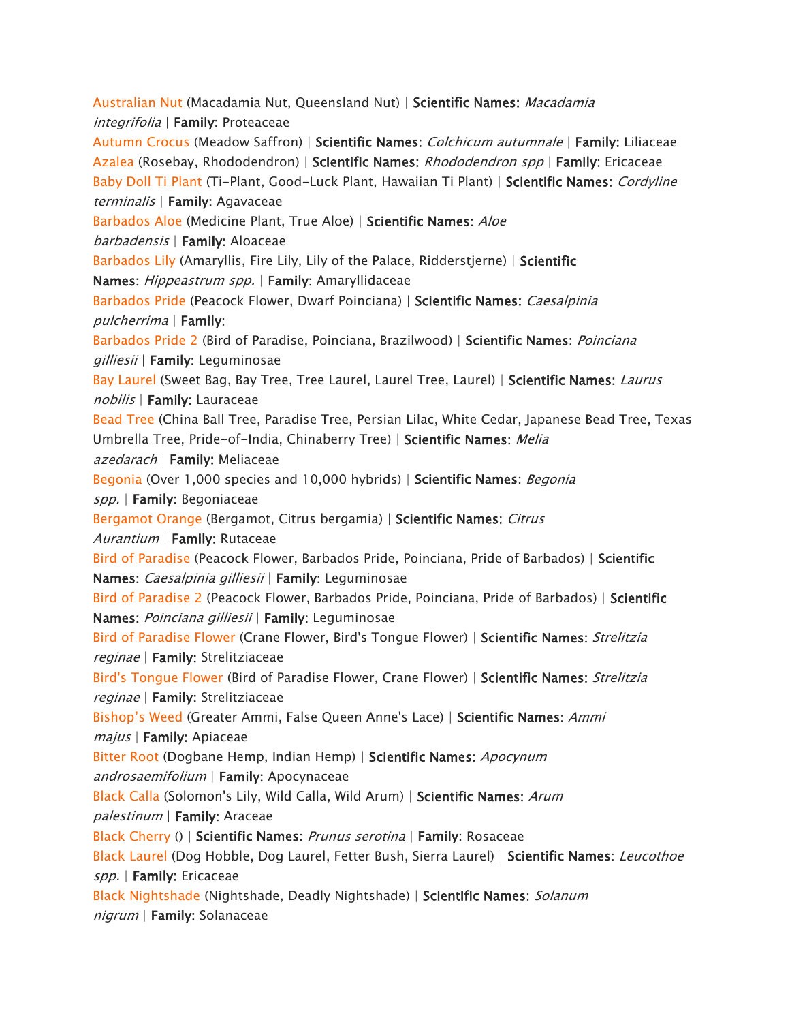*[Australian Nut](https://www.aspca.org/pet-care/animal-poison-control/toxic-and-non-toxic-plants/australian-nut) (Macadamia Nut, Queensland Nut) | Scientific Names: Macadamia integrifolia | Family: Proteaceae [Autumn Crocus](https://www.aspca.org/pet-care/animal-poison-control/toxic-and-non-toxic-plants/autumn-crocus) (Meadow Saffron) | Scientific Names: Colchicum autumnale | Family: Liliaceae [Azalea](https://www.aspca.org/pet-care/animal-poison-control/toxic-and-non-toxic-plants/azalea) (Rosebay, Rhododendron) | Scientific Names: Rhododendron spp | Family: Ericaceae [Baby Doll Ti Plant](https://www.aspca.org/pet-care/animal-poison-control/toxic-and-non-toxic-plants/baby-doll-ti-plant) (Ti-Plant, Good-Luck Plant, Hawaiian Ti Plant) | Scientific Names: Cordyline terminalis | Family: Agavaceae [Barbados Aloe](https://www.aspca.org/pet-care/animal-poison-control/toxic-and-non-toxic-plants/barbados-aloe) (Medicine Plant, True Aloe) | Scientific Names: Aloe barbadensis | Family: Aloaceae [Barbados Lily](https://www.aspca.org/pet-care/animal-poison-control/toxic-and-non-toxic-plants/barbados-lily) (Amaryllis, Fire Lily, Lily of the Palace, Ridderstjerne) | Scientific Names: Hippeastrum spp. | Family: Amaryllidaceae [Barbados Pride](https://www.aspca.org/pet-care/animal-poison-control/toxic-and-non-toxic-plants/barbados-pride) (Peacock Flower, Dwarf Poinciana) | Scientific Names: Caesalpinia pulcherrima | Family: [Barbados Pride 2](https://www.aspca.org/pet-care/animal-poison-control/toxic-and-non-toxic-plants/barbados-pride-2) (Bird of Paradise, Poinciana, Brazilwood) | Scientific Names: Poinciana gilliesii | Family: Leguminosae [Bay Laurel](https://www.aspca.org/pet-care/animal-poison-control/toxic-and-non-toxic-plants/bay-laurel) (Sweet Bag, Bay Tree, Tree Laurel, Laurel Tree, Laurel) | Scientific Names: Laurus nobilis | Family: Lauraceae [Bead Tree](https://www.aspca.org/pet-care/animal-poison-control/toxic-and-non-toxic-plants/bead-tree) (China Ball Tree, Paradise Tree, Persian Lilac, White Cedar, Japanese Bead Tree, Texas Umbrella Tree, Pride-of-India, Chinaberry Tree) | Scientific Names: Melia azedarach | Family: Meliaceae [Begonia](https://www.aspca.org/pet-care/animal-poison-control/toxic-and-non-toxic-plants/begonia) (Over 1,000 species and 10,000 hybrids) | Scientific Names: Begonia spp. | Family: Begoniaceae [Bergamot Orange](https://www.aspca.org/pet-care/animal-poison-control/toxic-and-non-toxic-plants/bergamot-orange) (Bergamot, Citrus bergamia) | Scientific Names: Citrus Aurantium | Family: Rutaceae [Bird of Paradise](https://www.aspca.org/pet-care/animal-poison-control/toxic-and-non-toxic-plants/bird-paradise) (Peacock Flower, Barbados Pride, Poinciana, Pride of Barbados) | Scientific Names: Caesalpinia gilliesii | Family: Leguminosae [Bird of Paradise 2](https://www.aspca.org/pet-care/animal-poison-control/toxic-and-non-toxic-plants/bird-paradise-2) (Peacock Flower, Barbados Pride, Poinciana, Pride of Barbados) | Scientific Names: Poinciana gilliesii | Family: Leguminosae [Bird of Paradise Flower](https://www.aspca.org/pet-care/animal-poison-control/toxic-and-non-toxic-plants/bird-paradise-flower) (Crane Flower, Bird's Tongue Flower) | Scientific Names: Strelitzia reginae | Family: Strelitziaceae [Bird's Tongue Flower](https://www.aspca.org/pet-care/animal-poison-control/toxic-and-non-toxic-plants/birds-tongue-flower) (Bird of Paradise Flower, Crane Flower) | Scientific Names: Strelitzia reginae | Family: Strelitziaceae*  [Bishop's Weed](https://www.aspca.org/pet-care/animal-poison-control/toxic-and-non-toxic-plants/bishops-weed) *(Greater Ammi, False Queen Anne's Lace) | Scientific Names: Ammi majus | Family: Apiaceae [Bitter Root](https://www.aspca.org/pet-care/animal-poison-control/toxic-and-non-toxic-plants/bitter-root) (Dogbane Hemp, Indian Hemp) | Scientific Names: Apocynum androsaemifolium | Family: Apocynaceae [Black Calla](https://www.aspca.org/pet-care/animal-poison-control/toxic-and-non-toxic-plants/black-calla) (Solomon's Lily, Wild Calla, Wild Arum) | Scientific Names: Arum palestinum | Family: Araceae [Black Cherry](https://www.aspca.org/pet-care/animal-poison-control/toxic-and-non-toxic-plants/black-cherry) () | Scientific Names: Prunus serotina | Family: Rosaceae [Black Laurel](https://www.aspca.org/pet-care/animal-poison-control/toxic-and-non-toxic-plants/black-laurel) (Dog Hobble, Dog Laurel, Fetter Bush, Sierra Laurel) | Scientific Names: Leucothoe spp. | Family: Ericaceae [Black Nightshade](https://www.aspca.org/pet-care/animal-poison-control/toxic-and-non-toxic-plants/black-nightshade) (Nightshade, Deadly Nightshade) | Scientific Names: Solanum nigrum | Family: Solanaceae*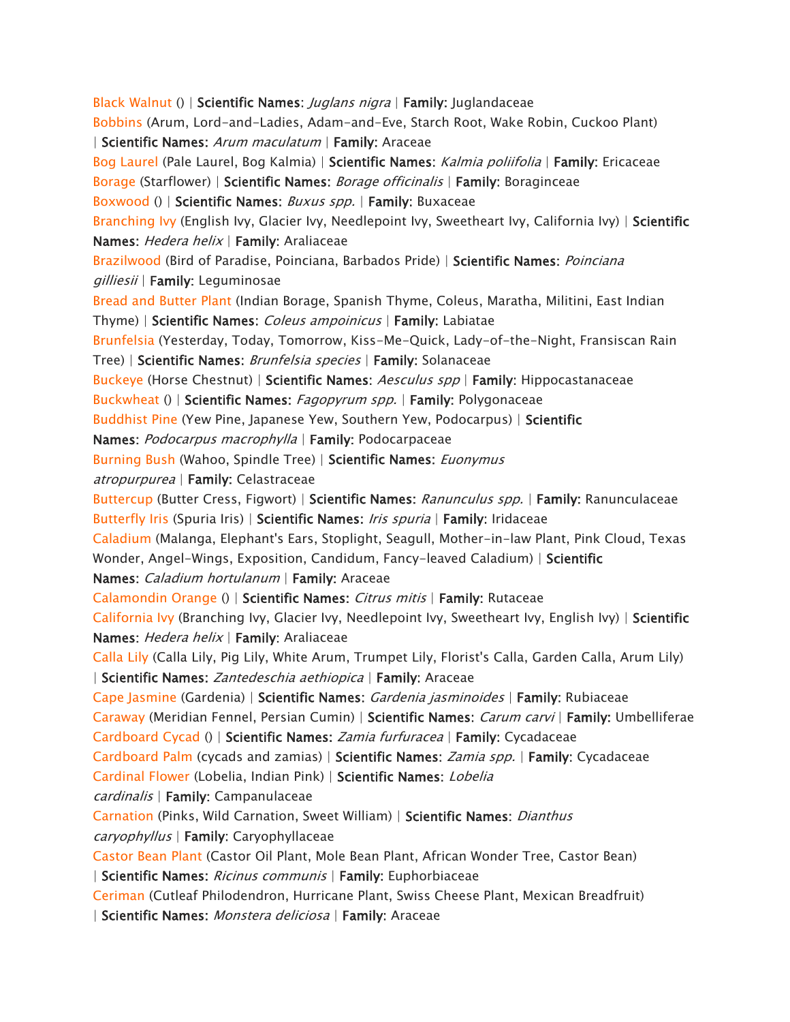*[Black Walnut](https://www.aspca.org/pet-care/animal-poison-control/toxic-and-non-toxic-plants/black-walnut) () | Scientific Names: Juglans nigra | Family: Juglandaceae [Bobbins](https://www.aspca.org/pet-care/animal-poison-control/toxic-and-non-toxic-plants/bobbins) (Arum, Lord-and-Ladies, Adam-and-Eve, Starch Root, Wake Robin, Cuckoo Plant) | Scientific Names: Arum maculatum | Family: Araceae [Bog Laurel](https://www.aspca.org/pet-care/animal-poison-control/toxic-and-non-toxic-plants/bog-laurel) (Pale Laurel, Bog Kalmia) | Scientific Names: Kalmia poliifolia | Family: Ericaceae [Borage](https://www.aspca.org/pet-care/animal-poison-control/toxic-and-non-toxic-plants/borage) (Starflower) | Scientific Names: Borage officinalis | Family: Boraginceae [Boxwood](https://www.aspca.org/pet-care/animal-poison-control/toxic-and-non-toxic-plants/boxwood) () | Scientific Names: Buxus spp. | Family: Buxaceae [Branching Ivy](https://www.aspca.org/pet-care/animal-poison-control/toxic-and-non-toxic-plants/branching-ivy) (English Ivy, Glacier Ivy, Needlepoint Ivy, Sweetheart Ivy, California Ivy) | Scientific Names: Hedera helix | Family: Araliaceae [Brazilwood](https://www.aspca.org/pet-care/animal-poison-control/toxic-and-non-toxic-plants/brazilwood) (Bird of Paradise, Poinciana, Barbados Pride) | Scientific Names: Poinciana gilliesii | Family: Leguminosae [Bread and Butter Plant](https://www.aspca.org/pet-care/animal-poison-control/toxic-and-non-toxic-plants/bread-and-butter-plant) (Indian Borage, Spanish Thyme, Coleus, Maratha, Militini, East Indian Thyme) | Scientific Names: Coleus ampoinicus | Family: Labiatae [Brunfelsia](https://www.aspca.org/pet-care/animal-poison-control/toxic-and-non-toxic-plants/brunfelsia) (Yesterday, Today, Tomorrow, Kiss-Me-Quick, Lady-of-the-Night, Fransiscan Rain Tree) | Scientific Names: Brunfelsia species | Family: Solanaceae [Buckeye](https://www.aspca.org/pet-care/animal-poison-control/toxic-and-non-toxic-plants/buckeye) (Horse Chestnut) | Scientific Names: Aesculus spp | Family: Hippocastanaceae [Buckwheat](https://www.aspca.org/pet-care/animal-poison-control/toxic-and-non-toxic-plants/buckwheat) () | Scientific Names: Fagopyrum spp. | Family: Polygonaceae [Buddhist Pine](https://www.aspca.org/pet-care/animal-poison-control/toxic-and-non-toxic-plants/buddhist-pine) (Yew Pine, Japanese Yew, Southern Yew, Podocarpus) | Scientific Names: Podocarpus macrophylla | Family: Podocarpaceae [Burning Bush](https://www.aspca.org/pet-care/animal-poison-control/toxic-and-non-toxic-plants/burning-bush) (Wahoo, Spindle Tree) | Scientific Names: Euonymus atropurpurea | Family: Celastraceae [Buttercup](https://www.aspca.org/pet-care/animal-poison-control/toxic-and-non-toxic-plants/buttercup) (Butter Cress, Figwort) | Scientific Names: Ranunculus spp. | Family: Ranunculaceae [Butterfly Iris](https://www.aspca.org/pet-care/animal-poison-control/toxic-and-non-toxic-plants/butterfly-iris) (Spuria Iris) | Scientific Names: Iris spuria | Family: Iridaceae [Caladium](https://www.aspca.org/pet-care/animal-poison-control/toxic-and-non-toxic-plants/caladium) (Malanga, Elephant's Ears, Stoplight, Seagull, Mother-in-law Plant, Pink Cloud, Texas Wonder, Angel-Wings, Exposition, Candidum, Fancy-leaved Caladium) | Scientific Names: Caladium hortulanum | Family: Araceae [Calamondin Orange](https://www.aspca.org/pet-care/animal-poison-control/toxic-and-non-toxic-plants/calamondin-orange) () | Scientific Names: Citrus mitis | Family: Rutaceae [California Ivy](https://www.aspca.org/pet-care/animal-poison-control/toxic-and-non-toxic-plants/california-ivy) (Branching Ivy, Glacier Ivy, Needlepoint Ivy, Sweetheart Ivy, English Ivy) | Scientific Names: Hedera helix | Family: Araliaceae [Calla Lily](https://www.aspca.org/pet-care/animal-poison-control/toxic-and-non-toxic-plants/calla-lily) (Calla Lily, Pig Lily, White Arum, Trumpet Lily, Florist's Calla, Garden Calla, Arum Lily) | Scientific Names: Zantedeschia aethiopica | Family: Araceae [Cape Jasmine](https://www.aspca.org/pet-care/animal-poison-control/toxic-and-non-toxic-plants/cape-jasmine) (Gardenia) | Scientific Names: Gardenia jasminoides | Family: Rubiaceae [Caraway](https://www.aspca.org/pet-care/animal-poison-control/toxic-and-non-toxic-plants/caraway) (Meridian Fennel, Persian Cumin) | Scientific Names: Carum carvi | Family: Umbelliferae [Cardboard Cycad](https://www.aspca.org/pet-care/animal-poison-control/toxic-and-non-toxic-plants/cardboard-cycad) () | Scientific Names: Zamia furfuracea | Family: Cycadaceae [Cardboard Palm](https://www.aspca.org/pet-care/animal-poison-control/toxic-and-non-toxic-plants/cardboard-palm) (cycads and zamias) | Scientific Names: Zamia spp. | Family: Cycadaceae [Cardinal Flower](https://www.aspca.org/pet-care/animal-poison-control/toxic-and-non-toxic-plants/cardinal-flower) (Lobelia, Indian Pink) | Scientific Names: Lobelia cardinalis | Family: Campanulaceae [Carnation](https://www.aspca.org/pet-care/animal-poison-control/toxic-and-non-toxic-plants/carnation) (Pinks, Wild Carnation, Sweet William) | Scientific Names: Dianthus caryophyllus | Family: Caryophyllaceae [Castor Bean Plant](https://www.aspca.org/pet-care/animal-poison-control/toxic-and-non-toxic-plants/castor-bean-plant) (Castor Oil Plant, Mole Bean Plant, African Wonder Tree, Castor Bean) | Scientific Names: Ricinus communis | Family: Euphorbiaceae [Ceriman](https://www.aspca.org/pet-care/animal-poison-control/toxic-and-non-toxic-plants/ceriman) (Cutleaf Philodendron, Hurricane Plant, Swiss Cheese Plant, Mexican Breadfruit) | Scientific Names: Monstera deliciosa | Family: Araceae*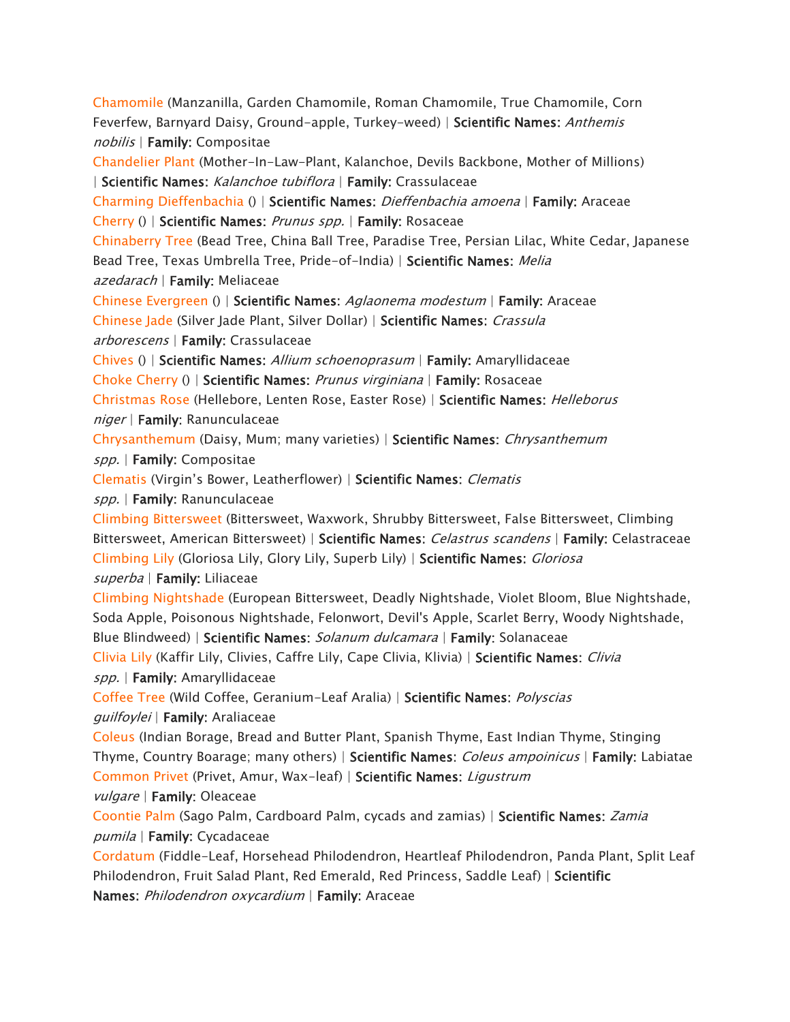*[Chamomile](https://www.aspca.org/pet-care/animal-poison-control/toxic-and-non-toxic-plants/chamomile) (Manzanilla, Garden Chamomile, Roman Chamomile, True Chamomile, Corn Feverfew, Barnyard Daisy, Ground-apple, Turkey-weed) | Scientific Names: Anthemis nobilis | Family: Compositae* 

*[Chandelier Plant](https://www.aspca.org/pet-care/animal-poison-control/toxic-and-non-toxic-plants/chandelier-plant) (Mother-In-Law-Plant, Kalanchoe, Devils Backbone, Mother of Millions) | Scientific Names: Kalanchoe tubiflora | Family: Crassulaceae* 

*[Charming Dieffenbachia](https://www.aspca.org/pet-care/animal-poison-control/toxic-and-non-toxic-plants/charming-dieffenbachia) () | Scientific Names: Dieffenbachia amoena | Family: Araceae [Cherry](https://www.aspca.org/pet-care/animal-poison-control/toxic-and-non-toxic-plants/cherry) () | Scientific Names: Prunus spp. | Family: Rosaceae* 

*[Chinaberry Tree](https://www.aspca.org/pet-care/animal-poison-control/toxic-and-non-toxic-plants/chinaberry-tree) (Bead Tree, China Ball Tree, Paradise Tree, Persian Lilac, White Cedar, Japanese Bead Tree, Texas Umbrella Tree, Pride-of-India) | Scientific Names: Melia* 

*azedarach | Family: Meliaceae* 

*[Chinese Evergreen](https://www.aspca.org/pet-care/animal-poison-control/toxic-and-non-toxic-plants/chinese-evergreen) () | Scientific Names: Aglaonema modestum | Family: Araceae [Chinese Jade](https://www.aspca.org/pet-care/animal-poison-control/toxic-and-non-toxic-plants/chinese-jade) (Silver Jade Plant, Silver Dollar) | Scientific Names: Crassula* 

*arborescens | Family: Crassulaceae* 

*[Chives](https://www.aspca.org/pet-care/animal-poison-control/toxic-and-non-toxic-plants/chives) () | Scientific Names: Allium schoenoprasum | Family: Amaryllidaceae* 

*[Choke Cherry](https://www.aspca.org/pet-care/animal-poison-control/toxic-and-non-toxic-plants/choke-cherry) () | Scientific Names: Prunus virginiana | Family: Rosaceae* 

*[Christmas Rose](https://www.aspca.org/pet-care/animal-poison-control/toxic-and-non-toxic-plants/christmas-rose) (Hellebore, Lenten Rose, Easter Rose) | Scientific Names: Helleborus niger | Family: Ranunculaceae* 

*[Chrysanthemum](https://www.aspca.org/pet-care/animal-poison-control/toxic-and-non-toxic-plants/chrysanthemum) (Daisy, Mum; many varieties) | Scientific Names: Chrysanthemum spp. | Family: Compositae* 

*[Clematis](https://www.aspca.org/pet-care/animal-poison-control/toxic-and-non-toxic-plants/clematis)* (Virgin's Bower, Leatherflower) | *Scientific Names: Clematis* 

*spp. | Family: Ranunculaceae* 

*[Climbing Bittersweet](https://www.aspca.org/pet-care/animal-poison-control/toxic-and-non-toxic-plants/climbing-bittersweet) (Bittersweet, Waxwork, Shrubby Bittersweet, False Bittersweet, Climbing Bittersweet, American Bittersweet) | Scientific Names: Celastrus scandens | Family: Celastraceae [Climbing Lily](https://www.aspca.org/pet-care/animal-poison-control/toxic-and-non-toxic-plants/climbing-lily) (Gloriosa Lily, Glory Lily, Superb Lily) | Scientific Names: Gloriosa superba | Family: Liliaceae* 

*[Climbing Nightshade](https://www.aspca.org/pet-care/animal-poison-control/toxic-and-non-toxic-plants/climbing-nightshade) (European Bittersweet, Deadly Nightshade, Violet Bloom, Blue Nightshade, Soda Apple, Poisonous Nightshade, Felonwort, Devil's Apple, Scarlet Berry, Woody Nightshade,* 

*Blue Blindweed) | Scientific Names: Solanum dulcamara | Family: Solanaceae* 

*[Clivia Lily](https://www.aspca.org/pet-care/animal-poison-control/toxic-and-non-toxic-plants/clivia-lily) (Kaffir Lily, Clivies, Caffre Lily, Cape Clivia, Klivia) | Scientific Names: Clivia* 

*spp. | Family: Amaryllidaceae* 

*[Coffee Tree](https://www.aspca.org/pet-care/animal-poison-control/toxic-and-non-toxic-plants/coffee-tree) (Wild Coffee, Geranium-Leaf Aralia) | Scientific Names: Polyscias guilfoylei | Family: Araliaceae* 

*[Coleus](https://www.aspca.org/pet-care/animal-poison-control/toxic-and-non-toxic-plants/coleus) (Indian Borage, Bread and Butter Plant, Spanish Thyme, East Indian Thyme, Stinging Thyme, Country Boarage; many others) | Scientific Names: Coleus ampoinicus | Family: Labiatae [Common Privet](https://www.aspca.org/pet-care/animal-poison-control/toxic-and-non-toxic-plants/common-privet) (Privet, Amur, Wax-leaf) | Scientific Names: Ligustrum* 

*vulgare | Family: Oleaceae* 

*[Coontie Palm](https://www.aspca.org/pet-care/animal-poison-control/toxic-and-non-toxic-plants/coontie-palm) (Sago Palm, Cardboard Palm, cycads and zamias) | Scientific Names: Zamia pumila | Family: Cycadaceae* 

*[Cordatum](https://www.aspca.org/pet-care/animal-poison-control/toxic-and-non-toxic-plants/cordatum) (Fiddle-Leaf, Horsehead Philodendron, Heartleaf Philodendron, Panda Plant, Split Leaf Philodendron, Fruit Salad Plant, Red Emerald, Red Princess, Saddle Leaf) | Scientific Names: Philodendron oxycardium | Family: Araceae*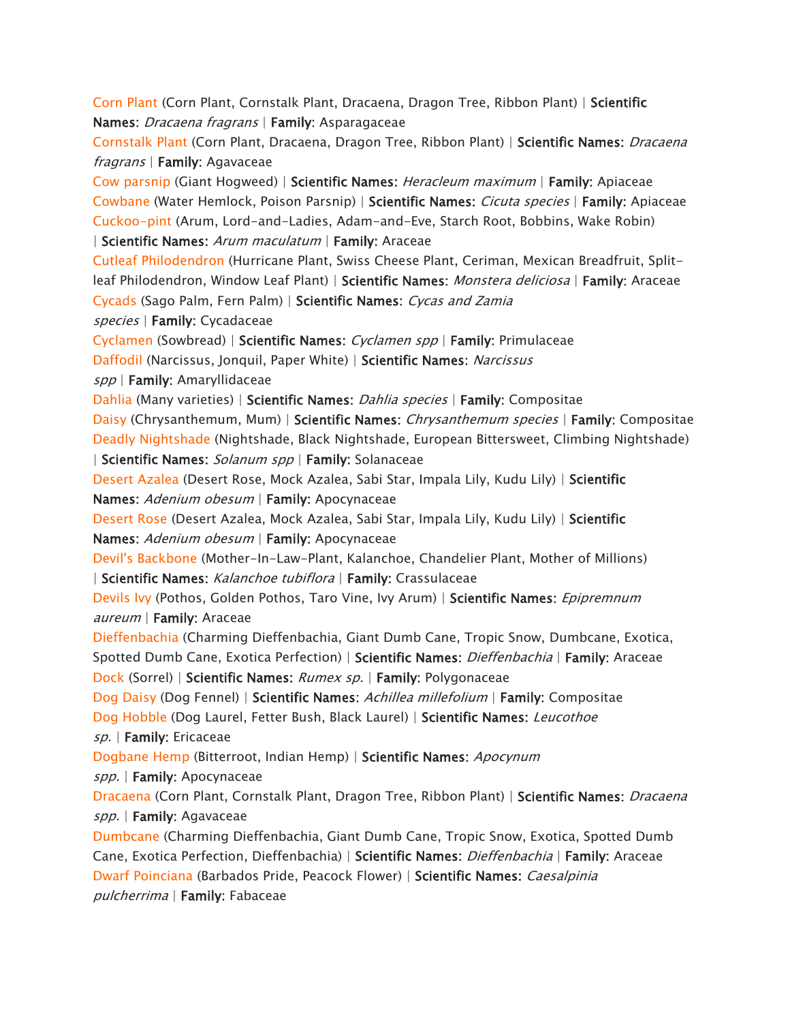*[Corn Plant](https://www.aspca.org/pet-care/animal-poison-control/toxic-and-non-toxic-plants/corn-plant) (Corn Plant, Cornstalk Plant, Dracaena, Dragon Tree, Ribbon Plant) | Scientific Names: Dracaena fragrans | Family: Asparagaceae* 

*[Cornstalk Plant](https://www.aspca.org/pet-care/animal-poison-control/toxic-and-non-toxic-plants/cornstalk-plant) (Corn Plant, Dracaena, Dragon Tree, Ribbon Plant) | Scientific Names: Dracaena fragrans | Family: Agavaceae* 

*[Cow parsnip](https://www.aspca.org/pet-care/animal-poison-control/toxic-and-non-toxic-plants/cow-parsnip) (Giant Hogweed) | Scientific Names: Heracleum maximum | Family: Apiaceae [Cowbane](https://www.aspca.org/pet-care/animal-poison-control/toxic-and-non-toxic-plants/cowbane) (Water Hemlock, Poison Parsnip) | Scientific Names: Cicuta species | Family: Apiaceae [Cuckoo-pint](https://www.aspca.org/pet-care/animal-poison-control/toxic-and-non-toxic-plants/cuckoo-pint) (Arum, Lord-and-Ladies, Adam-and-Eve, Starch Root, Bobbins, Wake Robin) | Scientific Names: Arum maculatum | Family: Araceae* 

*[Cutleaf Philodendron](https://www.aspca.org/pet-care/animal-poison-control/toxic-and-non-toxic-plants/cutleaf-philodendron) (Hurricane Plant, Swiss Cheese Plant, Ceriman, Mexican Breadfruit, Splitleaf Philodendron, Window Leaf Plant) | Scientific Names: Monstera deliciosa | Family: Araceae [Cycads](https://www.aspca.org/pet-care/animal-poison-control/toxic-and-non-toxic-plants/cycads) (Sago Palm, Fern Palm) | Scientific Names: Cycas and Zamia species | Family: Cycadaceae* 

*[Cyclamen](https://www.aspca.org/pet-care/animal-poison-control/toxic-and-non-toxic-plants/cyclamen) (Sowbread) | Scientific Names: Cyclamen spp | Family: Primulaceae* 

*[Daffodil](https://www.aspca.org/pet-care/animal-poison-control/toxic-and-non-toxic-plants/daffodil) (Narcissus, Jonquil, Paper White) | Scientific Names: Narcissus* 

*spp | Family: Amaryllidaceae* 

*[Dahlia](https://www.aspca.org/pet-care/animal-poison-control/toxic-and-non-toxic-plants/dahlia) (Many varieties) | Scientific Names: Dahlia species | Family: Compositae [Daisy](https://www.aspca.org/pet-care/animal-poison-control/toxic-and-non-toxic-plants/daisy) (Chrysanthemum, Mum) | Scientific Names: Chrysanthemum species | Family: Compositae [Deadly Nightshade](https://www.aspca.org/pet-care/animal-poison-control/toxic-and-non-toxic-plants/deadly-nightshade) (Nightshade, Black Nightshade, European Bittersweet, Climbing Nightshade) | Scientific Names: Solanum spp | Family: Solanaceae* 

*[Desert Azalea](https://www.aspca.org/pet-care/animal-poison-control/toxic-and-non-toxic-plants/desert-azalea) (Desert Rose, Mock Azalea, Sabi Star, Impala Lily, Kudu Lily) | Scientific Names: Adenium obesum | Family: Apocynaceae* 

*[Desert Rose](https://www.aspca.org/pet-care/animal-poison-control/toxic-and-non-toxic-plants/desert-rose) (Desert Azalea, Mock Azalea, Sabi Star, Impala Lily, Kudu Lily) | Scientific Names: Adenium obesum | Family: Apocynaceae* 

*[Devil's Backbone](https://www.aspca.org/pet-care/animal-poison-control/toxic-and-non-toxic-plants/devils-backbone) (Mother-In-Law-Plant, Kalanchoe, Chandelier Plant, Mother of Millions) | Scientific Names: Kalanchoe tubiflora | Family: Crassulaceae* 

*[Devils Ivy](https://www.aspca.org/pet-care/animal-poison-control/toxic-and-non-toxic-plants/devils-ivy) (Pothos, Golden Pothos, Taro Vine, Ivy Arum) | Scientific Names: Epipremnum aureum | Family: Araceae* 

*[Dieffenbachia](https://www.aspca.org/pet-care/animal-poison-control/toxic-and-non-toxic-plants/dieffenbachia) (Charming Dieffenbachia, Giant Dumb Cane, Tropic Snow, Dumbcane, Exotica, Spotted Dumb Cane, Exotica Perfection) | Scientific Names: Dieffenbachia | Family: Araceae*

*[Dock](https://www.aspca.org/pet-care/animal-poison-control/toxic-and-non-toxic-plants/dock) (Sorrel) | Scientific Names: Rumex sp. | Family: Polygonaceae* 

*[Dog Daisy](https://www.aspca.org/pet-care/animal-poison-control/toxic-and-non-toxic-plants/dog-daisy) (Dog Fennel) | Scientific Names: Achillea millefolium | Family: Compositae* 

*[Dog Hobble](https://www.aspca.org/pet-care/animal-poison-control/toxic-and-non-toxic-plants/dog-hobble) (Dog Laurel, Fetter Bush, Black Laurel) | Scientific Names: Leucothoe* 

*sp. | Family: Ericaceae* 

*[Dogbane Hemp](https://www.aspca.org/pet-care/animal-poison-control/toxic-and-non-toxic-plants/dogbane-hemp) (Bitterroot, Indian Hemp) | Scientific Names: Apocynum* 

*spp. | Family: Apocynaceae* 

*[Dracaena](https://www.aspca.org/pet-care/animal-poison-control/toxic-and-non-toxic-plants/dracaena) (Corn Plant, Cornstalk Plant, Dragon Tree, Ribbon Plant) | Scientific Names: Dracaena spp. | Family: Agavaceae* 

*[Dumbcane](https://www.aspca.org/pet-care/animal-poison-control/toxic-and-non-toxic-plants/dumbcane) (Charming Dieffenbachia, Giant Dumb Cane, Tropic Snow, Exotica, Spotted Dumb Cane, Exotica Perfection, Dieffenbachia) | Scientific Names: Dieffenbachia | Family: Araceae [Dwarf Poinciana](https://www.aspca.org/pet-care/animal-poison-control/toxic-and-non-toxic-plants/dwarf-poinciana) (Barbados Pride, Peacock Flower) | Scientific Names: Caesalpinia pulcherrima | Family: Fabaceae*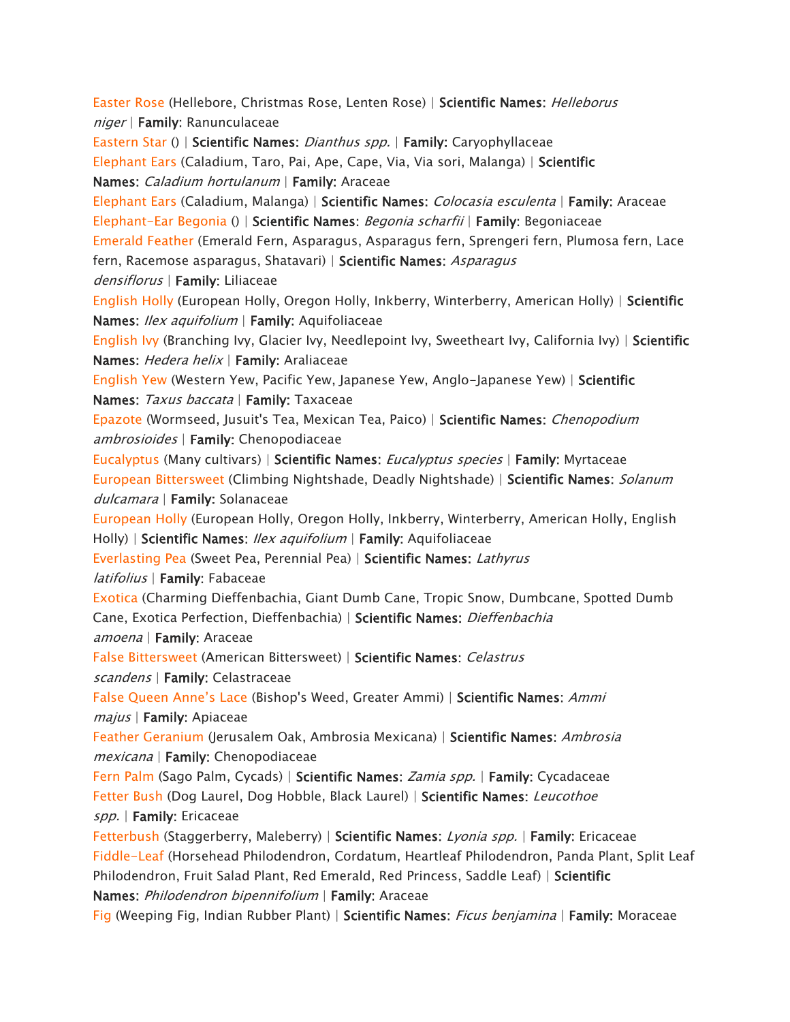*[Easter Rose](https://www.aspca.org/pet-care/animal-poison-control/toxic-and-non-toxic-plants/easter-rose) (Hellebore, Christmas Rose, Lenten Rose) | Scientific Names: Helleborus niger | Family: Ranunculaceae [Eastern Star](https://www.aspca.org/pet-care/animal-poison-control/toxic-and-non-toxic-plants/eastern-star) () | Scientific Names: Dianthus spp. | Family: Caryophyllaceae [Elephant Ears](https://www.aspca.org/pet-care/animal-poison-control/toxic-and-non-toxic-plants/elephant-ears) (Caladium, Taro, Pai, Ape, Cape, Via, Via sori, Malanga) | Scientific Names: Caladium hortulanum | Family: Araceae [Elephant Ears](https://www.aspca.org/pet-care/animal-poison-control/toxic-and-non-toxic-plants/elephant-ears-0) (Caladium, Malanga) | Scientific Names: Colocasia esculenta | Family: Araceae [Elephant-Ear Begonia](https://www.aspca.org/pet-care/animal-poison-control/toxic-and-non-toxic-plants/elephant-ear-begonia) () | Scientific Names: Begonia scharfii | Family: Begoniaceae [Emerald Feather](https://www.aspca.org/pet-care/animal-poison-control/toxic-and-non-toxic-plants/emerald-feather) (Emerald Fern, Asparagus, Asparagus fern, Sprengeri fern, Plumosa fern, Lace fern, Racemose asparagus, Shatavari) | Scientific Names: Asparagus densiflorus | Family: Liliaceae [English Holly](https://www.aspca.org/pet-care/animal-poison-control/toxic-and-non-toxic-plants/english-holly) (European Holly, Oregon Holly, Inkberry, Winterberry, American Holly) | Scientific Names: Ilex aquifolium | Family: Aquifoliaceae [English Ivy](https://www.aspca.org/pet-care/animal-poison-control/toxic-and-non-toxic-plants/english-ivy) (Branching Ivy, Glacier Ivy, Needlepoint Ivy, Sweetheart Ivy, California Ivy) | Scientific Names: Hedera helix | Family: Araliaceae [English Yew](https://www.aspca.org/pet-care/animal-poison-control/toxic-and-non-toxic-plants/english-yew) (Western Yew, Pacific Yew, Japanese Yew, Anglo-Japanese Yew) | Scientific Names: Taxus baccata | Family: Taxaceae [Epazote](https://www.aspca.org/pet-care/animal-poison-control/toxic-and-non-toxic-plants/epazote) (Wormseed, Jusuit's Tea, Mexican Tea, Paico) | Scientific Names: Chenopodium ambrosioides | Family: Chenopodiaceae [Eucalyptus](https://www.aspca.org/pet-care/animal-poison-control/toxic-and-non-toxic-plants/eucalyptus) (Many cultivars) | Scientific Names: Eucalyptus species | Family: Myrtaceae [European Bittersweet](https://www.aspca.org/pet-care/animal-poison-control/toxic-and-non-toxic-plants/european-bittersweet) (Climbing Nightshade, Deadly Nightshade) | Scientific Names: Solanum dulcamara | Family: Solanaceae [European Holly](https://www.aspca.org/pet-care/animal-poison-control/toxic-and-non-toxic-plants/european-holly) (European Holly, Oregon Holly, Inkberry, Winterberry, American Holly, English Holly) | Scientific Names: Ilex aquifolium | Family: Aquifoliaceae [Everlasting Pea](https://www.aspca.org/pet-care/animal-poison-control/toxic-and-non-toxic-plants/everlasting-pea) (Sweet Pea, Perennial Pea) | Scientific Names: Lathyrus latifolius | Family: Fabaceae [Exotica](https://www.aspca.org/pet-care/animal-poison-control/toxic-and-non-toxic-plants/exotica) (Charming Dieffenbachia, Giant Dumb Cane, Tropic Snow, Dumbcane, Spotted Dumb Cane, Exotica Perfection, Dieffenbachia) | Scientific Names: Dieffenbachia amoena | Family: Araceae [False Bittersweet](https://www.aspca.org/pet-care/animal-poison-control/toxic-and-non-toxic-plants/false-bittersweet) (American Bittersweet) | Scientific Names: Celastrus scandens | Family: Celastraceae*  [False Queen Anne's Lace](https://www.aspca.org/pet-care/animal-poison-control/toxic-and-non-toxic-plants/false-queen-annes-lace) *(Bishop's Weed, Greater Ammi) | Scientific Names: Ammi majus | Family: Apiaceae [Feather Geranium](https://www.aspca.org/pet-care/animal-poison-control/toxic-and-non-toxic-plants/feather-geranium) (Jerusalem Oak, Ambrosia Mexicana) | Scientific Names: Ambrosia mexicana | Family: Chenopodiaceae [Fern Palm](https://www.aspca.org/pet-care/animal-poison-control/toxic-and-non-toxic-plants/fern-palm) (Sago Palm, Cycads) | Scientific Names: Zamia spp. | Family: Cycadaceae [Fetter Bush](https://www.aspca.org/pet-care/animal-poison-control/toxic-and-non-toxic-plants/fetter-bush) (Dog Laurel, Dog Hobble, Black Laurel) | Scientific Names: Leucothoe spp. | Family: Ericaceae [Fetterbush](https://www.aspca.org/pet-care/animal-poison-control/toxic-and-non-toxic-plants/fetterbush) (Staggerberry, Maleberry) | Scientific Names: Lyonia spp. | Family: Ericaceae [Fiddle-Leaf](https://www.aspca.org/pet-care/animal-poison-control/toxic-and-non-toxic-plants/fiddle-leaf) (Horsehead Philodendron, Cordatum, Heartleaf Philodendron, Panda Plant, Split Leaf Philodendron, Fruit Salad Plant, Red Emerald, Red Princess, Saddle Leaf) | Scientific Names: Philodendron bipennifolium | Family: Araceae* 

*[Fig](https://www.aspca.org/pet-care/animal-poison-control/toxic-and-non-toxic-plants/fig) (Weeping Fig, Indian Rubber Plant) | Scientific Names: Ficus benjamina | Family: Moraceae*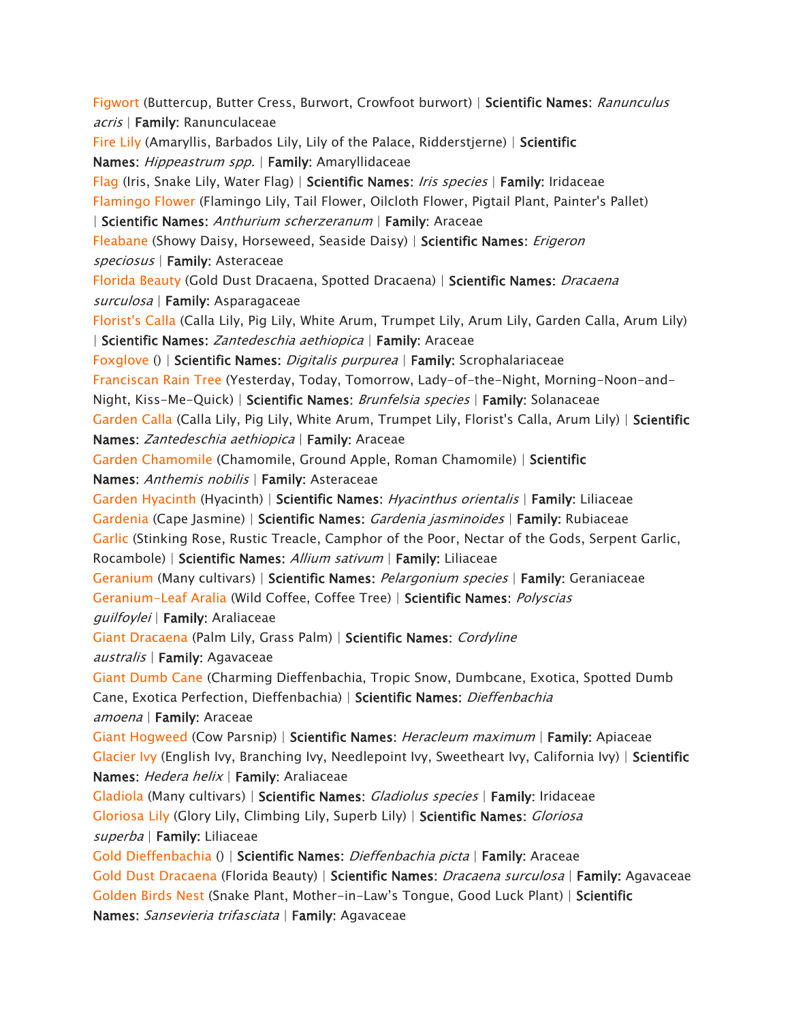*[Figwort](https://www.aspca.org/pet-care/animal-poison-control/toxic-and-non-toxic-plants/figwort) (Buttercup, Butter Cress, Burwort, Crowfoot burwort) | Scientific Names: Ranunculus acris | Family: Ranunculaceae [Fire Lily](https://www.aspca.org/pet-care/animal-poison-control/toxic-and-non-toxic-plants/fire-lily) (Amaryllis, Barbados Lily, Lily of the Palace, Ridderstjerne) | Scientific Names: Hippeastrum spp. | Family: Amaryllidaceae [Flag](https://www.aspca.org/pet-care/animal-poison-control/toxic-and-non-toxic-plants/flag) (Iris, Snake Lily, Water Flag) | Scientific Names: Iris species | Family: Iridaceae [Flamingo Flower](https://www.aspca.org/pet-care/animal-poison-control/toxic-and-non-toxic-plants/flamingo-flower) (Flamingo Lily, Tail Flower, Oilcloth Flower, Pigtail Plant, Painter's Pallet) | Scientific Names: Anthurium scherzeranum | Family: Araceae [Fleabane](https://www.aspca.org/pet-care/animal-poison-control/toxic-and-non-toxic-plants/fleabane) (Showy Daisy, Horseweed, Seaside Daisy) | Scientific Names: Erigeron speciosus | Family: Asteraceae [Florida Beauty](https://www.aspca.org/pet-care/animal-poison-control/toxic-and-non-toxic-plants/florida-beauty) (Gold Dust Dracaena, Spotted Dracaena) | Scientific Names: Dracaena surculosa | Family: Asparagaceae [Florist's Calla](https://www.aspca.org/pet-care/animal-poison-control/toxic-and-non-toxic-plants/florists-calla) (Calla Lily, Pig Lily, White Arum, Trumpet Lily, Arum Lily, Garden Calla, Arum Lily) | Scientific Names: Zantedeschia aethiopica | Family: Araceae [Foxglove](https://www.aspca.org/pet-care/animal-poison-control/toxic-and-non-toxic-plants/foxglove) () | Scientific Names: Digitalis purpurea | Family: Scrophalariaceae [Franciscan Rain Tree](https://www.aspca.org/pet-care/animal-poison-control/toxic-and-non-toxic-plants/franciscan-rain-tree) (Yesterday, Today, Tomorrow, Lady-of-the-Night, Morning-Noon-and-Night, Kiss-Me-Quick) | Scientific Names: Brunfelsia species | Family: Solanaceae [Garden Calla](https://www.aspca.org/pet-care/animal-poison-control/toxic-and-non-toxic-plants/garden-calla) (Calla Lily, Pig Lily, White Arum, Trumpet Lily, Florist's Calla, Arum Lily) | Scientific Names: Zantedeschia aethiopica | Family: Araceae [Garden Chamomile](https://www.aspca.org/pet-care/animal-poison-control/toxic-and-non-toxic-plants/garden-chamomile) (Chamomile, Ground Apple, Roman Chamomile) | Scientific Names: Anthemis nobilis | Family: Asteraceae [Garden Hyacinth](https://www.aspca.org/pet-care/animal-poison-control/toxic-and-non-toxic-plants/garden-hyacinth) (Hyacinth) | Scientific Names: Hyacinthus orientalis | Family: Liliaceae [Gardenia](https://www.aspca.org/pet-care/animal-poison-control/toxic-and-non-toxic-plants/gardenia) (Cape Jasmine) | Scientific Names: Gardenia jasminoides | Family: Rubiaceae [Garlic](https://www.aspca.org/pet-care/animal-poison-control/toxic-and-non-toxic-plants/garlic) (Stinking Rose, Rustic Treacle, Camphor of the Poor, Nectar of the Gods, Serpent Garlic, Rocambole) | Scientific Names: Allium sativum | Family: Liliaceae [Geranium](https://www.aspca.org/pet-care/animal-poison-control/toxic-and-non-toxic-plants/geranium) (Many cultivars) | Scientific Names: Pelargonium species | Family: Geraniaceae [Geranium-Leaf Aralia](https://www.aspca.org/pet-care/animal-poison-control/toxic-and-non-toxic-plants/geranium-leaf-aralia) (Wild Coffee, Coffee Tree) | Scientific Names: Polyscias guilfoylei | Family: Araliaceae [Giant Dracaena](https://www.aspca.org/pet-care/animal-poison-control/toxic-and-non-toxic-plants/giant-dracaena) (Palm Lily, Grass Palm) | Scientific Names: Cordyline australis | Family: Agavaceae [Giant Dumb Cane](https://www.aspca.org/pet-care/animal-poison-control/toxic-and-non-toxic-plants/giant-dumb-cane) (Charming Dieffenbachia, Tropic Snow, Dumbcane, Exotica, Spotted Dumb Cane, Exotica Perfection, Dieffenbachia) | Scientific Names: Dieffenbachia amoena | Family: Araceae [Giant Hogweed](https://www.aspca.org/pet-care/animal-poison-control/toxic-and-non-toxic-plants/giant-hogweed) (Cow Parsnip) | Scientific Names: Heracleum maximum | Family: Apiaceae [Glacier Ivy](https://www.aspca.org/pet-care/animal-poison-control/toxic-and-non-toxic-plants/glacier-ivy) (English Ivy, Branching Ivy, Needlepoint Ivy, Sweetheart Ivy, California Ivy) | Scientific Names: Hedera helix | Family: Araliaceae [Gladiola](https://www.aspca.org/pet-care/animal-poison-control/toxic-and-non-toxic-plants/gladiola) (Many cultivars) | Scientific Names: Gladiolus species | Family: Iridaceae [Gloriosa Lily](https://www.aspca.org/pet-care/animal-poison-control/toxic-and-non-toxic-plants/gloriosa-lily) (Glory Lily, Climbing Lily, Superb Lily) | Scientific Names: Gloriosa superba | Family: Liliaceae [Gold Dieffenbachia](https://www.aspca.org/pet-care/animal-poison-control/toxic-and-non-toxic-plants/gold-dieffenbachia) () | Scientific Names: Dieffenbachia picta | Family: Araceae [Gold Dust Dracaena](https://www.aspca.org/pet-care/animal-poison-control/toxic-and-non-toxic-plants/gold-dust-dracaena) (Florida Beauty) | Scientific Names: Dracaena surculosa | Family: Agavaceae [Golden Birds Nest](https://www.aspca.org/pet-care/animal-poison-control/toxic-and-non-toxic-plants/golden-birds-nest) (Snake Plant, Mother-in-*Law's Tongue, Good Luck Plant) | *Scientific Names: Sansevieria trifasciata | Family: Agavaceae*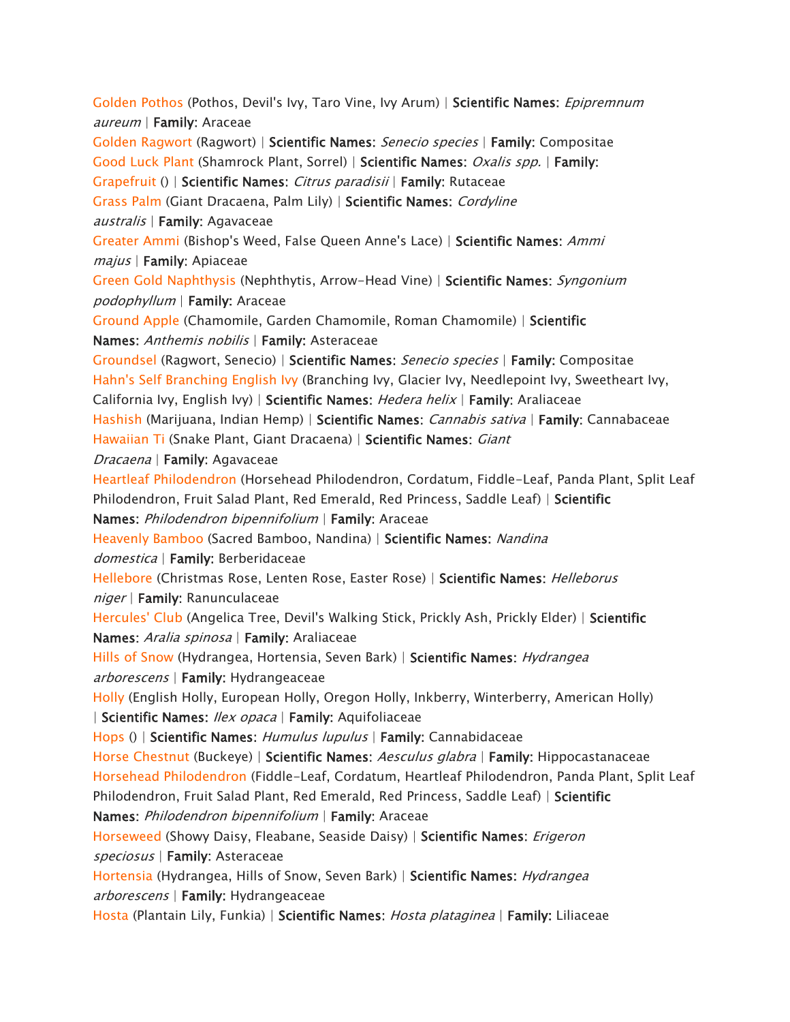*[Golden Pothos](https://www.aspca.org/pet-care/animal-poison-control/toxic-and-non-toxic-plants/golden-pothos) (Pothos, Devil's Ivy, Taro Vine, Ivy Arum) | Scientific Names: Epipremnum aureum | Family: Araceae [Golden Ragwort](https://www.aspca.org/pet-care/animal-poison-control/toxic-and-non-toxic-plants/golden-ragwort) (Ragwort) | Scientific Names: Senecio species | Family: Compositae [Good Luck Plant](https://www.aspca.org/pet-care/animal-poison-control/toxic-and-non-toxic-plants/good-luck-plant) (Shamrock Plant, Sorrel) | Scientific Names: Oxalis spp. | Family: [Grapefruit](https://www.aspca.org/pet-care/animal-poison-control/toxic-and-non-toxic-plants/grapefruit) () | Scientific Names: Citrus paradisii | Family: Rutaceae [Grass Palm](https://www.aspca.org/pet-care/animal-poison-control/toxic-and-non-toxic-plants/grass-palm) (Giant Dracaena, Palm Lily) | Scientific Names: Cordyline australis | Family: Agavaceae [Greater Ammi](https://www.aspca.org/pet-care/animal-poison-control/toxic-and-non-toxic-plants/greater-ammi) (Bishop's Weed, False Queen Anne's Lace) | Scientific Names: Ammi majus | Family: Apiaceae [Green Gold Naphthysis](https://www.aspca.org/pet-care/animal-poison-control/toxic-and-non-toxic-plants/green-gold-naphthysis) (Nephthytis, Arrow-Head Vine) | Scientific Names: Syngonium podophyllum | Family: Araceae [Ground Apple](https://www.aspca.org/pet-care/animal-poison-control/toxic-and-non-toxic-plants/ground-apple) (Chamomile, Garden Chamomile, Roman Chamomile) | Scientific Names: Anthemis nobilis | Family: Asteraceae [Groundsel](https://www.aspca.org/pet-care/animal-poison-control/toxic-and-non-toxic-plants/groundsel) (Ragwort, Senecio) | Scientific Names: Senecio species | Family: Compositae [Hahn's Self Branching English Ivy](https://www.aspca.org/pet-care/animal-poison-control/toxic-and-non-toxic-plants/hahns-self-branching-english-ivy) (Branching Ivy, Glacier Ivy, Needlepoint Ivy, Sweetheart Ivy, California Ivy, English Ivy) | Scientific Names: Hedera helix | Family: Araliaceae [Hashish](https://www.aspca.org/pet-care/animal-poison-control/toxic-and-non-toxic-plants/hashish) (Marijuana, Indian Hemp) | Scientific Names: Cannabis sativa | Family: Cannabaceae [Hawaiian Ti](https://www.aspca.org/pet-care/animal-poison-control/toxic-and-non-toxic-plants/hawaiian-ti) (Snake Plant, Giant Dracaena) | Scientific Names: Giant Dracaena | Family: Agavaceae [Heartleaf Philodendron](https://www.aspca.org/pet-care/animal-poison-control/toxic-and-non-toxic-plants/heartleaf-philodendron) (Horsehead Philodendron, Cordatum, Fiddle-Leaf, Panda Plant, Split Leaf Philodendron, Fruit Salad Plant, Red Emerald, Red Princess, Saddle Leaf) | Scientific Names: Philodendron bipennifolium | Family: Araceae [Heavenly Bamboo](https://www.aspca.org/pet-care/animal-poison-control/toxic-and-non-toxic-plants/heavenly-bamboo) (Sacred Bamboo, Nandina) | Scientific Names: Nandina domestica | Family: Berberidaceae [Hellebore](https://www.aspca.org/pet-care/animal-poison-control/toxic-and-non-toxic-plants/hellebore) (Christmas Rose, Lenten Rose, Easter Rose) | Scientific Names: Helleborus niger | Family: Ranunculaceae [Hercules' Club](https://www.aspca.org/pet-care/animal-poison-control/toxic-and-non-toxic-plants/hercules-club) (Angelica Tree, Devil's Walking Stick, Prickly Ash, Prickly Elder) | Scientific Names: Aralia spinosa | Family: Araliaceae [Hills of Snow](https://www.aspca.org/pet-care/animal-poison-control/toxic-and-non-toxic-plants/hills-snow) (Hydrangea, Hortensia, Seven Bark) | Scientific Names: Hydrangea arborescens | Family: Hydrangeaceae [Holly](https://www.aspca.org/pet-care/animal-poison-control/toxic-and-non-toxic-plants/holly) (English Holly, European Holly, Oregon Holly, Inkberry, Winterberry, American Holly) | Scientific Names: Ilex opaca | Family: Aquifoliaceae [Hops](https://www.aspca.org/pet-care/animal-poison-control/toxic-and-non-toxic-plants/hops) () | Scientific Names: Humulus lupulus | Family: Cannabidaceae [Horse Chestnut](https://www.aspca.org/pet-care/animal-poison-control/toxic-and-non-toxic-plants/horse-chestnut) (Buckeye) | Scientific Names: Aesculus glabra | Family: Hippocastanaceae [Horsehead Philodendron](https://www.aspca.org/pet-care/animal-poison-control/toxic-and-non-toxic-plants/horsehead-philodendron) (Fiddle-Leaf, Cordatum, Heartleaf Philodendron, Panda Plant, Split Leaf Philodendron, Fruit Salad Plant, Red Emerald, Red Princess, Saddle Leaf) | Scientific Names: Philodendron bipennifolium | Family: Araceae [Horseweed](https://www.aspca.org/pet-care/animal-poison-control/toxic-and-non-toxic-plants/horseweed) (Showy Daisy, Fleabane, Seaside Daisy) | Scientific Names: Erigeron speciosus | Family: Asteraceae [Hortensia](https://www.aspca.org/pet-care/animal-poison-control/toxic-and-non-toxic-plants/hortensia) (Hydrangea, Hills of Snow, Seven Bark) | Scientific Names: Hydrangea arborescens | Family: Hydrangeaceae [Hosta](https://www.aspca.org/pet-care/animal-poison-control/toxic-and-non-toxic-plants/hosta) (Plantain Lily, Funkia) | Scientific Names: Hosta plataginea | Family: Liliaceae*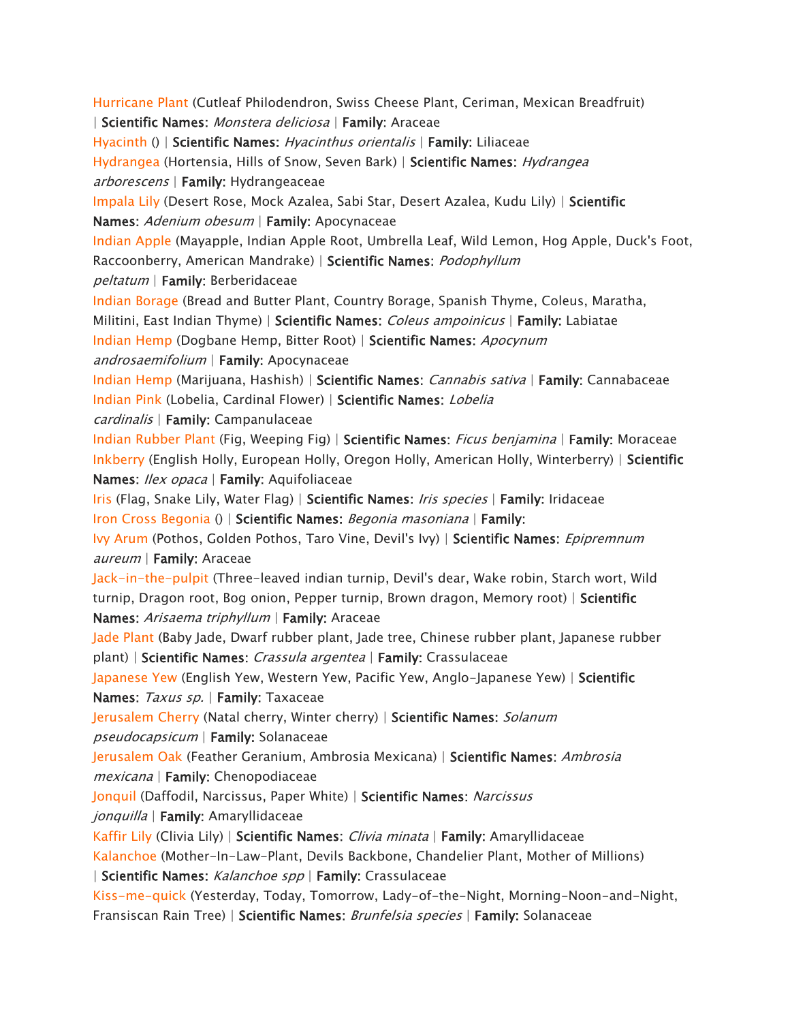*[Hurricane Plant](https://www.aspca.org/pet-care/animal-poison-control/toxic-and-non-toxic-plants/hurricane-plant) (Cutleaf Philodendron, Swiss Cheese Plant, Ceriman, Mexican Breadfruit) | Scientific Names: Monstera deliciosa | Family: Araceae [Hyacinth](https://www.aspca.org/pet-care/animal-poison-control/toxic-and-non-toxic-plants/hyacinth) () | Scientific Names: Hyacinthus orientalis | Family: Liliaceae [Hydrangea](https://www.aspca.org/pet-care/animal-poison-control/toxic-and-non-toxic-plants/hydrangea) (Hortensia, Hills of Snow, Seven Bark) | Scientific Names: Hydrangea arborescens | Family: Hydrangeaceae [Impala Lily](https://www.aspca.org/pet-care/animal-poison-control/toxic-and-non-toxic-plants/impala-lily) (Desert Rose, Mock Azalea, Sabi Star, Desert Azalea, Kudu Lily) | Scientific Names: Adenium obesum | Family: Apocynaceae [Indian Apple](https://www.aspca.org/pet-care/animal-poison-control/toxic-and-non-toxic-plants/indian-apple) (Mayapple, Indian Apple Root, Umbrella Leaf, Wild Lemon, Hog Apple, Duck's Foot, Raccoonberry, American Mandrake) | Scientific Names: Podophyllum peltatum | Family: Berberidaceae [Indian Borage](https://www.aspca.org/pet-care/animal-poison-control/toxic-and-non-toxic-plants/indian-borage) (Bread and Butter Plant, Country Borage, Spanish Thyme, Coleus, Maratha, Militini, East Indian Thyme) | Scientific Names: Coleus ampoinicus | Family: Labiatae [Indian Hemp](https://www.aspca.org/pet-care/animal-poison-control/toxic-and-non-toxic-plants/indian-hemp) (Dogbane Hemp, Bitter Root) | Scientific Names: Apocynum androsaemifolium | Family: Apocynaceae [Indian Hemp](https://www.aspca.org/pet-care/animal-poison-control/toxic-and-non-toxic-plants/indian-hemp-0) (Marijuana, Hashish) | Scientific Names: Cannabis sativa | Family: Cannabaceae [Indian Pink](https://www.aspca.org/pet-care/animal-poison-control/toxic-and-non-toxic-plants/indian-pink) (Lobelia, Cardinal Flower) | Scientific Names: Lobelia cardinalis | Family: Campanulaceae [Indian Rubber Plant](https://www.aspca.org/pet-care/animal-poison-control/toxic-and-non-toxic-plants/indian-rubber-plant) (Fig, Weeping Fig) | Scientific Names: Ficus benjamina | Family: Moraceae [Inkberry](https://www.aspca.org/pet-care/animal-poison-control/toxic-and-non-toxic-plants/inkberry) (English Holly, European Holly, Oregon Holly, American Holly, Winterberry) | Scientific Names: Ilex opaca | Family: Aquifoliaceae [Iris](https://www.aspca.org/pet-care/animal-poison-control/toxic-and-non-toxic-plants/iris) (Flag, Snake Lily, Water Flag) | Scientific Names: Iris species | Family: Iridaceae [Iron Cross Begonia](https://www.aspca.org/pet-care/animal-poison-control/toxic-and-non-toxic-plants/iron-cross-begonia) () | Scientific Names: Begonia masoniana | Family: [Ivy Arum](https://www.aspca.org/pet-care/animal-poison-control/toxic-and-non-toxic-plants/ivy-arum) (Pothos, Golden Pothos, Taro Vine, Devil's Ivy) | Scientific Names: Epipremnum aureum | Family: Araceae [Jack-in-the-pulpit](https://www.aspca.org/pet-care/animal-poison-control/toxic-and-non-toxic-plants/jack-pulpit) (Three-leaved indian turnip, Devil's dear, Wake robin, Starch wort, Wild turnip, Dragon root, Bog onion, Pepper turnip, Brown dragon, Memory root) | Scientific Names: Arisaema triphyllum | Family: Araceae [Jade Plant](https://www.aspca.org/pet-care/animal-poison-control/toxic-and-non-toxic-plants/jade-plant) (Baby Jade, Dwarf rubber plant, Jade tree, Chinese rubber plant, Japanese rubber plant) | Scientific Names: Crassula argentea | Family: Crassulaceae [Japanese Yew](https://www.aspca.org/pet-care/animal-poison-control/toxic-and-non-toxic-plants/japanese-yew) (English Yew, Western Yew, Pacific Yew, Anglo-Japanese Yew) | Scientific Names: Taxus sp. | Family: Taxaceae [Jerusalem Cherry](https://www.aspca.org/pet-care/animal-poison-control/toxic-and-non-toxic-plants/jerusalem-cherry) (Natal cherry, Winter cherry) | Scientific Names: Solanum pseudocapsicum | Family: Solanaceae [Jerusalem Oak](https://www.aspca.org/pet-care/animal-poison-control/toxic-and-non-toxic-plants/jerusalem-oak) (Feather Geranium, Ambrosia Mexicana) | Scientific Names: Ambrosia mexicana | Family: Chenopodiaceae [Jonquil](https://www.aspca.org/pet-care/animal-poison-control/toxic-and-non-toxic-plants/jonquil) (Daffodil, Narcissus, Paper White) | Scientific Names: Narcissus jonquilla | Family: Amaryllidaceae [Kaffir Lily](https://www.aspca.org/pet-care/animal-poison-control/toxic-and-non-toxic-plants/kaffir-lily) (Clivia Lily) | Scientific Names: Clivia minata | Family: Amaryllidaceae [Kalanchoe](https://www.aspca.org/pet-care/animal-poison-control/toxic-and-non-toxic-plants/kalanchoe) (Mother-In-Law-Plant, Devils Backbone, Chandelier Plant, Mother of Millions) | Scientific Names: Kalanchoe spp | Family: Crassulaceae [Kiss-me-quick](https://www.aspca.org/pet-care/animal-poison-control/toxic-and-non-toxic-plants/kiss-me-quick) (Yesterday, Today, Tomorrow, Lady-of-the-Night, Morning-Noon-and-Night, Fransiscan Rain Tree) | Scientific Names: Brunfelsia species | Family: Solanaceae*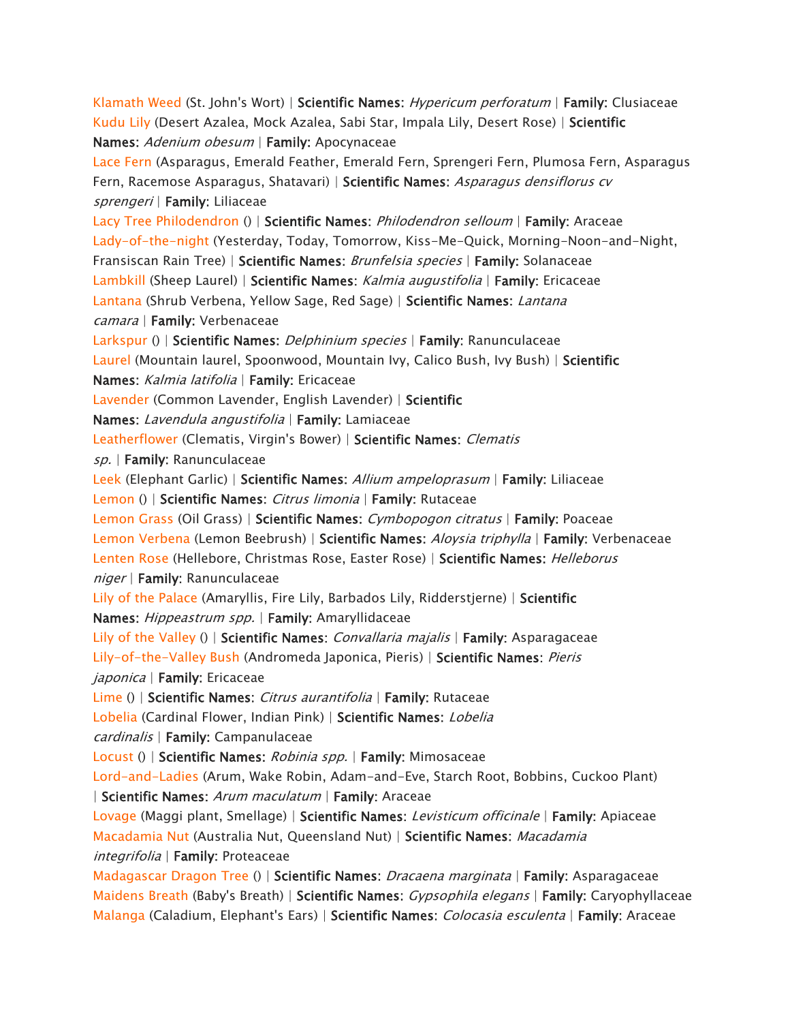*[Klamath Weed](https://www.aspca.org/pet-care/animal-poison-control/toxic-and-non-toxic-plants/klamath-weed) (St. John's Wort) | Scientific Names: Hypericum perforatum | Family: Clusiaceae [Kudu Lily](https://www.aspca.org/pet-care/animal-poison-control/toxic-and-non-toxic-plants/kudu-lily) (Desert Azalea, Mock Azalea, Sabi Star, Impala Lily, Desert Rose) | Scientific Names: Adenium obesum | Family: Apocynaceae [Lace Fern](https://www.aspca.org/pet-care/animal-poison-control/toxic-and-non-toxic-plants/lace-fern) (Asparagus, Emerald Feather, Emerald Fern, Sprengeri Fern, Plumosa Fern, Asparagus Fern, Racemose Asparagus, Shatavari) | Scientific Names: Asparagus densiflorus cv sprengeri | Family: Liliaceae [Lacy Tree Philodendron](https://www.aspca.org/pet-care/animal-poison-control/toxic-and-non-toxic-plants/lacy-tree-philodendron) () | Scientific Names: Philodendron selloum | Family: Araceae [Lady-of-the-night](https://www.aspca.org/pet-care/animal-poison-control/toxic-and-non-toxic-plants/lady-night) (Yesterday, Today, Tomorrow, Kiss-Me-Quick, Morning-Noon-and-Night, Fransiscan Rain Tree) | Scientific Names: Brunfelsia species | Family: Solanaceae [Lambkill](https://www.aspca.org/pet-care/animal-poison-control/toxic-and-non-toxic-plants/lambkill) (Sheep Laurel) | Scientific Names: Kalmia augustifolia | Family: Ericaceae [Lantana](https://www.aspca.org/pet-care/animal-poison-control/toxic-and-non-toxic-plants/lantana) (Shrub Verbena, Yellow Sage, Red Sage) | Scientific Names: Lantana camara | Family: Verbenaceae [Larkspur](https://www.aspca.org/pet-care/animal-poison-control/toxic-and-non-toxic-plants/larkspur) () | Scientific Names: Delphinium species | Family: Ranunculaceae [Laurel](https://www.aspca.org/pet-care/animal-poison-control/toxic-and-non-toxic-plants/laurel) (Mountain laurel, Spoonwood, Mountain Ivy, Calico Bush, Ivy Bush) | Scientific Names: Kalmia latifolia | Family: Ericaceae [Lavender](https://www.aspca.org/pet-care/animal-poison-control/toxic-and-non-toxic-plants/lavender) (Common Lavender, English Lavender) | Scientific Names: Lavendula angustifolia | Family: Lamiaceae [Leatherflower](https://www.aspca.org/pet-care/animal-poison-control/toxic-and-non-toxic-plants/leatherflower) (Clematis, Virgin's Bower) | Scientific Names: Clematis sp. | Family: Ranunculaceae [Leek](https://www.aspca.org/pet-care/animal-poison-control/toxic-and-non-toxic-plants/leek) (Elephant Garlic) | Scientific Names: Allium ampeloprasum | Family: Liliaceae [Lemon](https://www.aspca.org/pet-care/animal-poison-control/toxic-and-non-toxic-plants/lemon) () | Scientific Names: Citrus limonia | Family: Rutaceae [Lemon Grass](https://www.aspca.org/pet-care/animal-poison-control/toxic-and-non-toxic-plants/lemon-grass) (Oil Grass) | Scientific Names: Cymbopogon citratus | Family: Poaceae [Lemon Verbena](https://www.aspca.org/pet-care/animal-poison-control/toxic-and-non-toxic-plants/lemon-verbena) (Lemon Beebrush) | Scientific Names: Aloysia triphylla | Family: Verbenaceae [Lenten Rose](https://www.aspca.org/pet-care/animal-poison-control/toxic-and-non-toxic-plants/lenten-rose) (Hellebore, Christmas Rose, Easter Rose) | Scientific Names: Helleborus niger | Family: Ranunculaceae [Lily of the Palace](https://www.aspca.org/pet-care/animal-poison-control/toxic-and-non-toxic-plants/lily-palace) (Amaryllis, Fire Lily, Barbados Lily, Ridderstjerne) | Scientific Names: Hippeastrum spp. | Family: Amaryllidaceae [Lily of the Valley](https://www.aspca.org/pet-care/animal-poison-control/toxic-and-non-toxic-plants/lily-valley) () | Scientific Names: Convallaria majalis | Family: Asparagaceae [Lily-of-the-Valley Bush](https://www.aspca.org/pet-care/animal-poison-control/toxic-and-non-toxic-plants/lily-valley-bush) (Andromeda Japonica, Pieris) | Scientific Names: Pieris japonica | Family: Ericaceae [Lime](https://www.aspca.org/pet-care/animal-poison-control/toxic-and-non-toxic-plants/lime) () | Scientific Names: Citrus aurantifolia | Family: Rutaceae [Lobelia](https://www.aspca.org/pet-care/animal-poison-control/toxic-and-non-toxic-plants/lobelia) (Cardinal Flower, Indian Pink) | Scientific Names: Lobelia cardinalis | Family: Campanulaceae [Locust](https://www.aspca.org/pet-care/animal-poison-control/toxic-and-non-toxic-plants/locust) () | Scientific Names: Robinia spp. | Family: Mimosaceae [Lord-and-Ladies](https://www.aspca.org/pet-care/animal-poison-control/toxic-and-non-toxic-plants/lord-and-ladies) (Arum, Wake Robin, Adam-and-Eve, Starch Root, Bobbins, Cuckoo Plant) | Scientific Names: Arum maculatum | Family: Araceae [Lovage](https://www.aspca.org/pet-care/animal-poison-control/toxic-and-non-toxic-plants/lovage) (Maggi plant, Smellage) | Scientific Names: Levisticum officinale | Family: Apiaceae [Macadamia Nut](https://www.aspca.org/pet-care/animal-poison-control/toxic-and-non-toxic-plants/macadamia-nut) (Australia Nut, Queensland Nut) | Scientific Names: Macadamia integrifolia | Family: Proteaceae [Madagascar Dragon Tree](https://www.aspca.org/pet-care/animal-poison-control/toxic-and-non-toxic-plants/madagascar-dragon-tree) () | Scientific Names: Dracaena marginata | Family: Asparagaceae [Maidens Breath](https://www.aspca.org/pet-care/animal-poison-control/toxic-and-non-toxic-plants/maidens-breath) (Baby's Breath) | Scientific Names: Gypsophila elegans | Family: Caryophyllaceae [Malanga](https://www.aspca.org/pet-care/animal-poison-control/toxic-and-non-toxic-plants/malanga) (Caladium, Elephant's Ears) | Scientific Names: Colocasia esculenta | Family: Araceae*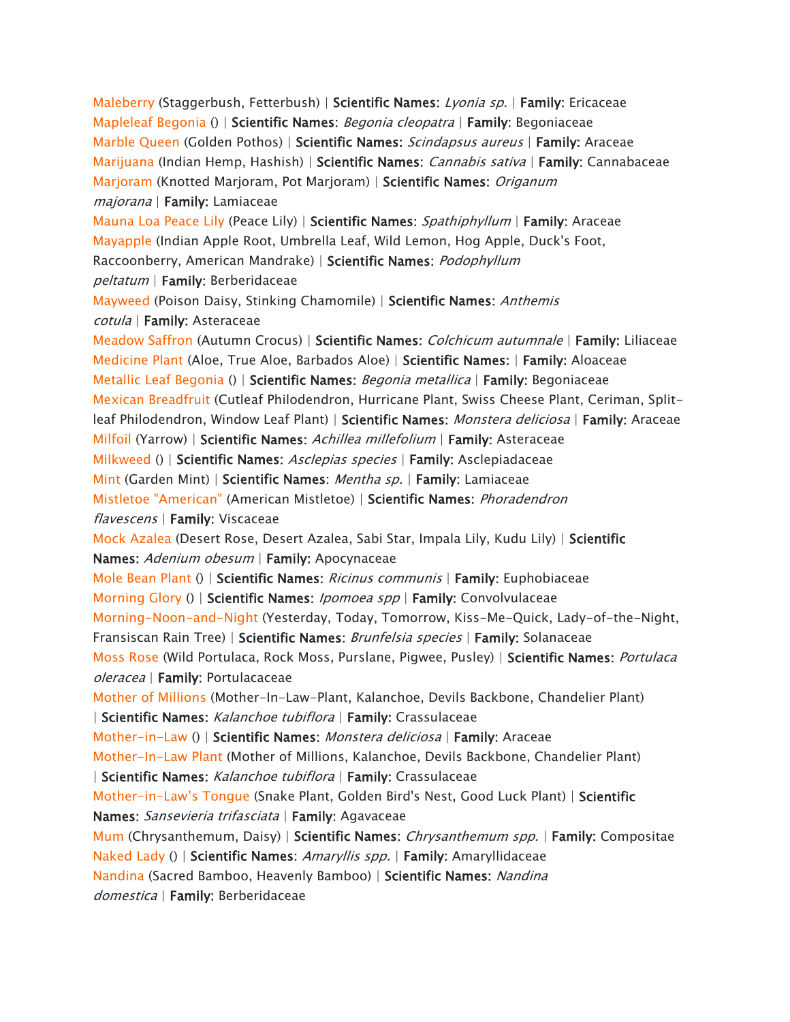*[Maleberry](https://www.aspca.org/pet-care/animal-poison-control/toxic-and-non-toxic-plants/maleberry) (Staggerbush, Fetterbush) | Scientific Names: Lyonia sp. | Family: Ericaceae [Mapleleaf Begonia](https://www.aspca.org/pet-care/animal-poison-control/toxic-and-non-toxic-plants/mapleleaf-begonia) () | Scientific Names: Begonia cleopatra | Family: Begoniaceae [Marble Queen](https://www.aspca.org/pet-care/animal-poison-control/toxic-and-non-toxic-plants/marble-queen) (Golden Pothos) | Scientific Names: Scindapsus aureus | Family: Araceae [Marijuana](https://www.aspca.org/pet-care/animal-poison-control/toxic-and-non-toxic-plants/marijuana) (Indian Hemp, Hashish) | Scientific Names: Cannabis sativa | Family: Cannabaceae [Marjoram](https://www.aspca.org/pet-care/animal-poison-control/toxic-and-non-toxic-plants/marjoram) (Knotted Marjoram, Pot Marjoram) | Scientific Names: Origanum majorana | Family: Lamiaceae [Mauna Loa Peace Lily](https://www.aspca.org/pet-care/animal-poison-control/toxic-and-non-toxic-plants/mauna-loa-peace-lily) (Peace Lily) | Scientific Names: Spathiphyllum | Family: Araceae [Mayapple](https://www.aspca.org/pet-care/animal-poison-control/toxic-and-non-toxic-plants/mayapple) (Indian Apple Root, Umbrella Leaf, Wild Lemon, Hog Apple, Duck's Foot, Raccoonberry, American Mandrake) | Scientific Names: Podophyllum peltatum | Family: Berberidaceae [Mayweed](https://www.aspca.org/pet-care/animal-poison-control/toxic-and-non-toxic-plants/mayweed) (Poison Daisy, Stinking Chamomile) | Scientific Names: Anthemis cotula | Family: Asteraceae [Meadow Saffron](https://www.aspca.org/pet-care/animal-poison-control/toxic-and-non-toxic-plants/meadow-saffron) (Autumn Crocus) | Scientific Names: Colchicum autumnale | Family: Liliaceae [Medicine Plant](https://www.aspca.org/pet-care/animal-poison-control/toxic-and-non-toxic-plants/medicine-plant) (Aloe, True Aloe, Barbados Aloe) | Scientific Names: | Family: Aloaceae [Metallic Leaf Begonia](https://www.aspca.org/pet-care/animal-poison-control/toxic-and-non-toxic-plants/metallic-leaf-begonia) () | Scientific Names: Begonia metallica | Family: Begoniaceae [Mexican Breadfruit](https://www.aspca.org/pet-care/animal-poison-control/toxic-and-non-toxic-plants/mexican-breadfruit) (Cutleaf Philodendron, Hurricane Plant, Swiss Cheese Plant, Ceriman, Splitleaf Philodendron, Window Leaf Plant) | Scientific Names: Monstera deliciosa | Family: Araceae [Milfoil](https://www.aspca.org/pet-care/animal-poison-control/toxic-and-non-toxic-plants/milfoil) (Yarrow) | Scientific Names: Achillea millefolium | Family: Asteraceae [Milkweed](https://www.aspca.org/pet-care/animal-poison-control/toxic-and-non-toxic-plants/milkweed) () | Scientific Names: Asclepias species | Family: Asclepiadaceae [Mint](https://www.aspca.org/pet-care/animal-poison-control/toxic-and-non-toxic-plants/mint) (Garden Mint) | Scientific Names: Mentha sp. | Family: Lamiaceae [Mistletoe "American"](https://www.aspca.org/pet-care/animal-poison-control/toxic-and-non-toxic-plants/mistletoe-american) (American Mistletoe) | Scientific Names: Phoradendron flavescens | Family: Viscaceae [Mock Azalea](https://www.aspca.org/pet-care/animal-poison-control/toxic-and-non-toxic-plants/mock-azalea) (Desert Rose, Desert Azalea, Sabi Star, Impala Lily, Kudu Lily) | Scientific Names: Adenium obesum | Family: Apocynaceae [Mole Bean Plant](https://www.aspca.org/pet-care/animal-poison-control/toxic-and-non-toxic-plants/mole-bean-plant) () | Scientific Names: Ricinus communis | Family: Euphobiaceae [Morning Glory](https://www.aspca.org/pet-care/animal-poison-control/toxic-and-non-toxic-plants/morning-glory) () | Scientific Names: Ipomoea spp | Family: Convolvulaceae [Morning-Noon-and-Night](https://www.aspca.org/pet-care/animal-poison-control/toxic-and-non-toxic-plants/morning-noon-and-night) (Yesterday, Today, Tomorrow, Kiss-Me-Quick, Lady-of-the-Night, Fransiscan Rain Tree) | Scientific Names: Brunfelsia species | Family: Solanaceae [Moss Rose](https://www.aspca.org/pet-care/animal-poison-control/toxic-and-non-toxic-plants/moss-rose) (Wild Portulaca, Rock Moss, Purslane, Pigwee, Pusley) | Scientific Names: Portulaca oleracea | Family: Portulacaceae [Mother of Millions](https://www.aspca.org/pet-care/animal-poison-control/toxic-and-non-toxic-plants/mother-millions) (Mother-In-Law-Plant, Kalanchoe, Devils Backbone, Chandelier Plant) | Scientific Names: Kalanchoe tubiflora | Family: Crassulaceae [Mother-in-Law](https://www.aspca.org/pet-care/animal-poison-control/toxic-and-non-toxic-plants/mother-law) () | Scientific Names: Monstera deliciosa | Family: Araceae [Mother-In-Law Plant](https://www.aspca.org/pet-care/animal-poison-control/toxic-and-non-toxic-plants/mother-law-plant) (Mother of Millions, Kalanchoe, Devils Backbone, Chandelier Plant) | Scientific Names: Kalanchoe tubiflora | Family: Crassulaceae Mother-in-*[Law's Tongue](https://www.aspca.org/pet-care/animal-poison-control/toxic-and-non-toxic-plants/mother-laws-tongue) *(Snake Plant, Golden Bird's Nest, Good Luck Plant) | Scientific Names: Sansevieria trifasciata | Family: Agavaceae [Mum](https://www.aspca.org/pet-care/animal-poison-control/toxic-and-non-toxic-plants/mum) (Chrysanthemum, Daisy) | Scientific Names: Chrysanthemum spp. | Family: Compositae [Naked Lady](https://www.aspca.org/pet-care/animal-poison-control/toxic-and-non-toxic-plants/naked-lady) () | Scientific Names: Amaryllis spp. | Family: Amaryllidaceae [Nandina](https://www.aspca.org/pet-care/animal-poison-control/toxic-and-non-toxic-plants/nandina) (Sacred Bamboo, Heavenly Bamboo) | Scientific Names: Nandina domestica | Family: Berberidaceae*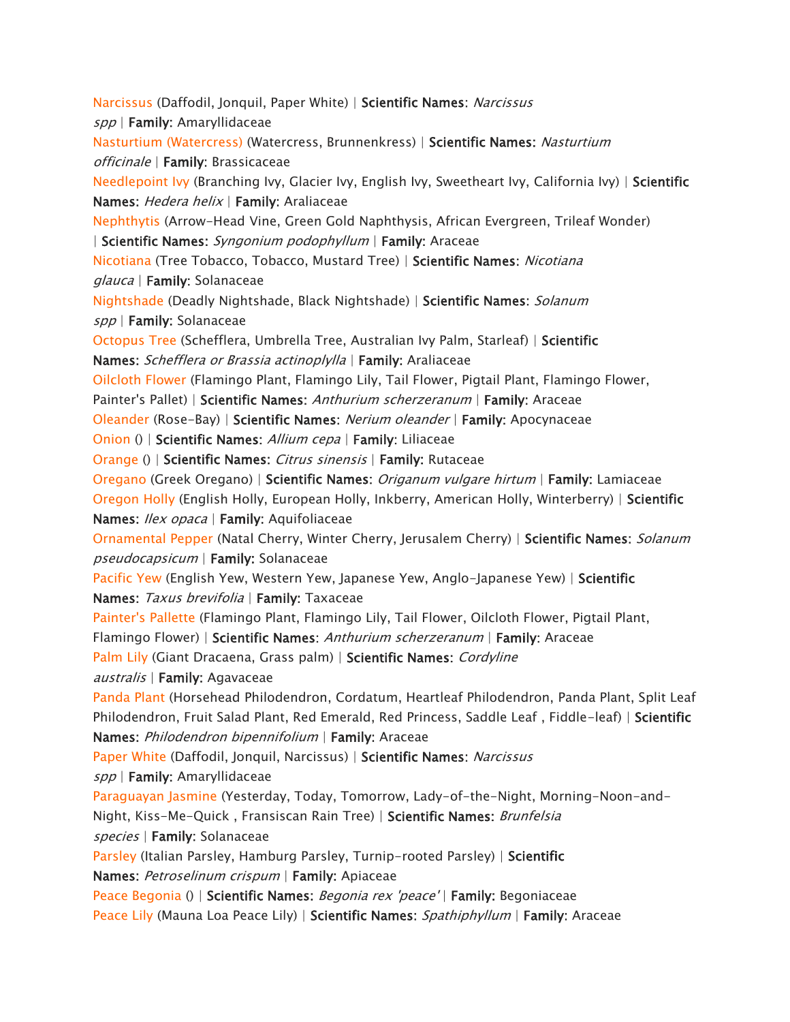*[Narcissus](https://www.aspca.org/pet-care/animal-poison-control/toxic-and-non-toxic-plants/narcissus) (Daffodil, Jonquil, Paper White) | Scientific Names: Narcissus spp | Family: Amaryllidaceae [Nasturtium \(Watercress\)](https://www.aspca.org/pet-care/animal-poison-control/toxic-and-non-toxic-plants/nasturtium-watercress) (Watercress, Brunnenkress) | Scientific Names: Nasturtium officinale | Family: Brassicaceae [Needlepoint Ivy](https://www.aspca.org/pet-care/animal-poison-control/toxic-and-non-toxic-plants/needlepoint-ivy) (Branching Ivy, Glacier Ivy, English Ivy, Sweetheart Ivy, California Ivy) | Scientific Names: Hedera helix | Family: Araliaceae [Nephthytis](https://www.aspca.org/pet-care/animal-poison-control/toxic-and-non-toxic-plants/nephthytis) (Arrow-Head Vine, Green Gold Naphthysis, African Evergreen, Trileaf Wonder) | Scientific Names: Syngonium podophyllum | Family: Araceae [Nicotiana](https://www.aspca.org/pet-care/animal-poison-control/toxic-and-non-toxic-plants/nicotiana) (Tree Tobacco, Tobacco, Mustard Tree) | Scientific Names: Nicotiana glauca | Family: Solanaceae [Nightshade](https://www.aspca.org/pet-care/animal-poison-control/toxic-and-non-toxic-plants/nightshade) (Deadly Nightshade, Black Nightshade) | Scientific Names: Solanum spp | Family: Solanaceae [Octopus Tree](https://www.aspca.org/pet-care/animal-poison-control/toxic-and-non-toxic-plants/octopus-tree) (Schefflera, Umbrella Tree, Australian Ivy Palm, Starleaf) | Scientific Names: Schefflera or Brassia actinoplylla | Family: Araliaceae [Oilcloth Flower](https://www.aspca.org/pet-care/animal-poison-control/toxic-and-non-toxic-plants/oilcloth-flower) (Flamingo Plant, Flamingo Lily, Tail Flower, Pigtail Plant, Flamingo Flower, Painter's Pallet) | Scientific Names: Anthurium scherzeranum | Family: Araceae [Oleander](https://www.aspca.org/pet-care/animal-poison-control/toxic-and-non-toxic-plants/oleander) (Rose-Bay) | Scientific Names: Nerium oleander | Family: Apocynaceae [Onion](https://www.aspca.org/pet-care/animal-poison-control/toxic-and-non-toxic-plants/onion) () | Scientific Names: Allium cepa | Family: Liliaceae [Orange](https://www.aspca.org/pet-care/animal-poison-control/toxic-and-non-toxic-plants/orange) () | Scientific Names: Citrus sinensis | Family: Rutaceae [Oregano](https://www.aspca.org/pet-care/animal-poison-control/toxic-and-non-toxic-plants/oregano) (Greek Oregano) | Scientific Names: Origanum vulgare hirtum | Family: Lamiaceae [Oregon Holly](https://www.aspca.org/pet-care/animal-poison-control/toxic-and-non-toxic-plants/oregon-holly) (English Holly, European Holly, Inkberry, American Holly, Winterberry) | Scientific Names: Ilex opaca | Family: Aquifoliaceae [Ornamental Pepper](https://www.aspca.org/pet-care/animal-poison-control/toxic-and-non-toxic-plants/ornamental-pepper) (Natal Cherry, Winter Cherry, Jerusalem Cherry) | Scientific Names: Solanum pseudocapsicum | Family: Solanaceae [Pacific Yew](https://www.aspca.org/pet-care/animal-poison-control/toxic-and-non-toxic-plants/pacific-yew) (English Yew, Western Yew, Japanese Yew, Anglo-Japanese Yew) | Scientific Names: Taxus brevifolia | Family: Taxaceae [Painter's Pallette](https://www.aspca.org/pet-care/animal-poison-control/toxic-and-non-toxic-plants/painters-pallette) (Flamingo Plant, Flamingo Lily, Tail Flower, Oilcloth Flower, Pigtail Plant, Flamingo Flower) | Scientific Names: Anthurium scherzeranum | Family: Araceae [Palm Lily](https://www.aspca.org/pet-care/animal-poison-control/toxic-and-non-toxic-plants/palm-lily) (Giant Dracaena, Grass palm) | Scientific Names: Cordyline australis | Family: Agavaceae [Panda Plant](https://www.aspca.org/pet-care/animal-poison-control/toxic-and-non-toxic-plants/panda-plant) (Horsehead Philodendron, Cordatum, Heartleaf Philodendron, Panda Plant, Split Leaf Philodendron, Fruit Salad Plant, Red Emerald, Red Princess, Saddle Leaf , Fiddle-leaf) | Scientific Names: Philodendron bipennifolium | Family: Araceae [Paper White](https://www.aspca.org/pet-care/animal-poison-control/toxic-and-non-toxic-plants/paper-white) (Daffodil, Jonquil, Narcissus) | Scientific Names: Narcissus spp | Family: Amaryllidaceae [Paraguayan Jasmine](https://www.aspca.org/pet-care/animal-poison-control/toxic-and-non-toxic-plants/paraguayan-jasmine) (Yesterday, Today, Tomorrow, Lady-of-the-Night, Morning-Noon-and-Night, Kiss-Me-Quick , Fransiscan Rain Tree) | Scientific Names: Brunfelsia species | Family: Solanaceae [Parsley](https://www.aspca.org/pet-care/animal-poison-control/toxic-and-non-toxic-plants/parsley) (Italian Parsley, Hamburg Parsley, Turnip-rooted Parsley) | Scientific Names: Petroselinum crispum | Family: Apiaceae [Peace Begonia](https://www.aspca.org/pet-care/animal-poison-control/toxic-and-non-toxic-plants/peace-begonia) () | Scientific Names: Begonia rex 'peace' | Family: Begoniaceae [Peace Lily](https://www.aspca.org/pet-care/animal-poison-control/toxic-and-non-toxic-plants/peace-lily) (Mauna Loa Peace Lily) | Scientific Names: Spathiphyllum | Family: Araceae*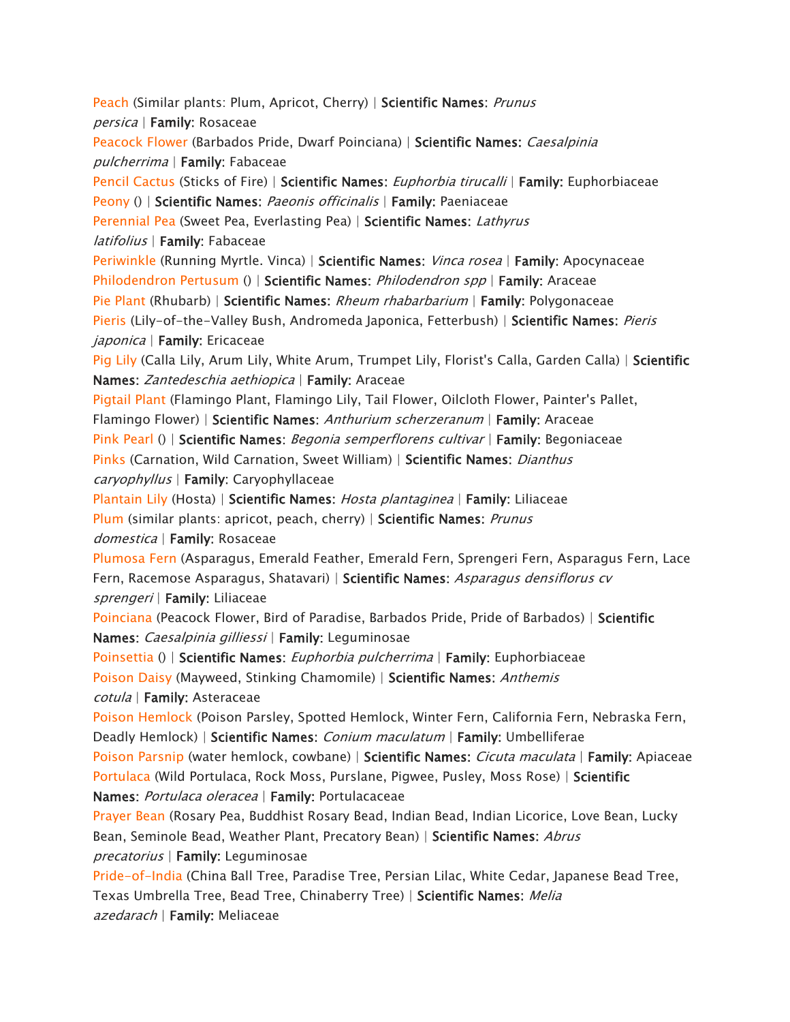*[Peach](https://www.aspca.org/pet-care/animal-poison-control/toxic-and-non-toxic-plants/peach) (Similar plants: Plum, Apricot, Cherry) | Scientific Names: Prunus persica | Family: Rosaceae [Peacock Flower](https://www.aspca.org/pet-care/animal-poison-control/toxic-and-non-toxic-plants/peacock-flower) (Barbados Pride, Dwarf Poinciana) | Scientific Names: Caesalpinia pulcherrima | Family: Fabaceae [Pencil Cactus](https://www.aspca.org/pet-care/animal-poison-control/toxic-and-non-toxic-plants/pencil-cactus) (Sticks of Fire) | Scientific Names: Euphorbia tirucalli | Family: Euphorbiaceae [Peony](https://www.aspca.org/pet-care/animal-poison-control/toxic-and-non-toxic-plants/peony) () | Scientific Names: Paeonis officinalis | Family: Paeniaceae [Perennial Pea](https://www.aspca.org/pet-care/animal-poison-control/toxic-and-non-toxic-plants/perennial-pea) (Sweet Pea, Everlasting Pea) | Scientific Names: Lathyrus latifolius | Family: Fabaceae [Periwinkle](https://www.aspca.org/pet-care/animal-poison-control/toxic-and-non-toxic-plants/periwinkle) (Running Myrtle. Vinca) | Scientific Names: Vinca rosea | Family: Apocynaceae [Philodendron Pertusum](https://www.aspca.org/pet-care/animal-poison-control/toxic-and-non-toxic-plants/philodendron-pertusum) () | Scientific Names: Philodendron spp | Family: Araceae [Pie Plant](https://www.aspca.org/pet-care/animal-poison-control/toxic-and-non-toxic-plants/pie-plant) (Rhubarb) | Scientific Names: Rheum rhabarbarium | Family: Polygonaceae [Pieris](https://www.aspca.org/pet-care/animal-poison-control/toxic-and-non-toxic-plants/pieris) (Lily-of-the-Valley Bush, Andromeda Japonica, Fetterbush) | Scientific Names: Pieris japonica | Family: Ericaceae [Pig Lily](https://www.aspca.org/pet-care/animal-poison-control/toxic-and-non-toxic-plants/pig-lily) (Calla Lily, Arum Lily, White Arum, Trumpet Lily, Florist's Calla, Garden Calla) | Scientific Names: Zantedeschia aethiopica | Family: Araceae [Pigtail Plant](https://www.aspca.org/pet-care/animal-poison-control/toxic-and-non-toxic-plants/pigtail-plant) (Flamingo Plant, Flamingo Lily, Tail Flower, Oilcloth Flower, Painter's Pallet, Flamingo Flower) | Scientific Names: Anthurium scherzeranum | Family: Araceae [Pink Pearl](https://www.aspca.org/pet-care/animal-poison-control/toxic-and-non-toxic-plants/pink-pearl) () | Scientific Names: Begonia semperflorens cultivar | Family: Begoniaceae [Pinks](https://www.aspca.org/pet-care/animal-poison-control/toxic-and-non-toxic-plants/pinks) (Carnation, Wild Carnation, Sweet William) | Scientific Names: Dianthus caryophyllus | Family: Caryophyllaceae [Plantain Lily](https://www.aspca.org/pet-care/animal-poison-control/toxic-and-non-toxic-plants/plantain-lily) (Hosta) | Scientific Names: Hosta plantaginea | Family: Liliaceae [Plum](https://www.aspca.org/pet-care/animal-poison-control/toxic-and-non-toxic-plants/plum) (similar plants: apricot, peach, cherry) | Scientific Names: Prunus domestica | Family: Rosaceae [Plumosa Fern](https://www.aspca.org/pet-care/animal-poison-control/toxic-and-non-toxic-plants/plumosa-fern) (Asparagus, Emerald Feather, Emerald Fern, Sprengeri Fern, Asparagus Fern, Lace Fern, Racemose Asparagus, Shatavari) | Scientific Names: Asparagus densiflorus cv sprengeri | Family: Liliaceae [Poinciana](https://www.aspca.org/pet-care/animal-poison-control/toxic-and-non-toxic-plants/poinciana) (Peacock Flower, Bird of Paradise, Barbados Pride, Pride of Barbados) | Scientific Names: Caesalpinia gilliessi | Family: Leguminosae [Poinsettia](https://www.aspca.org/pet-care/animal-poison-control/toxic-and-non-toxic-plants/poinsettia) () | Scientific Names: Euphorbia pulcherrima | Family: Euphorbiaceae [Poison Daisy](https://www.aspca.org/pet-care/animal-poison-control/toxic-and-non-toxic-plants/poison-daisy) (Mayweed, Stinking Chamomile) | Scientific Names: Anthemis cotula | Family: Asteraceae [Poison Hemlock](https://www.aspca.org/pet-care/animal-poison-control/toxic-and-non-toxic-plants/poison-hemlock) (Poison Parsley, Spotted Hemlock, Winter Fern, California Fern, Nebraska Fern, Deadly Hemlock) | Scientific Names: Conium maculatum | Family: Umbelliferae [Poison Parsnip](https://www.aspca.org/pet-care/animal-poison-control/toxic-and-non-toxic-plants/poison-parsnip) (water hemlock, cowbane) | Scientific Names: Cicuta maculata | Family: Apiaceae [Portulaca](https://www.aspca.org/pet-care/animal-poison-control/toxic-and-non-toxic-plants/portulaca) (Wild Portulaca, Rock Moss, Purslane, Pigwee, Pusley, Moss Rose) | Scientific Names: Portulaca oleracea | Family: Portulacaceae [Prayer Bean](https://www.aspca.org/pet-care/animal-poison-control/toxic-and-non-toxic-plants/prayer-bean) (Rosary Pea, Buddhist Rosary Bead, Indian Bead, Indian Licorice, Love Bean, Lucky Bean, Seminole Bead, Weather Plant, Precatory Bean) | Scientific Names: Abrus precatorius | Family: Leguminosae [Pride-of-India](https://www.aspca.org/pet-care/animal-poison-control/toxic-and-non-toxic-plants/pride-india) (China Ball Tree, Paradise Tree, Persian Lilac, White Cedar, Japanese Bead Tree, Texas Umbrella Tree, Bead Tree, Chinaberry Tree) | Scientific Names: Melia azedarach | Family: Meliaceae*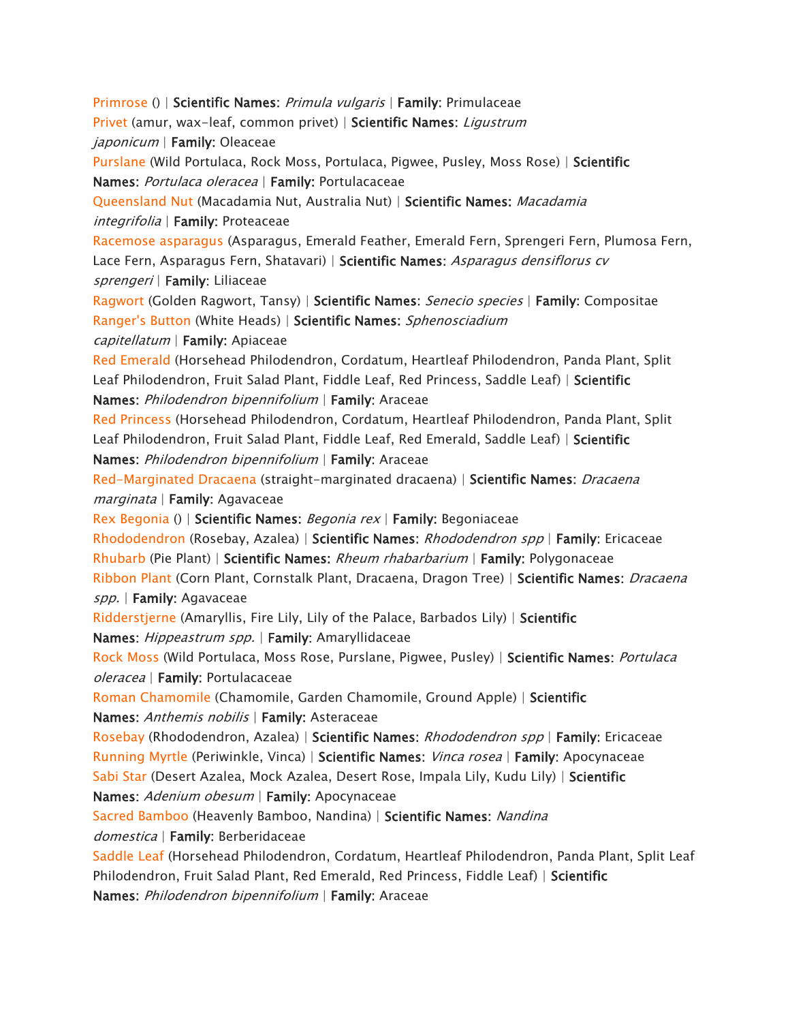*[Primrose](https://www.aspca.org/pet-care/animal-poison-control/toxic-and-non-toxic-plants/primrose) () | Scientific Names: Primula vulgaris | Family: Primulaceae [Privet](https://www.aspca.org/pet-care/animal-poison-control/toxic-and-non-toxic-plants/privet) (amur, wax-leaf, common privet) | Scientific Names: Ligustrum japonicum | Family: Oleaceae [Purslane](https://www.aspca.org/pet-care/animal-poison-control/toxic-and-non-toxic-plants/purslane) (Wild Portulaca, Rock Moss, Portulaca, Pigwee, Pusley, Moss Rose) | Scientific Names: Portulaca oleracea | Family: Portulacaceae [Queensland Nut](https://www.aspca.org/pet-care/animal-poison-control/toxic-and-non-toxic-plants/queensland-nut) (Macadamia Nut, Australia Nut) | Scientific Names: Macadamia integrifolia | Family: Proteaceae [Racemose asparagus](https://www.aspca.org/pet-care/animal-poison-control/toxic-and-non-toxic-plants/racemose-asparagus) (Asparagus, Emerald Feather, Emerald Fern, Sprengeri Fern, Plumosa Fern, Lace Fern, Asparagus Fern, Shatavari) | Scientific Names: Asparagus densiflorus cv sprengeri | Family: Liliaceae [Ragwort](https://www.aspca.org/pet-care/animal-poison-control/toxic-and-non-toxic-plants/ragwort) (Golden Ragwort, Tansy) | Scientific Names: Senecio species | Family: Compositae [Ranger's Button](https://www.aspca.org/pet-care/animal-poison-control/toxic-and-non-toxic-plants/rangers-button) (White Heads) | Scientific Names: Sphenosciadium capitellatum | Family: Apiaceae [Red Emerald](https://www.aspca.org/pet-care/animal-poison-control/toxic-and-non-toxic-plants/red-emerald) (Horsehead Philodendron, Cordatum, Heartleaf Philodendron, Panda Plant, Split Leaf Philodendron, Fruit Salad Plant, Fiddle Leaf, Red Princess, Saddle Leaf) | Scientific Names: Philodendron bipennifolium | Family: Araceae [Red Princess](https://www.aspca.org/pet-care/animal-poison-control/toxic-and-non-toxic-plants/red-princess) (Horsehead Philodendron, Cordatum, Heartleaf Philodendron, Panda Plant, Split Leaf Philodendron, Fruit Salad Plant, Fiddle Leaf, Red Emerald, Saddle Leaf) | Scientific Names: Philodendron bipennifolium | Family: Araceae [Red-Marginated Dracaena](https://www.aspca.org/pet-care/animal-poison-control/toxic-and-non-toxic-plants/red-marginated-dracaena) (straight-marginated dracaena) | Scientific Names: Dracaena marginata | Family: Agavaceae [Rex Begonia](https://www.aspca.org/pet-care/animal-poison-control/toxic-and-non-toxic-plants/rex-begonia) () | Scientific Names: Begonia rex | Family: Begoniaceae [Rhododendron](https://www.aspca.org/pet-care/animal-poison-control/toxic-and-non-toxic-plants/rhododendron) (Rosebay, Azalea) | Scientific Names: Rhododendron spp | Family: Ericaceae [Rhubarb](https://www.aspca.org/pet-care/animal-poison-control/toxic-and-non-toxic-plants/rhubarb) (Pie Plant) | Scientific Names: Rheum rhabarbarium | Family: Polygonaceae [Ribbon Plant](https://www.aspca.org/pet-care/animal-poison-control/toxic-and-non-toxic-plants/ribbon-plant) (Corn Plant, Cornstalk Plant, Dracaena, Dragon Tree) | Scientific Names: Dracaena spp. | Family: Agavaceae [Ridderstjerne](https://www.aspca.org/pet-care/animal-poison-control/toxic-and-non-toxic-plants/ridderstjerne) (Amaryllis, Fire Lily, Lily of the Palace, Barbados Lily) | Scientific Names: Hippeastrum spp. | Family: Amaryllidaceae [Rock Moss](https://www.aspca.org/pet-care/animal-poison-control/toxic-and-non-toxic-plants/rock-moss) (Wild Portulaca, Moss Rose, Purslane, Pigwee, Pusley) | Scientific Names: Portulaca oleracea | Family: Portulacaceae [Roman Chamomile](https://www.aspca.org/pet-care/animal-poison-control/toxic-and-non-toxic-plants/roman-chamomile) (Chamomile, Garden Chamomile, Ground Apple) | Scientific Names: Anthemis nobilis | Family: Asteraceae [Rosebay](https://www.aspca.org/pet-care/animal-poison-control/toxic-and-non-toxic-plants/rosebay) (Rhododendron, Azalea) | Scientific Names: Rhododendron spp | Family: Ericaceae [Running Myrtle](https://www.aspca.org/pet-care/animal-poison-control/toxic-and-non-toxic-plants/running-myrtle) (Periwinkle, Vinca) | Scientific Names: Vinca rosea | Family: Apocynaceae [Sabi Star](https://www.aspca.org/pet-care/animal-poison-control/toxic-and-non-toxic-plants/sabi-star) (Desert Azalea, Mock Azalea, Desert Rose, Impala Lily, Kudu Lily) | Scientific Names: Adenium obesum | Family: Apocynaceae [Sacred Bamboo](https://www.aspca.org/pet-care/animal-poison-control/toxic-and-non-toxic-plants/sacred-bamboo) (Heavenly Bamboo, Nandina) | Scientific Names: Nandina domestica | Family: Berberidaceae [Saddle Leaf](https://www.aspca.org/pet-care/animal-poison-control/toxic-and-non-toxic-plants/saddle-leaf) (Horsehead Philodendron, Cordatum, Heartleaf Philodendron, Panda Plant, Split Leaf Philodendron, Fruit Salad Plant, Red Emerald, Red Princess, Fiddle Leaf) | Scientific Names: Philodendron bipennifolium | Family: Araceae*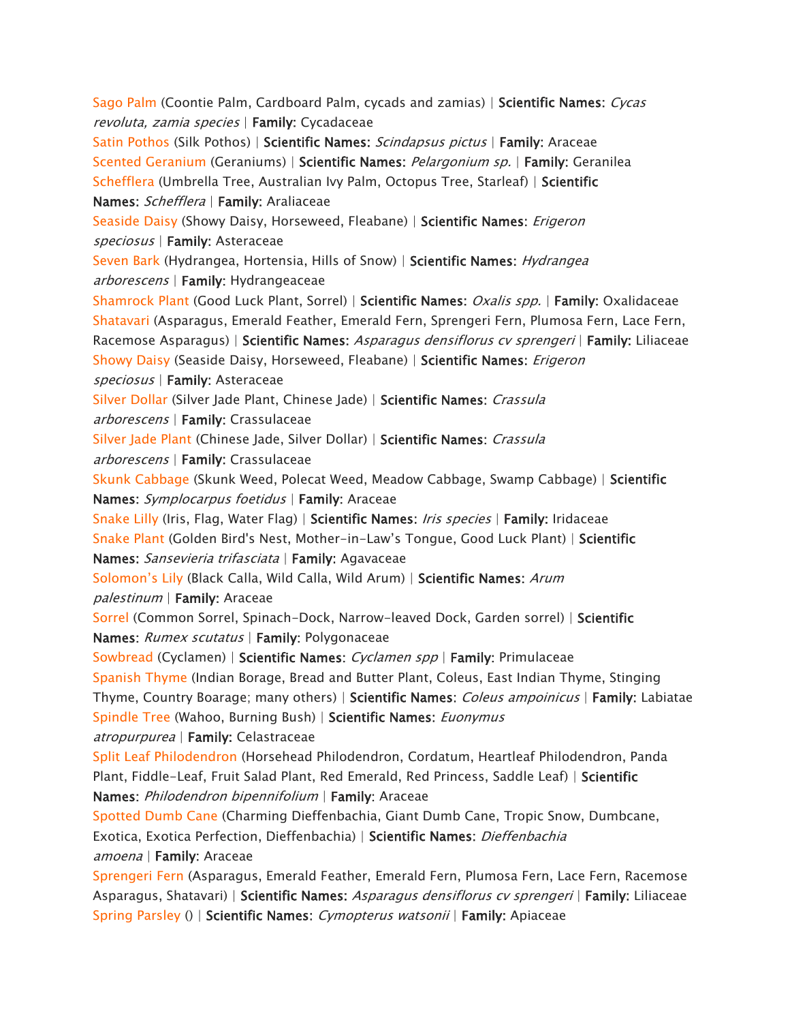*[Sago Palm](https://www.aspca.org/pet-care/animal-poison-control/toxic-and-non-toxic-plants/sago-palm) (Coontie Palm, Cardboard Palm, cycads and zamias) | Scientific Names: Cycas revoluta, zamia species | Family: Cycadaceae [Satin Pothos](https://www.aspca.org/pet-care/animal-poison-control/toxic-and-non-toxic-plants/satin-pothos) (Silk Pothos) | Scientific Names: Scindapsus pictus | Family: Araceae [Scented Geranium](https://www.aspca.org/pet-care/animal-poison-control/toxic-and-non-toxic-plants/scented-geranium) (Geraniums) | Scientific Names: Pelargonium sp. | Family: Geranilea [Schefflera](https://www.aspca.org/pet-care/animal-poison-control/toxic-and-non-toxic-plants/schefflera) (Umbrella Tree, Australian Ivy Palm, Octopus Tree, Starleaf) | Scientific Names: Schefflera | Family: Araliaceae [Seaside Daisy](https://www.aspca.org/pet-care/animal-poison-control/toxic-and-non-toxic-plants/seaside-daisy) (Showy Daisy, Horseweed, Fleabane) | Scientific Names: Erigeron speciosus | Family: Asteraceae [Seven Bark](https://www.aspca.org/pet-care/animal-poison-control/toxic-and-non-toxic-plants/seven-bark) (Hydrangea, Hortensia, Hills of Snow) | Scientific Names: Hydrangea arborescens | Family: Hydrangeaceae [Shamrock Plant](https://www.aspca.org/pet-care/animal-poison-control/toxic-and-non-toxic-plants/shamrock-plant) (Good Luck Plant, Sorrel) | Scientific Names: Oxalis spp. | Family: Oxalidaceae [Shatavari](https://www.aspca.org/pet-care/animal-poison-control/toxic-and-non-toxic-plants/shatavari) (Asparagus, Emerald Feather, Emerald Fern, Sprengeri Fern, Plumosa Fern, Lace Fern, Racemose Asparagus) | Scientific Names: Asparagus densiflorus cv sprengeri | Family: Liliaceae [Showy Daisy](https://www.aspca.org/pet-care/animal-poison-control/toxic-and-non-toxic-plants/showy-daisy) (Seaside Daisy, Horseweed, Fleabane) | Scientific Names: Erigeron speciosus | Family: Asteraceae [Silver Dollar](https://www.aspca.org/pet-care/animal-poison-control/toxic-and-non-toxic-plants/silver-dollar) (Silver Jade Plant, Chinese Jade) | Scientific Names: Crassula arborescens | Family: Crassulaceae [Silver Jade Plant](https://www.aspca.org/pet-care/animal-poison-control/toxic-and-non-toxic-plants/silver-jade-plant) (Chinese Jade, Silver Dollar) | Scientific Names: Crassula arborescens | Family: Crassulaceae [Skunk Cabbage](https://www.aspca.org/pet-care/animal-poison-control/toxic-and-non-toxic-plants/skunk-cabbage) (Skunk Weed, Polecat Weed, Meadow Cabbage, Swamp Cabbage) | Scientific Names: Symplocarpus foetidus | Family: Araceae [Snake Lilly](https://www.aspca.org/pet-care/animal-poison-control/toxic-and-non-toxic-plants/snake-lilly) (Iris, Flag, Water Flag) | Scientific Names: Iris species | Family: Iridaceae [Snake Plant](https://www.aspca.org/pet-care/animal-poison-control/toxic-and-non-toxic-plants/snake-plant) (Golden Bird's Nest, Mother-in-*Law's Tongue, Good Luck Plant) | *Scientific Names: Sansevieria trifasciata | Family: Agavaceae*  [Solomon's Lily](https://www.aspca.org/pet-care/animal-poison-control/toxic-and-non-toxic-plants/solomons-lily) *(Black Calla, Wild Calla, Wild Arum) | Scientific Names: Arum palestinum | Family: Araceae [Sorrel](https://www.aspca.org/pet-care/animal-poison-control/toxic-and-non-toxic-plants/sorrel) (Common Sorrel, Spinach-Dock, Narrow-leaved Dock, Garden sorrel) | Scientific Names: Rumex scutatus | Family: Polygonaceae [Sowbread](https://www.aspca.org/pet-care/animal-poison-control/toxic-and-non-toxic-plants/sowbread) (Cyclamen) | Scientific Names: Cyclamen spp | Family: Primulaceae [Spanish Thyme](https://www.aspca.org/pet-care/animal-poison-control/toxic-and-non-toxic-plants/spanish-thyme) (Indian Borage, Bread and Butter Plant, Coleus, East Indian Thyme, Stinging Thyme, Country Boarage; many others) | Scientific Names: Coleus ampoinicus | Family: Labiatae [Spindle Tree](https://www.aspca.org/pet-care/animal-poison-control/toxic-and-non-toxic-plants/spindle-tree) (Wahoo, Burning Bush) | Scientific Names: Euonymus atropurpurea | Family: Celastraceae [Split Leaf Philodendron](https://www.aspca.org/pet-care/animal-poison-control/toxic-and-non-toxic-plants/split-leaf-philodendron) (Horsehead Philodendron, Cordatum, Heartleaf Philodendron, Panda Plant, Fiddle-Leaf, Fruit Salad Plant, Red Emerald, Red Princess, Saddle Leaf) | Scientific Names: Philodendron bipennifolium | Family: Araceae [Spotted Dumb Cane](https://www.aspca.org/pet-care/animal-poison-control/toxic-and-non-toxic-plants/spotted-dumb-cane) (Charming Dieffenbachia, Giant Dumb Cane, Tropic Snow, Dumbcane, Exotica, Exotica Perfection, Dieffenbachia) | Scientific Names: Dieffenbachia amoena | Family: Araceae [Sprengeri Fern](https://www.aspca.org/pet-care/animal-poison-control/toxic-and-non-toxic-plants/sprengeri-fern) (Asparagus, Emerald Feather, Emerald Fern, Plumosa Fern, Lace Fern, Racemose Asparagus, Shatavari) | Scientific Names: Asparagus densiflorus cv sprengeri | Family: Liliaceae [Spring Parsley](https://www.aspca.org/pet-care/animal-poison-control/toxic-and-non-toxic-plants/spring-parsley) () | Scientific Names: Cymopterus watsonii | Family: Apiaceae*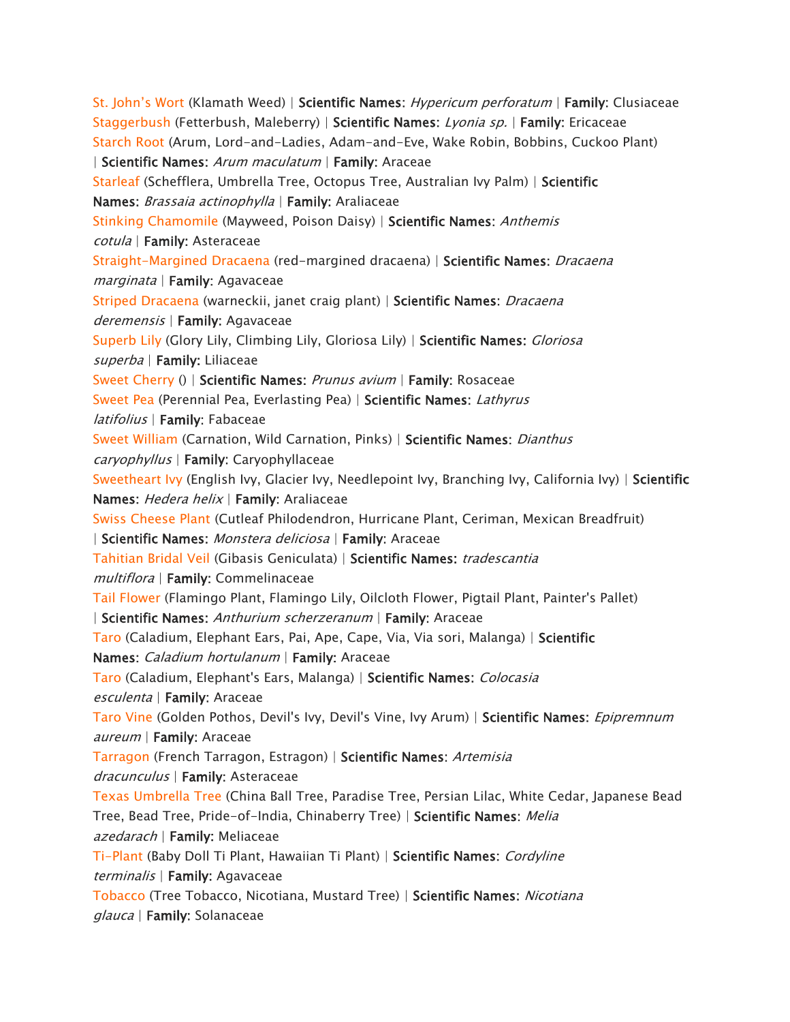[St. John's Wort](https://www.aspca.org/pet-care/animal-poison-control/toxic-and-non-toxic-plants/st-johns-wort) *(Klamath Weed) | Scientific Names: Hypericum perforatum | Family: Clusiaceae [Staggerbush](https://www.aspca.org/pet-care/animal-poison-control/toxic-and-non-toxic-plants/staggerbush) (Fetterbush, Maleberry) | Scientific Names: Lyonia sp. | Family: Ericaceae [Starch Root](https://www.aspca.org/pet-care/animal-poison-control/toxic-and-non-toxic-plants/starch-root) (Arum, Lord-and-Ladies, Adam-and-Eve, Wake Robin, Bobbins, Cuckoo Plant) | Scientific Names: Arum maculatum | Family: Araceae [Starleaf](https://www.aspca.org/pet-care/animal-poison-control/toxic-and-non-toxic-plants/starleaf) (Schefflera, Umbrella Tree, Octopus Tree, Australian Ivy Palm) | Scientific Names: Brassaia actinophylla | Family: Araliaceae [Stinking Chamomile](https://www.aspca.org/pet-care/animal-poison-control/toxic-and-non-toxic-plants/stinking-chamomile) (Mayweed, Poison Daisy) | Scientific Names: Anthemis cotula | Family: Asteraceae [Straight-Margined Dracaena](https://www.aspca.org/pet-care/animal-poison-control/toxic-and-non-toxic-plants/straight-margined-dracaena) (red-margined dracaena) | Scientific Names: Dracaena marginata | Family: Agavaceae [Striped Dracaena](https://www.aspca.org/pet-care/animal-poison-control/toxic-and-non-toxic-plants/striped-dracaena) (warneckii, janet craig plant) | Scientific Names: Dracaena deremensis | Family: Agavaceae [Superb Lily](https://www.aspca.org/pet-care/animal-poison-control/toxic-and-non-toxic-plants/superb-lily) (Glory Lily, Climbing Lily, Gloriosa Lily) | Scientific Names: Gloriosa superba | Family: Liliaceae [Sweet Cherry](https://www.aspca.org/pet-care/animal-poison-control/toxic-and-non-toxic-plants/sweet-cherry) () | Scientific Names: Prunus avium | Family: Rosaceae [Sweet Pea](https://www.aspca.org/pet-care/animal-poison-control/toxic-and-non-toxic-plants/sweet-pea) (Perennial Pea, Everlasting Pea) | Scientific Names: Lathyrus latifolius | Family: Fabaceae [Sweet William](https://www.aspca.org/pet-care/animal-poison-control/toxic-and-non-toxic-plants/sweet-william) (Carnation, Wild Carnation, Pinks) | Scientific Names: Dianthus caryophyllus | Family: Caryophyllaceae [Sweetheart Ivy](https://www.aspca.org/pet-care/animal-poison-control/toxic-and-non-toxic-plants/sweetheart-ivy) (English Ivy, Glacier Ivy, Needlepoint Ivy, Branching Ivy, California Ivy) | Scientific Names: Hedera helix | Family: Araliaceae [Swiss Cheese Plant](https://www.aspca.org/pet-care/animal-poison-control/toxic-and-non-toxic-plants/swiss-cheese-plant) (Cutleaf Philodendron, Hurricane Plant, Ceriman, Mexican Breadfruit) | Scientific Names: Monstera deliciosa | Family: Araceae [Tahitian Bridal Veil](https://www.aspca.org/pet-care/animal-poison-control/toxic-and-non-toxic-plants/tahitian-bridal-veil) (Gibasis Geniculata) | Scientific Names: tradescantia multiflora | Family: Commelinaceae [Tail Flower](https://www.aspca.org/pet-care/animal-poison-control/toxic-and-non-toxic-plants/tail-flower) (Flamingo Plant, Flamingo Lily, Oilcloth Flower, Pigtail Plant, Painter's Pallet) | Scientific Names: Anthurium scherzeranum | Family: Araceae [Taro](https://www.aspca.org/pet-care/animal-poison-control/toxic-and-non-toxic-plants/taro) (Caladium, Elephant Ears, Pai, Ape, Cape, Via, Via sori, Malanga) | Scientific Names: Caladium hortulanum | Family: Araceae [Taro](https://www.aspca.org/pet-care/animal-poison-control/toxic-and-non-toxic-plants/taro-0) (Caladium, Elephant's Ears, Malanga) | Scientific Names: Colocasia esculenta | Family: Araceae [Taro Vine](https://www.aspca.org/pet-care/animal-poison-control/toxic-and-non-toxic-plants/taro-vine) (Golden Pothos, Devil's Ivy, Devil's Vine, Ivy Arum) | Scientific Names: Epipremnum aureum | Family: Araceae [Tarragon](https://www.aspca.org/pet-care/animal-poison-control/toxic-and-non-toxic-plants/tarragon) (French Tarragon, Estragon) | Scientific Names: Artemisia dracunculus | Family: Asteraceae [Texas Umbrella Tree](https://www.aspca.org/pet-care/animal-poison-control/toxic-and-non-toxic-plants/texas-umbrella-tree) (China Ball Tree, Paradise Tree, Persian Lilac, White Cedar, Japanese Bead Tree, Bead Tree, Pride-of-India, Chinaberry Tree) | Scientific Names: Melia azedarach | Family: Meliaceae [Ti-Plant](https://www.aspca.org/pet-care/animal-poison-control/toxic-and-non-toxic-plants/ti-plant) (Baby Doll Ti Plant, Hawaiian Ti Plant) | Scientific Names: Cordyline terminalis | Family: Agavaceae [Tobacco](https://www.aspca.org/pet-care/animal-poison-control/toxic-and-non-toxic-plants/tobacco) (Tree Tobacco, Nicotiana, Mustard Tree) | Scientific Names: Nicotiana glauca | Family: Solanaceae*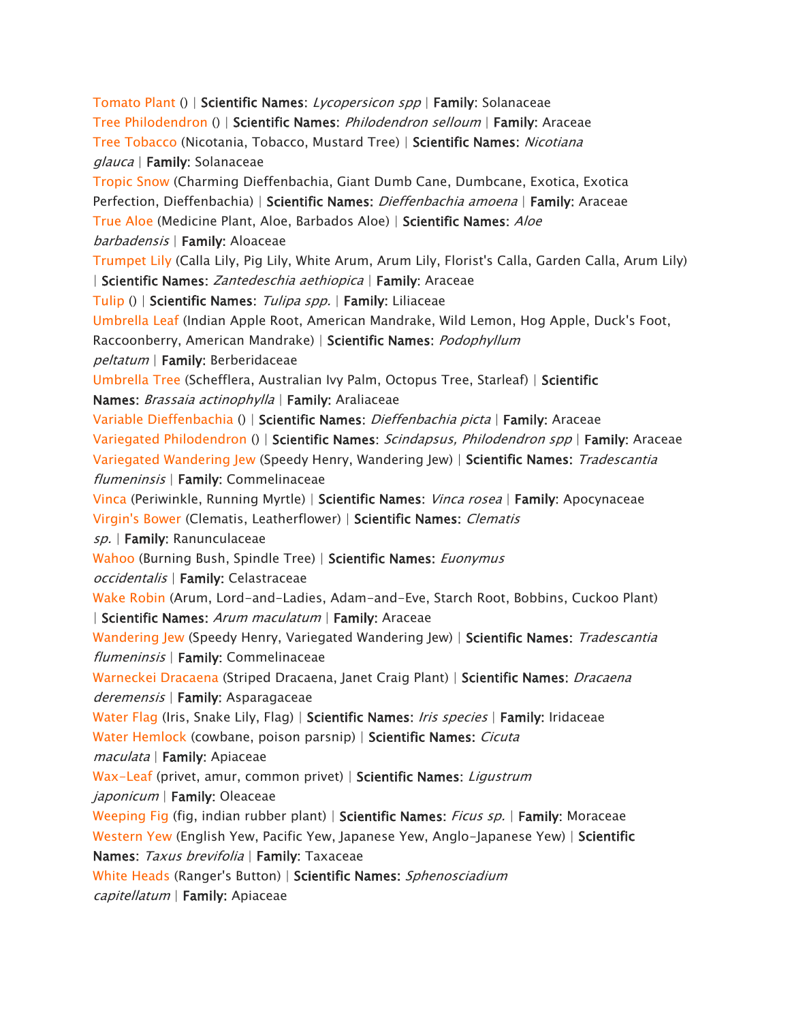*[Tomato Plant](https://www.aspca.org/pet-care/animal-poison-control/toxic-and-non-toxic-plants/tomato-plant) () | Scientific Names: Lycopersicon spp | Family: Solanaceae [Tree Philodendron](https://www.aspca.org/pet-care/animal-poison-control/toxic-and-non-toxic-plants/tree-philodendron) () | Scientific Names: Philodendron selloum | Family: Araceae [Tree Tobacco](https://www.aspca.org/pet-care/animal-poison-control/toxic-and-non-toxic-plants/tree-tobacco) (Nicotania, Tobacco, Mustard Tree) | Scientific Names: Nicotiana glauca | Family: Solanaceae [Tropic Snow](https://www.aspca.org/pet-care/animal-poison-control/toxic-and-non-toxic-plants/tropic-snow) (Charming Dieffenbachia, Giant Dumb Cane, Dumbcane, Exotica, Exotica Perfection, Dieffenbachia) | Scientific Names: Dieffenbachia amoena | Family: Araceae [True Aloe](https://www.aspca.org/pet-care/animal-poison-control/toxic-and-non-toxic-plants/true-aloe) (Medicine Plant, Aloe, Barbados Aloe) | Scientific Names: Aloe barbadensis | Family: Aloaceae [Trumpet Lily](https://www.aspca.org/pet-care/animal-poison-control/toxic-and-non-toxic-plants/trumpet-lily) (Calla Lily, Pig Lily, White Arum, Arum Lily, Florist's Calla, Garden Calla, Arum Lily) | Scientific Names: Zantedeschia aethiopica | Family: Araceae [Tulip](https://www.aspca.org/pet-care/animal-poison-control/toxic-and-non-toxic-plants/tulip) () | Scientific Names: Tulipa spp. | Family: Liliaceae [Umbrella Leaf](https://www.aspca.org/pet-care/animal-poison-control/toxic-and-non-toxic-plants/umbrella-leaf) (Indian Apple Root, American Mandrake, Wild Lemon, Hog Apple, Duck's Foot, Raccoonberry, American Mandrake) | Scientific Names: Podophyllum peltatum | Family: Berberidaceae [Umbrella Tree](https://www.aspca.org/pet-care/animal-poison-control/toxic-and-non-toxic-plants/umbrella-tree) (Schefflera, Australian Ivy Palm, Octopus Tree, Starleaf) | Scientific Names: Brassaia actinophylla | Family: Araliaceae [Variable Dieffenbachia](https://www.aspca.org/pet-care/animal-poison-control/toxic-and-non-toxic-plants/variable-dieffenbachia) () | Scientific Names: Dieffenbachia picta | Family: Araceae [Variegated Philodendron](https://www.aspca.org/pet-care/animal-poison-control/toxic-and-non-toxic-plants/variegated-philodendron) () | Scientific Names: Scindapsus, Philodendron spp | Family: Araceae [Variegated Wandering Jew](https://www.aspca.org/pet-care/animal-poison-control/toxic-and-non-toxic-plants/variegated-wandering-jew) (Speedy Henry, Wandering Jew) | Scientific Names: Tradescantia flumeninsis | Family: Commelinaceae [Vinca](https://www.aspca.org/pet-care/animal-poison-control/toxic-and-non-toxic-plants/vinca) (Periwinkle, Running Myrtle) | Scientific Names: Vinca rosea | Family: Apocynaceae [Virgin's Bower](https://www.aspca.org/pet-care/animal-poison-control/toxic-and-non-toxic-plants/virgins-bower) (Clematis, Leatherflower) | Scientific Names: Clematis sp. | Family: Ranunculaceae [Wahoo](https://www.aspca.org/pet-care/animal-poison-control/toxic-and-non-toxic-plants/wahoo) (Burning Bush, Spindle Tree) | Scientific Names: Euonymus occidentalis | Family: Celastraceae [Wake Robin](https://www.aspca.org/pet-care/animal-poison-control/toxic-and-non-toxic-plants/wake-robin) (Arum, Lord-and-Ladies, Adam-and-Eve, Starch Root, Bobbins, Cuckoo Plant) | Scientific Names: Arum maculatum | Family: Araceae [Wandering Jew](https://www.aspca.org/pet-care/animal-poison-control/toxic-and-non-toxic-plants/wandering-jew) (Speedy Henry, Variegated Wandering Jew) | Scientific Names: Tradescantia flumeninsis | Family: Commelinaceae [Warneckei Dracaena](https://www.aspca.org/pet-care/animal-poison-control/toxic-and-non-toxic-plants/warneckei-dracaena) (Striped Dracaena, Janet Craig Plant) | Scientific Names: Dracaena deremensis | Family: Asparagaceae [Water Flag](https://www.aspca.org/pet-care/animal-poison-control/toxic-and-non-toxic-plants/water-flag) (Iris, Snake Lily, Flag) | Scientific Names: Iris species | Family: Iridaceae [Water Hemlock](https://www.aspca.org/pet-care/animal-poison-control/toxic-and-non-toxic-plants/water-hemlock) (cowbane, poison parsnip) | Scientific Names: Cicuta maculata | Family: Apiaceae [Wax-Leaf](https://www.aspca.org/pet-care/animal-poison-control/toxic-and-non-toxic-plants/wax-leaf) (privet, amur, common privet) | Scientific Names: Ligustrum japonicum | Family: Oleaceae [Weeping Fig](https://www.aspca.org/pet-care/animal-poison-control/toxic-and-non-toxic-plants/weeping-fig) (fig, indian rubber plant) | Scientific Names: Ficus sp. | Family: Moraceae [Western Yew](https://www.aspca.org/pet-care/animal-poison-control/toxic-and-non-toxic-plants/western-yew) (English Yew, Pacific Yew, Japanese Yew, Anglo-Japanese Yew) | Scientific Names: Taxus brevifolia | Family: Taxaceae [White Heads](https://www.aspca.org/pet-care/animal-poison-control/toxic-and-non-toxic-plants/white-heads) (Ranger's Button) | Scientific Names: Sphenosciadium capitellatum | Family: Apiaceae*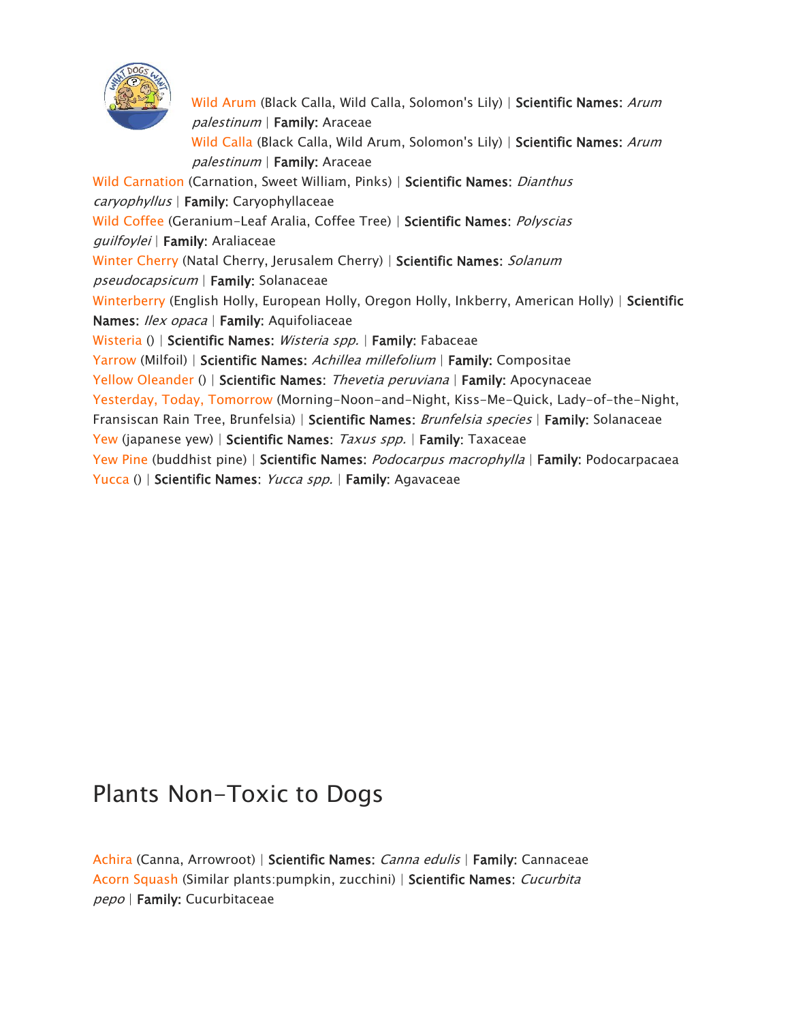

*[Wild Arum](https://www.aspca.org/pet-care/animal-poison-control/toxic-and-non-toxic-plants/wild-arum) (Black Calla, Wild Calla, Solomon's Lily) | Scientific Names: Arum palestinum | Family: Araceae [Wild Calla](https://www.aspca.org/pet-care/animal-poison-control/toxic-and-non-toxic-plants/wild-calla) (Black Calla, Wild Arum, Solomon's Lily) | Scientific Names: Arum palestinum | Family: Araceae [Wild Carnation](https://www.aspca.org/pet-care/animal-poison-control/toxic-and-non-toxic-plants/wild-carnation) (Carnation, Sweet William, Pinks) | Scientific Names: Dianthus caryophyllus | Family: Caryophyllaceae [Wild Coffee](https://www.aspca.org/pet-care/animal-poison-control/toxic-and-non-toxic-plants/wild-coffee) (Geranium-Leaf Aralia, Coffee Tree) | Scientific Names: Polyscias guilfoylei | Family: Araliaceae [Winter Cherry](https://www.aspca.org/pet-care/animal-poison-control/toxic-and-non-toxic-plants/winter-cherry) (Natal Cherry, Jerusalem Cherry) | Scientific Names: Solanum pseudocapsicum | Family: Solanaceae [Winterberry](https://www.aspca.org/pet-care/animal-poison-control/toxic-and-non-toxic-plants/winterberry) (English Holly, European Holly, Oregon Holly, Inkberry, American Holly) | Scientific Names: Ilex opaca | Family: Aquifoliaceae [Wisteria](https://www.aspca.org/pet-care/animal-poison-control/toxic-and-non-toxic-plants/wisteria) () | Scientific Names: Wisteria spp. | Family: Fabaceae [Yarrow](https://www.aspca.org/pet-care/animal-poison-control/toxic-and-non-toxic-plants/yarrow) (Milfoil) | Scientific Names: Achillea millefolium | Family: Compositae [Yellow Oleander](https://www.aspca.org/pet-care/animal-poison-control/toxic-and-non-toxic-plants/yellow-oleander) () | Scientific Names: Thevetia peruviana | Family: Apocynaceae [Yesterday, Today, Tomorrow](https://www.aspca.org/pet-care/animal-poison-control/toxic-and-non-toxic-plants/yesterday-today-tomorrow) (Morning-Noon-and-Night, Kiss-Me-Quick, Lady-of-the-Night, Fransiscan Rain Tree, Brunfelsia) | Scientific Names: Brunfelsia species | Family: Solanaceae [Yew](https://www.aspca.org/pet-care/animal-poison-control/toxic-and-non-toxic-plants/yew) (japanese yew) | Scientific Names: Taxus spp. | Family: Taxaceae [Yew Pine](https://www.aspca.org/pet-care/animal-poison-control/toxic-and-non-toxic-plants/yew-pine) (buddhist pine) | Scientific Names: Podocarpus macrophylla | Family: Podocarpacaea* 

*[Yucca](https://www.aspca.org/pet-care/animal-poison-control/toxic-and-non-toxic-plants/yucca) () | Scientific Names: Yucca spp. | Family: Agavaceae* 

## *Plants Non-Toxic to Dogs*

*[Achira](https://www.aspca.org/pet-care/animal-poison-control/toxic-and-non-toxic-plants/achira) (Canna, Arrowroot) | Scientific Names: Canna edulis | Family: Cannaceae [Acorn Squash](https://www.aspca.org/pet-care/animal-poison-control/toxic-and-non-toxic-plants/acorn-squash) (Similar plants:pumpkin, zucchini) | Scientific Names: Cucurbita pepo | Family: Cucurbitaceae*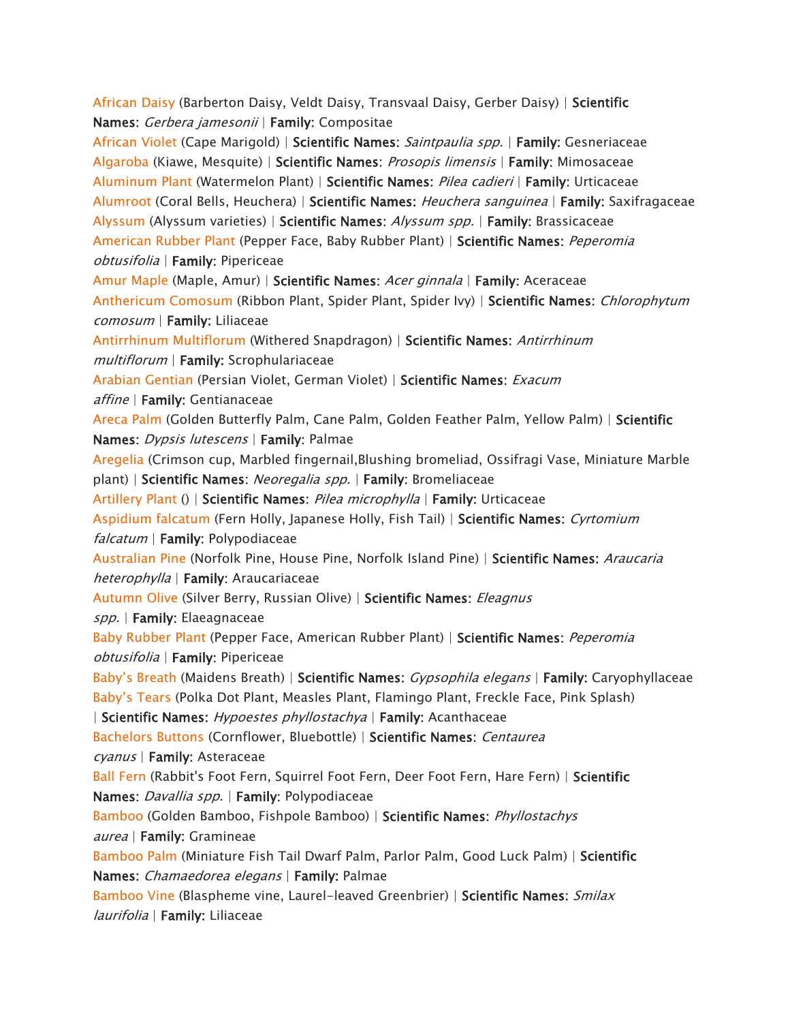*[African Daisy](https://www.aspca.org/pet-care/animal-poison-control/toxic-and-non-toxic-plants/african-daisy) (Barberton Daisy, Veldt Daisy, Transvaal Daisy, Gerber Daisy) | Scientific Names: Gerbera jamesonii | Family: Compositae [African Violet](https://www.aspca.org/pet-care/animal-poison-control/toxic-and-non-toxic-plants/african-violet) (Cape Marigold) | Scientific Names: Saintpaulia spp. | Family: Gesneriaceae [Algaroba](https://www.aspca.org/pet-care/animal-poison-control/toxic-and-non-toxic-plants/algaroba) (Kiawe, Mesquite) | Scientific Names: Prosopis limensis | Family: Mimosaceae [Aluminum Plant](https://www.aspca.org/pet-care/animal-poison-control/toxic-and-non-toxic-plants/aluminum-plant) (Watermelon Plant) | Scientific Names: Pilea cadieri | Family: Urticaceae [Alumroot](https://www.aspca.org/pet-care/animal-poison-control/toxic-and-non-toxic-plants/alumroot) (Coral Bells, Heuchera) | Scientific Names: Heuchera sanguinea | Family: Saxifragaceae [Alyssum](https://www.aspca.org/pet-care/animal-poison-control/toxic-and-non-toxic-plants/alyssum) (Alyssum varieties) | Scientific Names: Alyssum spp. | Family: Brassicaceae [American Rubber Plant](https://www.aspca.org/pet-care/animal-poison-control/toxic-and-non-toxic-plants/american-rubber-plant) (Pepper Face, Baby Rubber Plant) | Scientific Names: Peperomia obtusifolia | Family: Pipericeae [Amur Maple](https://www.aspca.org/pet-care/animal-poison-control/toxic-and-non-toxic-plants/amur-maple) (Maple, Amur) | Scientific Names: Acer ginnala | Family: Aceraceae [Anthericum Comosum](https://www.aspca.org/pet-care/animal-poison-control/toxic-and-non-toxic-plants/anthericum-comosum) (Ribbon Plant, Spider Plant, Spider Ivy) | Scientific Names: Chlorophytum comosum | Family: Liliaceae [Antirrhinum Multiflorum](https://www.aspca.org/pet-care/animal-poison-control/toxic-and-non-toxic-plants/antirrhinum-multiflorum) (Withered Snapdragon) | Scientific Names: Antirrhinum multiflorum | Family: Scrophulariaceae [Arabian Gentian](https://www.aspca.org/pet-care/animal-poison-control/toxic-and-non-toxic-plants/arabian-gentian) (Persian Violet, German Violet) | Scientific Names: Exacum affine | Family: Gentianaceae [Areca Palm](https://www.aspca.org/pet-care/animal-poison-control/toxic-and-non-toxic-plants/areca-palm) (Golden Butterfly Palm, Cane Palm, Golden Feather Palm, Yellow Palm) | Scientific Names: Dypsis lutescens | Family: Palmae [Aregelia](https://www.aspca.org/pet-care/animal-poison-control/toxic-and-non-toxic-plants/aregelia) (Crimson cup, Marbled fingernail,Blushing bromeliad, Ossifragi Vase, Miniature Marble plant) | Scientific Names: Neoregalia spp. | Family: Bromeliaceae [Artillery Plant](https://www.aspca.org/pet-care/animal-poison-control/toxic-and-non-toxic-plants/artillery-plant) () | Scientific Names: Pilea microphylla | Family: Urticaceae [Aspidium falcatum](https://www.aspca.org/pet-care/animal-poison-control/toxic-and-non-toxic-plants/aspidium-falcatum) (Fern Holly, Japanese Holly, Fish Tail) | Scientific Names: Cyrtomium falcatum | Family: Polypodiaceae [Australian Pine](https://www.aspca.org/pet-care/animal-poison-control/toxic-and-non-toxic-plants/australian-pine) (Norfolk Pine, House Pine, Norfolk Island Pine) | Scientific Names: Araucaria heterophylla | Family: Araucariaceae [Autumn Olive](https://www.aspca.org/pet-care/animal-poison-control/toxic-and-non-toxic-plants/autumn-olive) (Silver Berry, Russian Olive) | Scientific Names: Eleagnus spp. | Family: Elaeagnaceae [Baby Rubber Plant](https://www.aspca.org/pet-care/animal-poison-control/toxic-and-non-toxic-plants/baby-rubber-plant) (Pepper Face, American Rubber Plant) | Scientific Names: Peperomia obtusifolia | Family: Pipericeae*  [Baby's Breath](https://www.aspca.org/pet-care/animal-poison-control/toxic-and-non-toxic-plants/babys-breath) *(Maidens Breath) | Scientific Names: Gypsophila elegans | Family: Caryophyllaceae*  [Baby's Tears](https://www.aspca.org/pet-care/animal-poison-control/toxic-and-non-toxic-plants/babys-tears) *(Polka Dot Plant, Measles Plant, Flamingo Plant, Freckle Face, Pink Splash) | Scientific Names: Hypoestes phyllostachya | Family: Acanthaceae [Bachelors Buttons](https://www.aspca.org/pet-care/animal-poison-control/toxic-and-non-toxic-plants/bachelors-buttons) (Cornflower, Bluebottle) | Scientific Names: Centaurea cyanus | Family: Asteraceae [Ball Fern](https://www.aspca.org/pet-care/animal-poison-control/toxic-and-non-toxic-plants/ball-fern) (Rabbit's Foot Fern, Squirrel Foot Fern, Deer Foot Fern, Hare Fern) | Scientific Names: Davallia spp. | Family: Polypodiaceae [Bamboo](https://www.aspca.org/pet-care/animal-poison-control/toxic-and-non-toxic-plants/bamboo) (Golden Bamboo, Fishpole Bamboo) | Scientific Names: Phyllostachys aurea | Family: Gramineae [Bamboo Palm](https://www.aspca.org/pet-care/animal-poison-control/toxic-and-non-toxic-plants/bamboo-palm) (Miniature Fish Tail Dwarf Palm, Parlor Palm, Good Luck Palm) | Scientific Names: Chamaedorea elegans | Family: Palmae [Bamboo Vine](https://www.aspca.org/pet-care/animal-poison-control/toxic-and-non-toxic-plants/bamboo-vine) (Blaspheme vine, Laurel-leaved Greenbrier) | Scientific Names: Smilax laurifolia | Family: Liliaceae*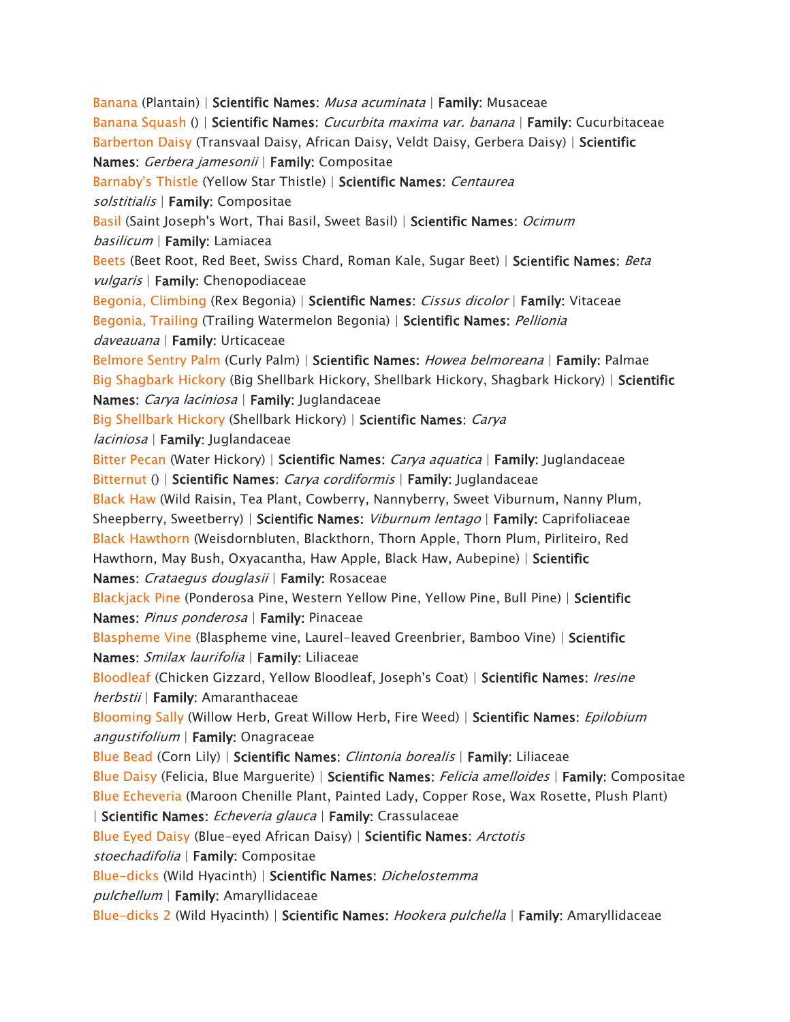*[Banana](https://www.aspca.org/pet-care/animal-poison-control/toxic-and-non-toxic-plants/banana) (Plantain) | Scientific Names: Musa acuminata | Family: Musaceae [Banana Squash](https://www.aspca.org/pet-care/animal-poison-control/toxic-and-non-toxic-plants/banana-squash) () | Scientific Names: Cucurbita maxima var. banana | Family: Cucurbitaceae [Barberton Daisy](https://www.aspca.org/pet-care/animal-poison-control/toxic-and-non-toxic-plants/barberton-daisy) (Transvaal Daisy, African Daisy, Veldt Daisy, Gerbera Daisy) | Scientific Names: Gerbera jamesonii | Family: Compositae [Barnaby's Thistle](https://www.aspca.org/pet-care/animal-poison-control/toxic-and-non-toxic-plants/barnabys-thistle) (Yellow Star Thistle) | Scientific Names: Centaurea solstitialis | Family: Compositae [Basil](https://www.aspca.org/pet-care/animal-poison-control/toxic-and-non-toxic-plants/basil) (Saint Joseph's Wort, Thai Basil, Sweet Basil) | Scientific Names: Ocimum basilicum | Family: Lamiacea [Beets](https://www.aspca.org/pet-care/animal-poison-control/toxic-and-non-toxic-plants/beets) (Beet Root, Red Beet, Swiss Chard, Roman Kale, Sugar Beet) | Scientific Names: Beta vulgaris | Family: Chenopodiaceae [Begonia, Climbing](https://www.aspca.org/pet-care/animal-poison-control/toxic-and-non-toxic-plants/begonia-climbing) (Rex Begonia) | Scientific Names: Cissus dicolor | Family: Vitaceae [Begonia, Trailing](https://www.aspca.org/pet-care/animal-poison-control/toxic-and-non-toxic-plants/begonia-trailing) (Trailing Watermelon Begonia) | Scientific Names: Pellionia daveauana | Family: Urticaceae [Belmore Sentry Palm](https://www.aspca.org/pet-care/animal-poison-control/toxic-and-non-toxic-plants/belmore-sentry-palm) (Curly Palm) | Scientific Names: Howea belmoreana | Family: Palmae [Big Shagbark Hickory](https://www.aspca.org/pet-care/animal-poison-control/toxic-and-non-toxic-plants/big-shagbark-hickory) (Big Shellbark Hickory, Shellbark Hickory, Shagbark Hickory) | Scientific Names: Carya laciniosa | Family: Juglandaceae [Big Shellbark Hickory](https://www.aspca.org/pet-care/animal-poison-control/toxic-and-non-toxic-plants/big-shellbark-hickory) (Shellbark Hickory) | Scientific Names: Carya laciniosa | Family: Juglandaceae [Bitter Pecan](https://www.aspca.org/pet-care/animal-poison-control/toxic-and-non-toxic-plants/bitter-pecan) (Water Hickory) | Scientific Names: Carya aquatica | Family: Juglandaceae [Bitternut](https://www.aspca.org/pet-care/animal-poison-control/toxic-and-non-toxic-plants/bitternut) () | Scientific Names: Carya cordiformis | Family: Juglandaceae [Black Haw](https://www.aspca.org/pet-care/animal-poison-control/toxic-and-non-toxic-plants/black-haw) (Wild Raisin, Tea Plant, Cowberry, Nannyberry, Sweet Viburnum, Nanny Plum, Sheepberry, Sweetberry) | Scientific Names: Viburnum lentago | Family: Caprifoliaceae [Black Hawthorn](https://www.aspca.org/pet-care/animal-poison-control/toxic-and-non-toxic-plants/black-hawthorn) (Weisdornbluten, Blackthorn, Thorn Apple, Thorn Plum, Pirliteiro, Red Hawthorn, May Bush, Oxyacantha, Haw Apple, Black Haw, Aubepine) | Scientific Names: Crataegus douglasii | Family: Rosaceae [Blackjack Pine](https://www.aspca.org/pet-care/animal-poison-control/toxic-and-non-toxic-plants/blackjack-pine) (Ponderosa Pine, Western Yellow Pine, Yellow Pine, Bull Pine) | Scientific Names: Pinus ponderosa | Family: Pinaceae [Blaspheme Vine](https://www.aspca.org/pet-care/animal-poison-control/toxic-and-non-toxic-plants/blaspheme-vine) (Blaspheme vine, Laurel-leaved Greenbrier, Bamboo Vine) | Scientific Names: Smilax laurifolia | Family: Liliaceae [Bloodleaf](https://www.aspca.org/pet-care/animal-poison-control/toxic-and-non-toxic-plants/bloodleaf) (Chicken Gizzard, Yellow Bloodleaf, Joseph's Coat) | Scientific Names: Iresine herbstii | Family: Amaranthaceae [Blooming Sally](https://www.aspca.org/pet-care/animal-poison-control/toxic-and-non-toxic-plants/blooming-sally) (Willow Herb, Great Willow Herb, Fire Weed) | Scientific Names: Epilobium angustifolium | Family: Onagraceae [Blue Bead](https://www.aspca.org/pet-care/animal-poison-control/toxic-and-non-toxic-plants/blue-bead) (Corn Lily) | Scientific Names: Clintonia borealis | Family: Liliaceae [Blue Daisy](https://www.aspca.org/pet-care/animal-poison-control/toxic-and-non-toxic-plants/blue-daisy) (Felicia, Blue Marguerite) | Scientific Names: Felicia amelloides | Family: Compositae [Blue Echeveria](https://www.aspca.org/pet-care/animal-poison-control/toxic-and-non-toxic-plants/blue-echeveria) (Maroon Chenille Plant, Painted Lady, Copper Rose, Wax Rosette, Plush Plant) | Scientific Names: Echeveria glauca | Family: Crassulaceae [Blue Eyed Daisy](https://www.aspca.org/pet-care/animal-poison-control/toxic-and-non-toxic-plants/blue-eyed-daisy) (Blue-eyed African Daisy) | Scientific Names: Arctotis stoechadifolia | Family: Compositae [Blue-dicks](https://www.aspca.org/pet-care/animal-poison-control/toxic-and-non-toxic-plants/blue-dicks) (Wild Hyacinth) | Scientific Names: Dichelostemma pulchellum | Family: Amaryllidaceae [Blue-dicks 2](https://www.aspca.org/pet-care/animal-poison-control/toxic-and-non-toxic-plants/blue-dicks-2) (Wild Hyacinth) | Scientific Names: Hookera pulchella | Family: Amaryllidaceae*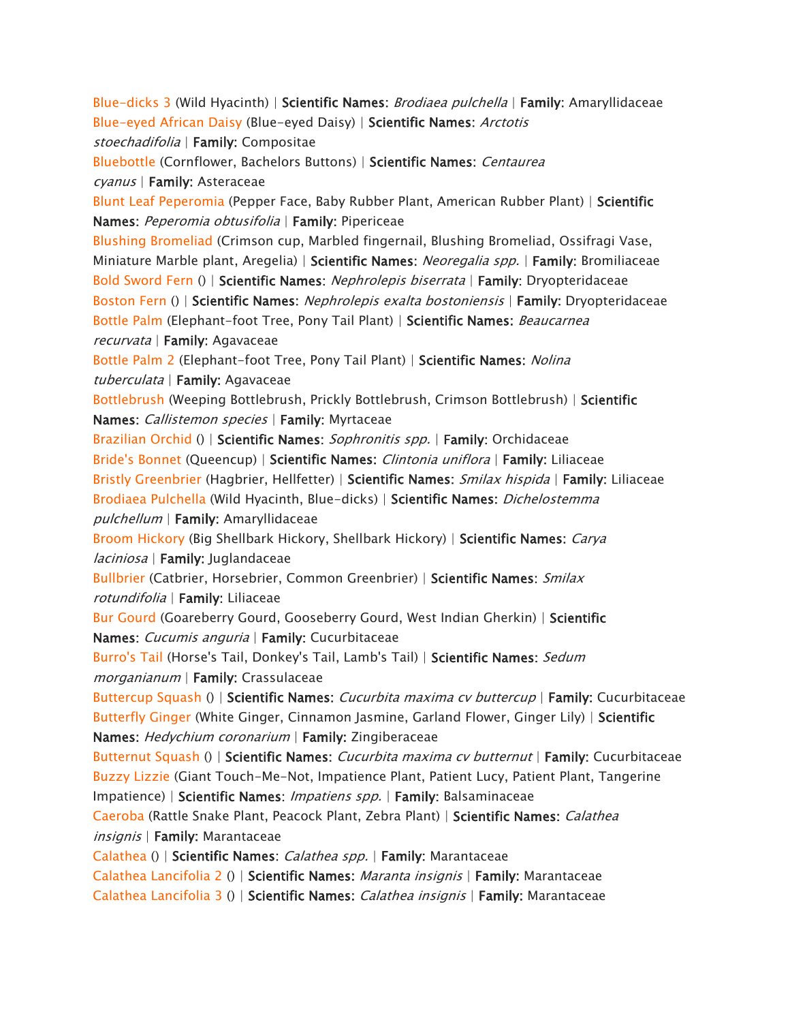*[Blue-dicks 3](https://www.aspca.org/pet-care/animal-poison-control/toxic-and-non-toxic-plants/blue-dicks-3) (Wild Hyacinth) | Scientific Names: Brodiaea pulchella | Family: Amaryllidaceae [Blue-eyed African Daisy](https://www.aspca.org/pet-care/animal-poison-control/toxic-and-non-toxic-plants/blue-eyed-african-daisy) (Blue-eyed Daisy) | Scientific Names: Arctotis stoechadifolia | Family: Compositae [Bluebottle](https://www.aspca.org/pet-care/animal-poison-control/toxic-and-non-toxic-plants/bluebottle) (Cornflower, Bachelors Buttons) | Scientific Names: Centaurea cyanus | Family: Asteraceae [Blunt Leaf Peperomia](https://www.aspca.org/pet-care/animal-poison-control/toxic-and-non-toxic-plants/blunt-leaf-peperomia) (Pepper Face, Baby Rubber Plant, American Rubber Plant) | Scientific Names: Peperomia obtusifolia | Family: Pipericeae [Blushing Bromeliad](https://www.aspca.org/pet-care/animal-poison-control/toxic-and-non-toxic-plants/blushing-bromeliad) (Crimson cup, Marbled fingernail, Blushing Bromeliad, Ossifragi Vase, Miniature Marble plant, Aregelia) | Scientific Names: Neoregalia spp. | Family: Bromiliaceae [Bold Sword Fern](https://www.aspca.org/pet-care/animal-poison-control/toxic-and-non-toxic-plants/bold-sword-fern) () | Scientific Names: Nephrolepis biserrata | Family: Dryopteridaceae [Boston Fern](https://www.aspca.org/pet-care/animal-poison-control/toxic-and-non-toxic-plants/boston-fern) () | Scientific Names: Nephrolepis exalta bostoniensis | Family: Dryopteridaceae [Bottle Palm](https://www.aspca.org/pet-care/animal-poison-control/toxic-and-non-toxic-plants/bottle-palm) (Elephant-foot Tree, Pony Tail Plant) | Scientific Names: Beaucarnea recurvata | Family: Agavaceae [Bottle Palm 2](https://www.aspca.org/pet-care/animal-poison-control/toxic-and-non-toxic-plants/bottle-palm-2) (Elephant-foot Tree, Pony Tail Plant) | Scientific Names: Nolina tuberculata | Family: Agavaceae [Bottlebrush](https://www.aspca.org/pet-care/animal-poison-control/toxic-and-non-toxic-plants/bottlebrush) (Weeping Bottlebrush, Prickly Bottlebrush, Crimson Bottlebrush) | Scientific Names: Callistemon species | Family: Myrtaceae [Brazilian Orchid](https://www.aspca.org/pet-care/animal-poison-control/toxic-and-non-toxic-plants/brazilian-orchid) () | Scientific Names: Sophronitis spp. | Family: Orchidaceae [Bride's Bonnet](https://www.aspca.org/pet-care/animal-poison-control/toxic-and-non-toxic-plants/brides-bonnet) (Queencup) | Scientific Names: Clintonia uniflora | Family: Liliaceae [Bristly Greenbrier](https://www.aspca.org/pet-care/animal-poison-control/toxic-and-non-toxic-plants/bristly-greenbrier) (Hagbrier, Hellfetter) | Scientific Names: Smilax hispida | Family: Liliaceae [Brodiaea Pulchella](https://www.aspca.org/pet-care/animal-poison-control/toxic-and-non-toxic-plants/brodiaea-pulchella) (Wild Hyacinth, Blue-dicks) | Scientific Names: Dichelostemma pulchellum | Family: Amaryllidaceae [Broom Hickory](https://www.aspca.org/pet-care/animal-poison-control/toxic-and-non-toxic-plants/broom-hickory) (Big Shellbark Hickory, Shellbark Hickory) | Scientific Names: Carya laciniosa | Family: Juglandaceae [Bullbrier](https://www.aspca.org/pet-care/animal-poison-control/toxic-and-non-toxic-plants/bullbrier) (Catbrier, Horsebrier, Common Greenbrier) | Scientific Names: Smilax rotundifolia | Family: Liliaceae [Bur Gourd](https://www.aspca.org/pet-care/animal-poison-control/toxic-and-non-toxic-plants/bur-gourd) (Goareberry Gourd, Gooseberry Gourd, West Indian Gherkin) | Scientific Names: Cucumis anguria | Family: Cucurbitaceae [Burro's Tail](https://www.aspca.org/pet-care/animal-poison-control/toxic-and-non-toxic-plants/burros-tail) (Horse's Tail, Donkey's Tail, Lamb's Tail) | Scientific Names: Sedum morganianum | Family: Crassulaceae [Buttercup Squash](https://www.aspca.org/pet-care/animal-poison-control/toxic-and-non-toxic-plants/buttercup-squash) () | Scientific Names: Cucurbita maxima cv buttercup | Family: Cucurbitaceae [Butterfly Ginger](https://www.aspca.org/pet-care/animal-poison-control/toxic-and-non-toxic-plants/butterfly-ginger) (White Ginger, Cinnamon Jasmine, Garland Flower, Ginger Lily) | Scientific Names: Hedychium coronarium | Family: Zingiberaceae [Butternut Squash](https://www.aspca.org/pet-care/animal-poison-control/toxic-and-non-toxic-plants/butternut-squash) () | Scientific Names: Cucurbita maxima cv butternut | Family: Cucurbitaceae [Buzzy Lizzie](https://www.aspca.org/pet-care/animal-poison-control/toxic-and-non-toxic-plants/buzzy-lizzie) (Giant Touch-Me-Not, Impatience Plant, Patient Lucy, Patient Plant, Tangerine Impatience) | Scientific Names: Impatiens spp. | Family: Balsaminaceae [Caeroba](https://www.aspca.org/pet-care/animal-poison-control/toxic-and-non-toxic-plants/caeroba) (Rattle Snake Plant, Peacock Plant, Zebra Plant) | Scientific Names: Calathea insignis | Family: Marantaceae [Calathea](https://www.aspca.org/pet-care/animal-poison-control/toxic-and-non-toxic-plants/calathea) () | Scientific Names: Calathea spp. | Family: Marantaceae [Calathea Lancifolia 2](https://www.aspca.org/pet-care/animal-poison-control/toxic-and-non-toxic-plants/calathea-lancifolia-2) () | Scientific Names: Maranta insignis | Family: Marantaceae [Calathea Lancifolia 3](https://www.aspca.org/pet-care/animal-poison-control/toxic-and-non-toxic-plants/calathea-lancifolia-3) () | Scientific Names: Calathea insignis | Family: Marantaceae*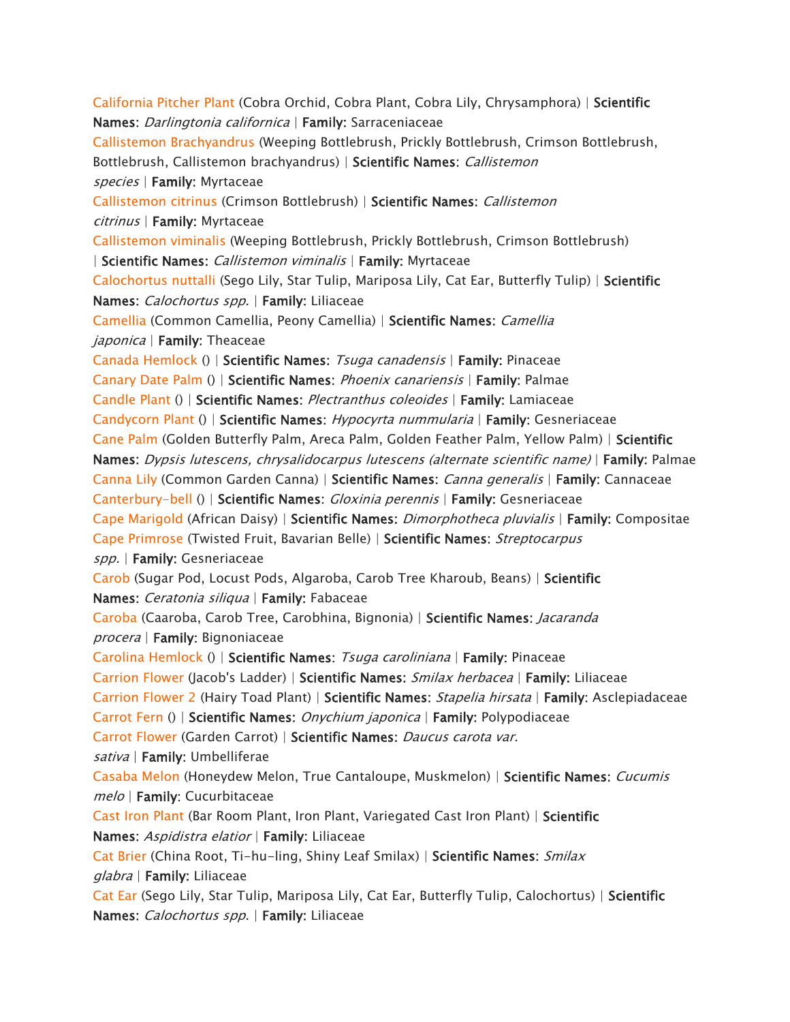*[California Pitcher Plant](https://www.aspca.org/pet-care/animal-poison-control/toxic-and-non-toxic-plants/california-pitcher-plant) (Cobra Orchid, Cobra Plant, Cobra Lily, Chrysamphora) | Scientific Names: Darlingtonia californica | Family: Sarraceniaceae [Callistemon Brachyandrus](https://www.aspca.org/pet-care/animal-poison-control/toxic-and-non-toxic-plants/callistemon-brachyandrus) (Weeping Bottlebrush, Prickly Bottlebrush, Crimson Bottlebrush, Bottlebrush, Callistemon brachyandrus) | Scientific Names: Callistemon species | Family: Myrtaceae [Callistemon citrinus](https://www.aspca.org/pet-care/animal-poison-control/toxic-and-non-toxic-plants/callistemon-citrinus) (Crimson Bottlebrush) | Scientific Names: Callistemon citrinus | Family: Myrtaceae [Callistemon viminalis](https://www.aspca.org/pet-care/animal-poison-control/toxic-and-non-toxic-plants/callistemon-viminalis) (Weeping Bottlebrush, Prickly Bottlebrush, Crimson Bottlebrush) | Scientific Names: Callistemon viminalis | Family: Myrtaceae [Calochortus nuttalli](https://www.aspca.org/pet-care/animal-poison-control/toxic-and-non-toxic-plants/calochortus-nuttalli) (Sego Lily, Star Tulip, Mariposa Lily, Cat Ear, Butterfly Tulip) | Scientific Names: Calochortus spp. | Family: Liliaceae [Camellia](https://www.aspca.org/pet-care/animal-poison-control/toxic-and-non-toxic-plants/camellia) (Common Camellia, Peony Camellia) | Scientific Names: Camellia japonica | Family: Theaceae [Canada Hemlock](https://www.aspca.org/pet-care/animal-poison-control/toxic-and-non-toxic-plants/canada-hemlock) () | Scientific Names: Tsuga canadensis | Family: Pinaceae [Canary Date Palm](https://www.aspca.org/pet-care/animal-poison-control/toxic-and-non-toxic-plants/canary-date-palm) () | Scientific Names: Phoenix canariensis | Family: Palmae [Candle Plant](https://www.aspca.org/pet-care/animal-poison-control/toxic-and-non-toxic-plants/candle-plant) () | Scientific Names: Plectranthus coleoides | Family: Lamiaceae [Candycorn Plant](https://www.aspca.org/pet-care/animal-poison-control/toxic-and-non-toxic-plants/candycorn-plant) () | Scientific Names: Hypocyrta nummularia | Family: Gesneriaceae [Cane Palm](https://www.aspca.org/pet-care/animal-poison-control/toxic-and-non-toxic-plants/cane-palm) (Golden Butterfly Palm, Areca Palm, Golden Feather Palm, Yellow Palm) | Scientific Names: Dypsis lutescens, chrysalidocarpus lutescens (alternate scientific name) | Family: Palmae [Canna Lily](https://www.aspca.org/pet-care/animal-poison-control/toxic-and-non-toxic-plants/canna-lily) (Common Garden Canna) | Scientific Names: Canna generalis | Family: Cannaceae [Canterbury-bell](https://www.aspca.org/pet-care/animal-poison-control/toxic-and-non-toxic-plants/canterbury-bell) () | Scientific Names: Gloxinia perennis | Family: Gesneriaceae [Cape Marigold](https://www.aspca.org/pet-care/animal-poison-control/toxic-and-non-toxic-plants/cape-marigold) (African Daisy) | Scientific Names: Dimorphotheca pluvialis | Family: Compositae [Cape Primrose](https://www.aspca.org/pet-care/animal-poison-control/toxic-and-non-toxic-plants/cape-primrose) (Twisted Fruit, Bavarian Belle) | Scientific Names: Streptocarpus spp. | Family: Gesneriaceae [Carob](https://www.aspca.org/pet-care/animal-poison-control/toxic-and-non-toxic-plants/carob) (Sugar Pod, Locust Pods, Algaroba, Carob Tree Kharoub, Beans) | Scientific Names: Ceratonia siliqua | Family: Fabaceae [Caroba](https://www.aspca.org/pet-care/animal-poison-control/toxic-and-non-toxic-plants/caroba) (Caaroba, Carob Tree, Carobhina, Bignonia) | Scientific Names: Jacaranda procera | Family: Bignoniaceae [Carolina Hemlock](https://www.aspca.org/pet-care/animal-poison-control/toxic-and-non-toxic-plants/carolina-hemlock) () | Scientific Names: Tsuga caroliniana | Family: Pinaceae [Carrion Flower](https://www.aspca.org/pet-care/animal-poison-control/toxic-and-non-toxic-plants/carrion-flower) (Jacob's Ladder) | Scientific Names: Smilax herbacea | Family: Liliaceae [Carrion Flower 2](https://www.aspca.org/pet-care/animal-poison-control/toxic-and-non-toxic-plants/carrion-flower-2) (Hairy Toad Plant) | Scientific Names: Stapelia hirsata | Family: Asclepiadaceae [Carrot Fern](https://www.aspca.org/pet-care/animal-poison-control/toxic-and-non-toxic-plants/carrot-fern) () | Scientific Names: Onychium japonica | Family: Polypodiaceae [Carrot Flower](https://www.aspca.org/pet-care/animal-poison-control/toxic-and-non-toxic-plants/carrot-flower) (Garden Carrot) | Scientific Names: Daucus carota var. sativa | Family: Umbelliferae [Casaba Melon](https://www.aspca.org/pet-care/animal-poison-control/toxic-and-non-toxic-plants/casaba-melon) (Honeydew Melon, True Cantaloupe, Muskmelon) | Scientific Names: Cucumis melo | Family: Cucurbitaceae [Cast Iron Plant](https://www.aspca.org/pet-care/animal-poison-control/toxic-and-non-toxic-plants/cast-iron-plant) (Bar Room Plant, Iron Plant, Variegated Cast Iron Plant) | Scientific Names: Aspidistra elatior | Family: Liliaceae [Cat Brier](https://www.aspca.org/pet-care/animal-poison-control/toxic-and-non-toxic-plants/cat-brier) (China Root, Ti-hu-ling, Shiny Leaf Smilax) | Scientific Names: Smilax glabra | Family: Liliaceae [Cat Ear](https://www.aspca.org/pet-care/animal-poison-control/toxic-and-non-toxic-plants/cat-ear) (Sego Lily, Star Tulip, Mariposa Lily, Cat Ear, Butterfly Tulip, Calochortus) | Scientific Names: Calochortus spp. | Family: Liliaceae*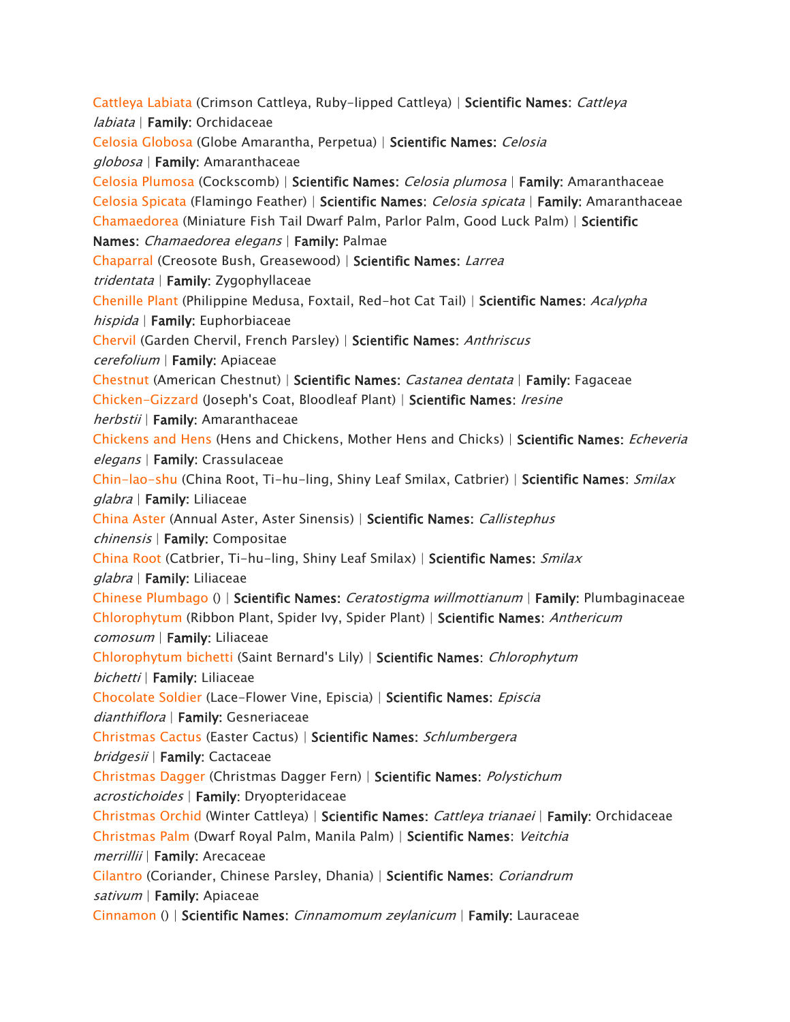*[Cattleya Labiata](https://www.aspca.org/pet-care/animal-poison-control/toxic-and-non-toxic-plants/cattleya-labiata) (Crimson Cattleya, Ruby-lipped Cattleya) | Scientific Names: Cattleya labiata | Family: Orchidaceae [Celosia Globosa](https://www.aspca.org/pet-care/animal-poison-control/toxic-and-non-toxic-plants/celosia-globosa) (Globe Amarantha, Perpetua) | Scientific Names: Celosia globosa | Family: Amaranthaceae [Celosia Plumosa](https://www.aspca.org/pet-care/animal-poison-control/toxic-and-non-toxic-plants/celosia-plumosa) (Cockscomb) | Scientific Names: Celosia plumosa | Family: Amaranthaceae [Celosia Spicata](https://www.aspca.org/pet-care/animal-poison-control/toxic-and-non-toxic-plants/celosia-spicata) (Flamingo Feather) | Scientific Names: Celosia spicata | Family: Amaranthaceae [Chamaedorea](https://www.aspca.org/pet-care/animal-poison-control/toxic-and-non-toxic-plants/chamaedorea) (Miniature Fish Tail Dwarf Palm, Parlor Palm, Good Luck Palm) | Scientific Names: Chamaedorea elegans | Family: Palmae [Chaparral](https://www.aspca.org/pet-care/animal-poison-control/toxic-and-non-toxic-plants/chaparral) (Creosote Bush, Greasewood) | Scientific Names: Larrea tridentata | Family: Zygophyllaceae [Chenille Plant](https://www.aspca.org/pet-care/animal-poison-control/toxic-and-non-toxic-plants/chenille-plant) (Philippine Medusa, Foxtail, Red-hot Cat Tail) | Scientific Names: Acalypha hispida | Family: Euphorbiaceae [Chervil](https://www.aspca.org/pet-care/animal-poison-control/toxic-and-non-toxic-plants/chervil) (Garden Chervil, French Parsley) | Scientific Names: Anthriscus cerefolium | Family: Apiaceae [Chestnut](https://www.aspca.org/pet-care/animal-poison-control/toxic-and-non-toxic-plants/chestnut) (American Chestnut) | Scientific Names: Castanea dentata | Family: Fagaceae [Chicken-Gizzard](https://www.aspca.org/pet-care/animal-poison-control/toxic-and-non-toxic-plants/chicken-gizzard) (Joseph's Coat, Bloodleaf Plant) | Scientific Names: Iresine herbstii | Family: Amaranthaceae [Chickens and Hens](https://www.aspca.org/pet-care/animal-poison-control/toxic-and-non-toxic-plants/chickens-and-hens) (Hens and Chickens, Mother Hens and Chicks) | Scientific Names: Echeveria elegans | Family: Crassulaceae [Chin-lao-shu](https://www.aspca.org/pet-care/animal-poison-control/toxic-and-non-toxic-plants/chin-lao-shu) (China Root, Ti-hu-ling, Shiny Leaf Smilax, Catbrier) | Scientific Names: Smilax glabra | Family: Liliaceae [China Aster](https://www.aspca.org/pet-care/animal-poison-control/toxic-and-non-toxic-plants/china-aster) (Annual Aster, Aster Sinensis) | Scientific Names: Callistephus chinensis | Family: Compositae [China Root](https://www.aspca.org/pet-care/animal-poison-control/toxic-and-non-toxic-plants/china-root) (Catbrier, Ti-hu-ling, Shiny Leaf Smilax) | Scientific Names: Smilax glabra | Family: Liliaceae [Chinese Plumbago](https://www.aspca.org/pet-care/animal-poison-control/toxic-and-non-toxic-plants/chinese-plumbago) () | Scientific Names: Ceratostigma willmottianum | Family: Plumbaginaceae [Chlorophytum](https://www.aspca.org/pet-care/animal-poison-control/toxic-and-non-toxic-plants/chlorophytum) (Ribbon Plant, Spider Ivy, Spider Plant) | Scientific Names: Anthericum comosum | Family: Liliaceae [Chlorophytum bichetti](https://www.aspca.org/pet-care/animal-poison-control/toxic-and-non-toxic-plants/chlorophytum-bichetti) (Saint Bernard's Lily) | Scientific Names: Chlorophytum bichetti | Family: Liliaceae [Chocolate Soldier](https://www.aspca.org/pet-care/animal-poison-control/toxic-and-non-toxic-plants/chocolate-soldier) (Lace-Flower Vine, Episcia) | Scientific Names: Episcia dianthiflora | Family: Gesneriaceae [Christmas Cactus](https://www.aspca.org/pet-care/animal-poison-control/toxic-and-non-toxic-plants/christmas-cactus) (Easter Cactus) | Scientific Names: Schlumbergera bridgesii | Family: Cactaceae [Christmas Dagger](https://www.aspca.org/pet-care/animal-poison-control/toxic-and-non-toxic-plants/christmas-dagger) (Christmas Dagger Fern) | Scientific Names: Polystichum acrostichoides | Family: Dryopteridaceae [Christmas Orchid](https://www.aspca.org/pet-care/animal-poison-control/toxic-and-non-toxic-plants/christmas-orchid) (Winter Cattleya) | Scientific Names: Cattleya trianaei | Family: Orchidaceae [Christmas Palm](https://www.aspca.org/pet-care/animal-poison-control/toxic-and-non-toxic-plants/christmas-palm) (Dwarf Royal Palm, Manila Palm) | Scientific Names: Veitchia merrillii | Family: Arecaceae [Cilantro](https://www.aspca.org/pet-care/animal-poison-control/toxic-and-non-toxic-plants/cilantro) (Coriander, Chinese Parsley, Dhania) | Scientific Names: Coriandrum sativum | Family: Apiaceae [Cinnamon](https://www.aspca.org/pet-care/animal-poison-control/toxic-and-non-toxic-plants/cinnamon) () | Scientific Names: Cinnamomum zeylanicum | Family: Lauraceae*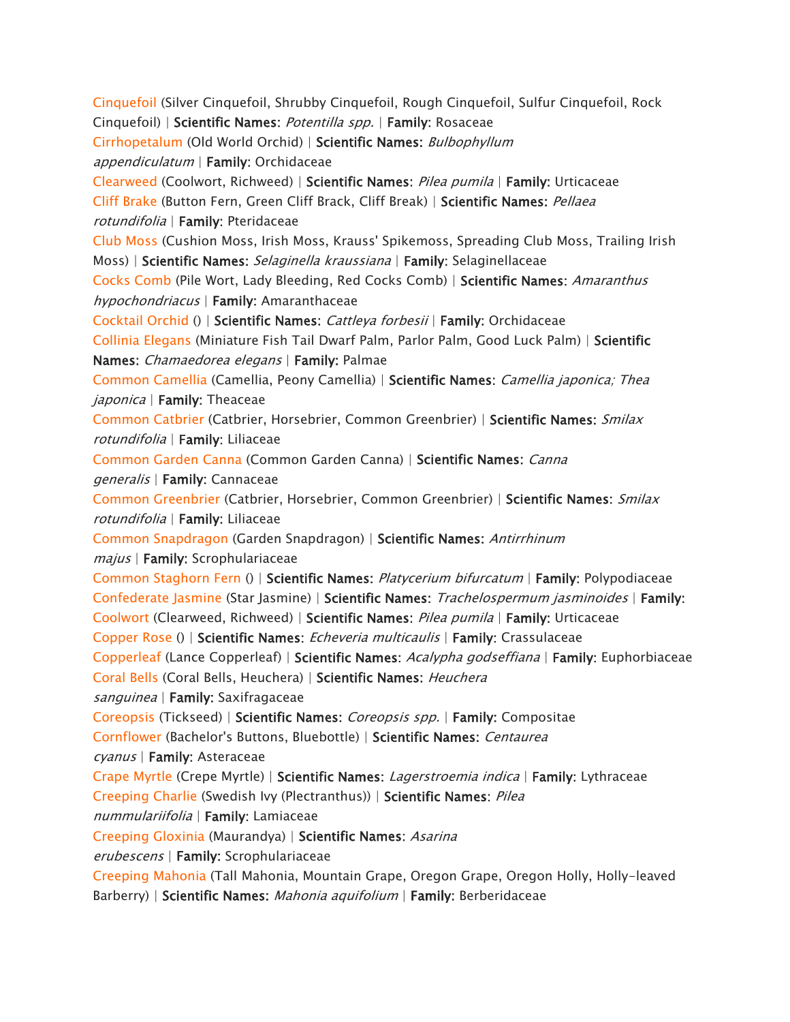*[Cinquefoil](https://www.aspca.org/pet-care/animal-poison-control/toxic-and-non-toxic-plants/cinquefoil) (Silver Cinquefoil, Shrubby Cinquefoil, Rough Cinquefoil, Sulfur Cinquefoil, Rock Cinquefoil) | Scientific Names: Potentilla spp. | Family: Rosaceae [Cirrhopetalum](https://www.aspca.org/pet-care/animal-poison-control/toxic-and-non-toxic-plants/cirrhopetalum) (Old World Orchid) | Scientific Names: Bulbophyllum appendiculatum | Family: Orchidaceae [Clearweed](https://www.aspca.org/pet-care/animal-poison-control/toxic-and-non-toxic-plants/clearweed) (Coolwort, Richweed) | Scientific Names: Pilea pumila | Family: Urticaceae [Cliff Brake](https://www.aspca.org/pet-care/animal-poison-control/toxic-and-non-toxic-plants/cliff-brake) (Button Fern, Green Cliff Brack, Cliff Break) | Scientific Names: Pellaea rotundifolia | Family: Pteridaceae [Club Moss](https://www.aspca.org/pet-care/animal-poison-control/toxic-and-non-toxic-plants/club-moss) (Cushion Moss, Irish Moss, Krauss' Spikemoss, Spreading Club Moss, Trailing Irish Moss) | Scientific Names: Selaginella kraussiana | Family: Selaginellaceae [Cocks Comb](https://www.aspca.org/pet-care/animal-poison-control/toxic-and-non-toxic-plants/cocks-comb) (Pile Wort, Lady Bleeding, Red Cocks Comb) | Scientific Names: Amaranthus hypochondriacus | Family: Amaranthaceae [Cocktail Orchid](https://www.aspca.org/pet-care/animal-poison-control/toxic-and-non-toxic-plants/cocktail-orchid) () | Scientific Names: Cattleya forbesii | Family: Orchidaceae [Collinia Elegans](https://www.aspca.org/pet-care/animal-poison-control/toxic-and-non-toxic-plants/collinia-elegans) (Miniature Fish Tail Dwarf Palm, Parlor Palm, Good Luck Palm) | Scientific Names: Chamaedorea elegans | Family: Palmae [Common Camellia](https://www.aspca.org/pet-care/animal-poison-control/toxic-and-non-toxic-plants/common-camellia) (Camellia, Peony Camellia) | Scientific Names: Camellia japonica; Thea japonica | Family: Theaceae [Common Catbrier](https://www.aspca.org/pet-care/animal-poison-control/toxic-and-non-toxic-plants/common-catbrier) (Catbrier, Horsebrier, Common Greenbrier) | Scientific Names: Smilax rotundifolia | Family: Liliaceae [Common Garden Canna](https://www.aspca.org/pet-care/animal-poison-control/toxic-and-non-toxic-plants/common-garden-canna) (Common Garden Canna) | Scientific Names: Canna generalis | Family: Cannaceae [Common Greenbrier](https://www.aspca.org/pet-care/animal-poison-control/toxic-and-non-toxic-plants/common-greenbrier) (Catbrier, Horsebrier, Common Greenbrier) | Scientific Names: Smilax rotundifolia | Family: Liliaceae [Common Snapdragon](https://www.aspca.org/pet-care/animal-poison-control/toxic-and-non-toxic-plants/common-snapdragon) (Garden Snapdragon) | Scientific Names: Antirrhinum majus | Family: Scrophulariaceae [Common Staghorn Fern](https://www.aspca.org/pet-care/animal-poison-control/toxic-and-non-toxic-plants/common-staghorn-fern) () | Scientific Names: Platycerium bifurcatum | Family: Polypodiaceae [Confederate Jasmine](https://www.aspca.org/pet-care/animal-poison-control/toxic-and-non-toxic-plants/confederate-jasmine) (Star Jasmine) | Scientific Names: Trachelospermum jasminoides | Family: [Coolwort](https://www.aspca.org/pet-care/animal-poison-control/toxic-and-non-toxic-plants/coolwort) (Clearweed, Richweed) | Scientific Names: Pilea pumila | Family: Urticaceae [Copper Rose](https://www.aspca.org/pet-care/animal-poison-control/toxic-and-non-toxic-plants/copper-rose) () | Scientific Names: Echeveria multicaulis | Family: Crassulaceae [Copperleaf](https://www.aspca.org/pet-care/animal-poison-control/toxic-and-non-toxic-plants/copperleaf) (Lance Copperleaf) | Scientific Names: Acalypha godseffiana | Family: Euphorbiaceae [Coral Bells](https://www.aspca.org/pet-care/animal-poison-control/toxic-and-non-toxic-plants/coral-bells) (Coral Bells, Heuchera) | Scientific Names: Heuchera sanguinea | Family: Saxifragaceae [Coreopsis](https://www.aspca.org/pet-care/animal-poison-control/toxic-and-non-toxic-plants/coreopsis) (Tickseed) | Scientific Names: Coreopsis spp. | Family: Compositae [Cornflower](https://www.aspca.org/pet-care/animal-poison-control/toxic-and-non-toxic-plants/cornflower) (Bachelor's Buttons, Bluebottle) | Scientific Names: Centaurea cyanus | Family: Asteraceae [Crape Myrtle](https://www.aspca.org/pet-care/animal-poison-control/toxic-and-non-toxic-plants/crape-myrtle) (Crepe Myrtle) | Scientific Names: Lagerstroemia indica | Family: Lythraceae [Creeping Charlie](https://www.aspca.org/pet-care/animal-poison-control/toxic-and-non-toxic-plants/creeping-charlie) (Swedish Ivy (Plectranthus)) | Scientific Names: Pilea nummulariifolia | Family: Lamiaceae [Creeping Gloxinia](https://www.aspca.org/pet-care/animal-poison-control/toxic-and-non-toxic-plants/creeping-gloxinia) (Maurandya) | Scientific Names: Asarina erubescens | Family: Scrophulariaceae [Creeping Mahonia](https://www.aspca.org/pet-care/animal-poison-control/toxic-and-non-toxic-plants/creeping-mahonia) (Tall Mahonia, Mountain Grape, Oregon Grape, Oregon Holly, Holly-leaved Barberry) | Scientific Names: Mahonia aquifolium | Family: Berberidaceae*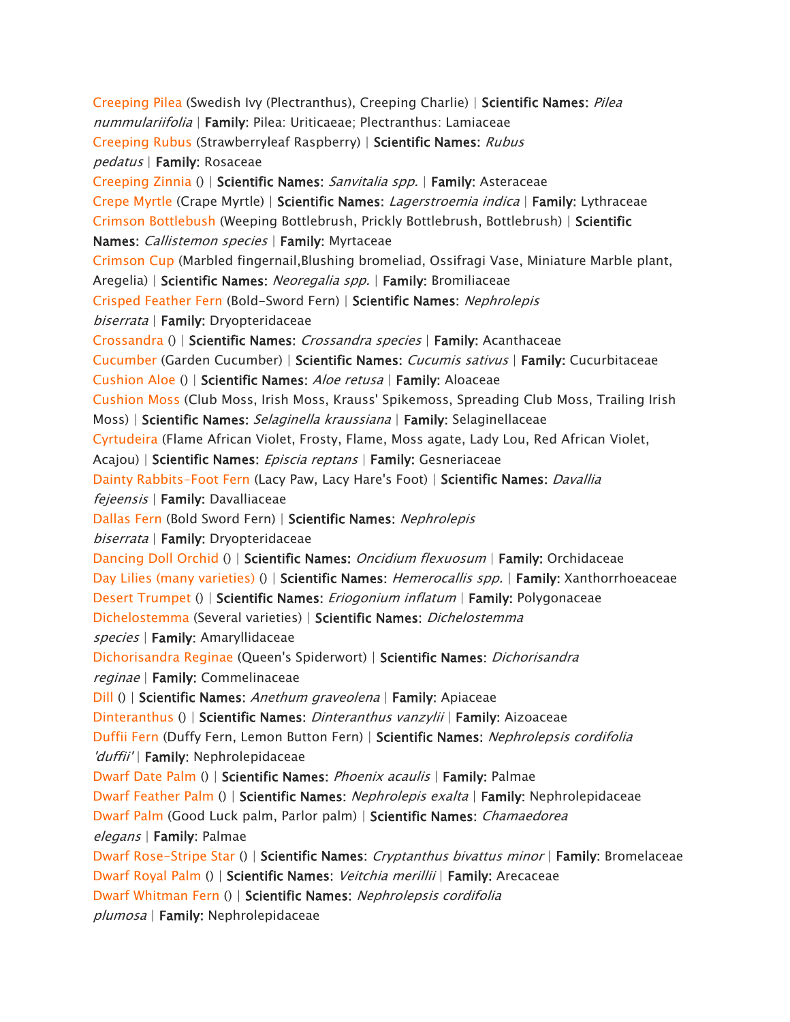*[Creeping Pilea](https://www.aspca.org/pet-care/animal-poison-control/toxic-and-non-toxic-plants/creeping-pilea) (Swedish Ivy (Plectranthus), Creeping Charlie) | Scientific Names: Pilea nummulariifolia | Family: Pilea: Uriticaeae; Plectranthus: Lamiaceae [Creeping Rubus](https://www.aspca.org/pet-care/animal-poison-control/toxic-and-non-toxic-plants/creeping-rubus) (Strawberryleaf Raspberry) | Scientific Names: Rubus pedatus | Family: Rosaceae [Creeping Zinnia](https://www.aspca.org/pet-care/animal-poison-control/toxic-and-non-toxic-plants/creeping-zinnia) () | Scientific Names: Sanvitalia spp. | Family: Asteraceae [Crepe Myrtle](https://www.aspca.org/pet-care/animal-poison-control/toxic-and-non-toxic-plants/crepe-myrtle) (Crape Myrtle) | Scientific Names: Lagerstroemia indica | Family: Lythraceae [Crimson Bottlebush](https://www.aspca.org/pet-care/animal-poison-control/toxic-and-non-toxic-plants/crimson-bottlebush) (Weeping Bottlebrush, Prickly Bottlebrush, Bottlebrush) | Scientific Names: Callistemon species | Family: Myrtaceae [Crimson Cup](https://www.aspca.org/pet-care/animal-poison-control/toxic-and-non-toxic-plants/crimson-cup) (Marbled fingernail,Blushing bromeliad, Ossifragi Vase, Miniature Marble plant, Aregelia) | Scientific Names: Neoregalia spp. | Family: Bromiliaceae [Crisped Feather Fern](https://www.aspca.org/pet-care/animal-poison-control/toxic-and-non-toxic-plants/crisped-feather-fern) (Bold-Sword Fern) | Scientific Names: Nephrolepis biserrata | Family: Dryopteridaceae [Crossandra](https://www.aspca.org/pet-care/animal-poison-control/toxic-and-non-toxic-plants/crossandra) () | Scientific Names: Crossandra species | Family: Acanthaceae [Cucumber](https://www.aspca.org/pet-care/animal-poison-control/toxic-and-non-toxic-plants/cucumber) (Garden Cucumber) | Scientific Names: Cucumis sativus | Family: Cucurbitaceae [Cushion Aloe](https://www.aspca.org/pet-care/animal-poison-control/toxic-and-non-toxic-plants/cushion-aloe) () | Scientific Names: Aloe retusa | Family: Aloaceae [Cushion Moss](https://www.aspca.org/pet-care/animal-poison-control/toxic-and-non-toxic-plants/cushion-moss) (Club Moss, Irish Moss, Krauss' Spikemoss, Spreading Club Moss, Trailing Irish Moss) | Scientific Names: Selaginella kraussiana | Family: Selaginellaceae [Cyrtudeira](https://www.aspca.org/pet-care/animal-poison-control/toxic-and-non-toxic-plants/cyrtudeira) (Flame African Violet, Frosty, Flame, Moss agate, Lady Lou, Red African Violet, Acajou) | Scientific Names: Episcia reptans | Family: Gesneriaceae [Dainty Rabbits-Foot Fern](https://www.aspca.org/pet-care/animal-poison-control/toxic-and-non-toxic-plants/dainty-rabbits-foot-fern) (Lacy Paw, Lacy Hare's Foot) | Scientific Names: Davallia fejeensis | Family: Davalliaceae [Dallas Fern](https://www.aspca.org/pet-care/animal-poison-control/toxic-and-non-toxic-plants/dallas-fern) (Bold Sword Fern) | Scientific Names: Nephrolepis biserrata | Family: Dryopteridaceae [Dancing Doll Orchid](https://www.aspca.org/pet-care/animal-poison-control/toxic-and-non-toxic-plants/dancing-doll-orchid) () | Scientific Names: Oncidium flexuosum | Family: Orchidaceae [Day Lilies \(many varieties\)](https://www.aspca.org/pet-care/animal-poison-control/toxic-and-non-toxic-plants/day-lilies-many-varieties) () | Scientific Names: Hemerocallis spp. | Family: Xanthorrhoeaceae [Desert Trumpet](https://www.aspca.org/pet-care/animal-poison-control/toxic-and-non-toxic-plants/desert-trumpet) () | Scientific Names: Eriogonium inflatum | Family: Polygonaceae [Dichelostemma](https://www.aspca.org/pet-care/animal-poison-control/toxic-and-non-toxic-plants/dichelostemma) (Several varieties) | Scientific Names: Dichelostemma species | Family: Amaryllidaceae [Dichorisandra Reginae](https://www.aspca.org/pet-care/animal-poison-control/toxic-and-non-toxic-plants/dichorisandra-reginae) (Queen's Spiderwort) | Scientific Names: Dichorisandra reginae | Family: Commelinaceae [Dill](https://www.aspca.org/pet-care/animal-poison-control/toxic-and-non-toxic-plants/dill) () | Scientific Names: Anethum graveolena | Family: Apiaceae [Dinteranthus](https://www.aspca.org/pet-care/animal-poison-control/toxic-and-non-toxic-plants/dinteranthus) () | Scientific Names: Dinteranthus vanzylii | Family: Aizoaceae [Duffii Fern](https://www.aspca.org/pet-care/animal-poison-control/toxic-and-non-toxic-plants/duffii-fern) (Duffy Fern, Lemon Button Fern) | Scientific Names: Nephrolepsis cordifolia 'duffii' | Family: Nephrolepidaceae [Dwarf Date Palm](https://www.aspca.org/pet-care/animal-poison-control/toxic-and-non-toxic-plants/dwarf-date-palm) () | Scientific Names: Phoenix acaulis | Family: Palmae [Dwarf Feather Palm](https://www.aspca.org/pet-care/animal-poison-control/toxic-and-non-toxic-plants/dwarf-feather-palm) () | Scientific Names: Nephrolepis exalta | Family: Nephrolepidaceae [Dwarf Palm](https://www.aspca.org/pet-care/animal-poison-control/toxic-and-non-toxic-plants/dwarf-palm) (Good Luck palm, Parlor palm) | Scientific Names: Chamaedorea elegans | Family: Palmae [Dwarf Rose-Stripe Star](https://www.aspca.org/pet-care/animal-poison-control/toxic-and-non-toxic-plants/dwarf-rose-stripe-star) () | Scientific Names: Cryptanthus bivattus minor | Family: Bromelaceae [Dwarf Royal Palm](https://www.aspca.org/pet-care/animal-poison-control/toxic-and-non-toxic-plants/dwarf-royal-palm) () | Scientific Names: Veitchia merillii | Family: Arecaceae [Dwarf Whitman Fern](https://www.aspca.org/pet-care/animal-poison-control/toxic-and-non-toxic-plants/dwarf-whitman-fern) () | Scientific Names: Nephrolepsis cordifolia plumosa | Family: Nephrolepidaceae*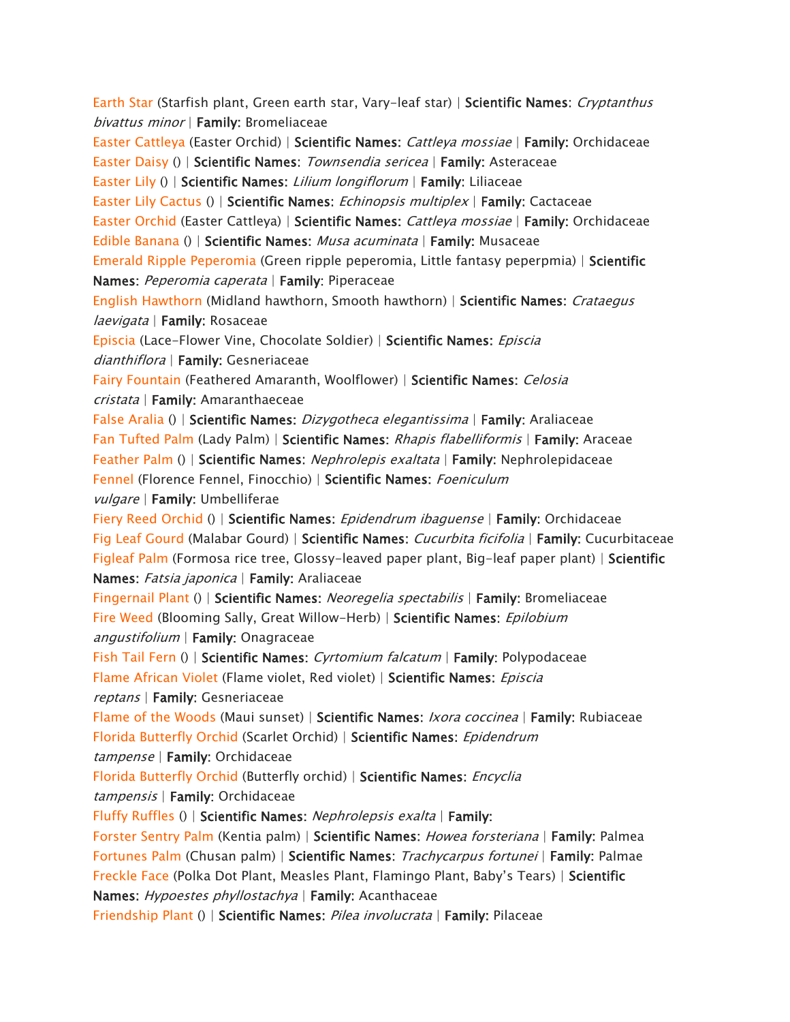*[Earth Star](https://www.aspca.org/pet-care/animal-poison-control/toxic-and-non-toxic-plants/earth-star) (Starfish plant, Green earth star, Vary-leaf star) | Scientific Names: Cryptanthus bivattus minor | Family: Bromeliaceae [Easter Cattleya](https://www.aspca.org/pet-care/animal-poison-control/toxic-and-non-toxic-plants/easter-cattleya) (Easter Orchid) | Scientific Names: Cattleya mossiae | Family: Orchidaceae [Easter Daisy](https://www.aspca.org/pet-care/animal-poison-control/toxic-and-non-toxic-plants/easter-daisy) () | Scientific Names: Townsendia sericea | Family: Asteraceae [Easter Lily](https://www.aspca.org/pet-care/animal-poison-control/toxic-and-non-toxic-plants/easter-lily) () | Scientific Names: Lilium longiflorum | Family: Liliaceae [Easter Lily Cactus](https://www.aspca.org/pet-care/animal-poison-control/toxic-and-non-toxic-plants/easter-lily-cactus) () | Scientific Names: Echinopsis multiplex | Family: Cactaceae [Easter Orchid](https://www.aspca.org/pet-care/animal-poison-control/toxic-and-non-toxic-plants/easter-orchid) (Easter Cattleya) | Scientific Names: Cattleya mossiae | Family: Orchidaceae [Edible Banana](https://www.aspca.org/pet-care/animal-poison-control/toxic-and-non-toxic-plants/edible-banana) () | Scientific Names: Musa acuminata | Family: Musaceae [Emerald Ripple Peperomia](https://www.aspca.org/pet-care/animal-poison-control/toxic-and-non-toxic-plants/emerald-ripple-peperomia) (Green ripple peperomia, Little fantasy peperpmia) | Scientific Names: Peperomia caperata | Family: Piperaceae [English Hawthorn](https://www.aspca.org/pet-care/animal-poison-control/toxic-and-non-toxic-plants/english-hawthorn) (Midland hawthorn, Smooth hawthorn) | Scientific Names: Crataegus laevigata | Family: Rosaceae [Episcia](https://www.aspca.org/pet-care/animal-poison-control/toxic-and-non-toxic-plants/episcia) (Lace-Flower Vine, Chocolate Soldier) | Scientific Names: Episcia dianthiflora | Family: Gesneriaceae [Fairy Fountain](https://www.aspca.org/pet-care/animal-poison-control/toxic-and-non-toxic-plants/fairy-fountain) (Feathered Amaranth, Woolflower) | Scientific Names: Celosia cristata | Family: Amaranthaeceae [False Aralia](https://www.aspca.org/pet-care/animal-poison-control/toxic-and-non-toxic-plants/false-aralia) () | Scientific Names: Dizygotheca elegantissima | Family: Araliaceae [Fan Tufted Palm](https://www.aspca.org/pet-care/animal-poison-control/toxic-and-non-toxic-plants/fan-tufted-palm) (Lady Palm) | Scientific Names: Rhapis flabelliformis | Family: Araceae [Feather Palm](https://www.aspca.org/pet-care/animal-poison-control/toxic-and-non-toxic-plants/feather-palm) () | Scientific Names: Nephrolepis exaltata | Family: Nephrolepidaceae [Fennel](https://www.aspca.org/pet-care/animal-poison-control/toxic-and-non-toxic-plants/fennel) (Florence Fennel, Finocchio) | Scientific Names: Foeniculum vulgare | Family: Umbelliferae [Fiery Reed Orchid](https://www.aspca.org/pet-care/animal-poison-control/toxic-and-non-toxic-plants/fiery-reed-orchid) () | Scientific Names: Epidendrum ibaguense | Family: Orchidaceae [Fig Leaf Gourd](https://www.aspca.org/pet-care/animal-poison-control/toxic-and-non-toxic-plants/fig-leaf-gourd) (Malabar Gourd) | Scientific Names: Cucurbita ficifolia | Family: Cucurbitaceae [Figleaf Palm](https://www.aspca.org/pet-care/animal-poison-control/toxic-and-non-toxic-plants/figleaf-palm) (Formosa rice tree, Glossy-leaved paper plant, Big-leaf paper plant) | Scientific Names: Fatsia japonica | Family: Araliaceae [Fingernail Plant](https://www.aspca.org/pet-care/animal-poison-control/toxic-and-non-toxic-plants/fingernail-plant) () | Scientific Names: Neoregelia spectabilis | Family: Bromeliaceae [Fire Weed](https://www.aspca.org/pet-care/animal-poison-control/toxic-and-non-toxic-plants/fire-weed) (Blooming Sally, Great Willow-Herb) | Scientific Names: Epilobium angustifolium | Family: Onagraceae [Fish Tail Fern](https://www.aspca.org/pet-care/animal-poison-control/toxic-and-non-toxic-plants/fish-tail-fern) () | Scientific Names: Cyrtomium falcatum | Family: Polypodaceae [Flame African Violet](https://www.aspca.org/pet-care/animal-poison-control/toxic-and-non-toxic-plants/flame-african-violet) (Flame violet, Red violet) | Scientific Names: Episcia reptans | Family: Gesneriaceae [Flame of the Woods](https://www.aspca.org/pet-care/animal-poison-control/toxic-and-non-toxic-plants/flame-woods) (Maui sunset) | Scientific Names: Ixora coccinea | Family: Rubiaceae [Florida Butterfly Orchid](https://www.aspca.org/pet-care/animal-poison-control/toxic-and-non-toxic-plants/florida-butterfly-orchid) (Scarlet Orchid) | Scientific Names: Epidendrum tampense | Family: Orchidaceae [Florida Butterfly Orchid](https://www.aspca.org/pet-care/animal-poison-control/toxic-and-non-toxic-plants/florida-butterfly-orchid-0) (Butterfly orchid) | Scientific Names: Encyclia tampensis | Family: Orchidaceae [Fluffy Ruffles](https://www.aspca.org/pet-care/animal-poison-control/toxic-and-non-toxic-plants/fluffy-ruffles) () | Scientific Names: Nephrolepsis exalta | Family: [Forster Sentry Palm](https://www.aspca.org/pet-care/animal-poison-control/toxic-and-non-toxic-plants/forster-sentry-palm) (Kentia palm) | Scientific Names: Howea forsteriana | Family: Palmea [Fortunes Palm](https://www.aspca.org/pet-care/animal-poison-control/toxic-and-non-toxic-plants/fortunes-palm) (Chusan palm) | Scientific Names: Trachycarpus fortunei | Family: Palmae [Freckle Face](https://www.aspca.org/pet-care/animal-poison-control/toxic-and-non-toxic-plants/freckle-face)* (Polka Dot Plant, Measles Plant, Flamingo Plant, Baby's Tears) | *Scientific Names: Hypoestes phyllostachya | Family: Acanthaceae [Friendship Plant](https://www.aspca.org/pet-care/animal-poison-control/toxic-and-non-toxic-plants/friendship-plant) () | Scientific Names: Pilea involucrata | Family: Pilaceae*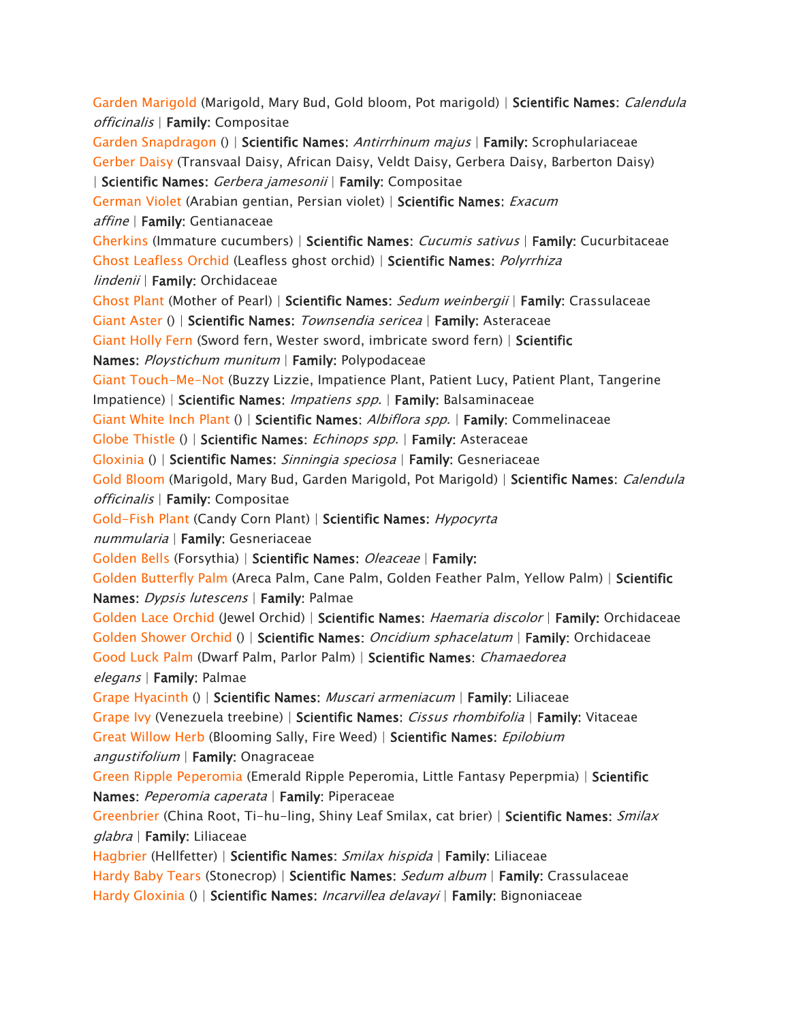*[Garden Marigold](https://www.aspca.org/pet-care/animal-poison-control/toxic-and-non-toxic-plants/garden-marigold) (Marigold, Mary Bud, Gold bloom, Pot marigold) | Scientific Names: Calendula officinalis | Family: Compositae [Garden Snapdragon](https://www.aspca.org/pet-care/animal-poison-control/toxic-and-non-toxic-plants/garden-snapdragon) () | Scientific Names: Antirrhinum majus | Family: Scrophulariaceae [Gerber Daisy](https://www.aspca.org/pet-care/animal-poison-control/toxic-and-non-toxic-plants/gerber-daisy) (Transvaal Daisy, African Daisy, Veldt Daisy, Gerbera Daisy, Barberton Daisy) | Scientific Names: Gerbera jamesonii | Family: Compositae [German Violet](https://www.aspca.org/pet-care/animal-poison-control/toxic-and-non-toxic-plants/german-violet) (Arabian gentian, Persian violet) | Scientific Names: Exacum affine | Family: Gentianaceae [Gherkins](https://www.aspca.org/pet-care/animal-poison-control/toxic-and-non-toxic-plants/gherkins) (Immature cucumbers) | Scientific Names: Cucumis sativus | Family: Cucurbitaceae [Ghost Leafless Orchid](https://www.aspca.org/pet-care/animal-poison-control/toxic-and-non-toxic-plants/ghost-leafless-orchid) (Leafless ghost orchid) | Scientific Names: Polyrrhiza lindenii | Family: Orchidaceae [Ghost Plant](https://www.aspca.org/pet-care/animal-poison-control/toxic-and-non-toxic-plants/ghost-plant) (Mother of Pearl) | Scientific Names: Sedum weinbergii | Family: Crassulaceae [Giant Aster](https://www.aspca.org/pet-care/animal-poison-control/toxic-and-non-toxic-plants/giant-aster) () | Scientific Names: Townsendia sericea | Family: Asteraceae [Giant Holly Fern](https://www.aspca.org/pet-care/animal-poison-control/toxic-and-non-toxic-plants/giant-holly-fern) (Sword fern, Wester sword, imbricate sword fern) | Scientific Names: Ploystichum munitum | Family: Polypodaceae [Giant Touch-Me-Not](https://www.aspca.org/pet-care/animal-poison-control/toxic-and-non-toxic-plants/giant-touch-me-not) (Buzzy Lizzie, Impatience Plant, Patient Lucy, Patient Plant, Tangerine Impatience) | Scientific Names: Impatiens spp. | Family: Balsaminaceae [Giant White Inch Plant](https://www.aspca.org/pet-care/animal-poison-control/toxic-and-non-toxic-plants/giant-white-inch-plant) () | Scientific Names: Albiflora spp. | Family: Commelinaceae [Globe Thistle](https://www.aspca.org/pet-care/animal-poison-control/toxic-and-non-toxic-plants/globe-thistle) () | Scientific Names: Echinops spp. | Family: Asteraceae [Gloxinia](https://www.aspca.org/pet-care/animal-poison-control/toxic-and-non-toxic-plants/gloxinia) () | Scientific Names: Sinningia speciosa | Family: Gesneriaceae [Gold Bloom](https://www.aspca.org/pet-care/animal-poison-control/toxic-and-non-toxic-plants/gold-bloom) (Marigold, Mary Bud, Garden Marigold, Pot Marigold) | Scientific Names: Calendula officinalis | Family: Compositae [Gold-Fish Plant](https://www.aspca.org/pet-care/animal-poison-control/toxic-and-non-toxic-plants/gold-fish-plant) (Candy Corn Plant) | Scientific Names: Hypocyrta nummularia | Family: Gesneriaceae [Golden Bells](https://www.aspca.org/pet-care/animal-poison-control/toxic-and-non-toxic-plants/golden-bells) (Forsythia) | Scientific Names: Oleaceae | Family: [Golden Butterfly Palm](https://www.aspca.org/pet-care/animal-poison-control/toxic-and-non-toxic-plants/golden-butterfly-palm) (Areca Palm, Cane Palm, Golden Feather Palm, Yellow Palm) | Scientific Names: Dypsis lutescens | Family: Palmae [Golden Lace Orchid](https://www.aspca.org/pet-care/animal-poison-control/toxic-and-non-toxic-plants/golden-lace-orchid) (Jewel Orchid) | Scientific Names: Haemaria discolor | Family: Orchidaceae [Golden Shower Orchid](https://www.aspca.org/pet-care/animal-poison-control/toxic-and-non-toxic-plants/golden-shower-orchid) () | Scientific Names: Oncidium sphacelatum | Family: Orchidaceae [Good Luck Palm](https://www.aspca.org/pet-care/animal-poison-control/toxic-and-non-toxic-plants/good-luck-palm) (Dwarf Palm, Parlor Palm) | Scientific Names: Chamaedorea elegans | Family: Palmae [Grape Hyacinth](https://www.aspca.org/pet-care/animal-poison-control/toxic-and-non-toxic-plants/grape-hyacinth) () | Scientific Names: Muscari armeniacum | Family: Liliaceae [Grape Ivy](https://www.aspca.org/pet-care/animal-poison-control/toxic-and-non-toxic-plants/grape-ivy) (Venezuela treebine) | Scientific Names: Cissus rhombifolia | Family: Vitaceae [Great Willow Herb](https://www.aspca.org/pet-care/animal-poison-control/toxic-and-non-toxic-plants/great-willow-herb) (Blooming Sally, Fire Weed) | Scientific Names: Epilobium angustifolium | Family: Onagraceae [Green Ripple Peperomia](https://www.aspca.org/pet-care/animal-poison-control/toxic-and-non-toxic-plants/green-ripple-peperomia) (Emerald Ripple Peperomia, Little Fantasy Peperpmia) | Scientific Names: Peperomia caperata | Family: Piperaceae [Greenbrier](https://www.aspca.org/pet-care/animal-poison-control/toxic-and-non-toxic-plants/greenbrier) (China Root, Ti-hu-ling, Shiny Leaf Smilax, cat brier) | Scientific Names: Smilax glabra | Family: Liliaceae [Hagbrier](https://www.aspca.org/pet-care/animal-poison-control/toxic-and-non-toxic-plants/hagbrier) (Hellfetter) | Scientific Names: Smilax hispida | Family: Liliaceae [Hardy Baby Tears](https://www.aspca.org/pet-care/animal-poison-control/toxic-and-non-toxic-plants/hardy-baby-tears) (Stonecrop) | Scientific Names: Sedum album | Family: Crassulaceae [Hardy Gloxinia](https://www.aspca.org/pet-care/animal-poison-control/toxic-and-non-toxic-plants/hardy-gloxinia) () | Scientific Names: Incarvillea delavayi | Family: Bignoniaceae*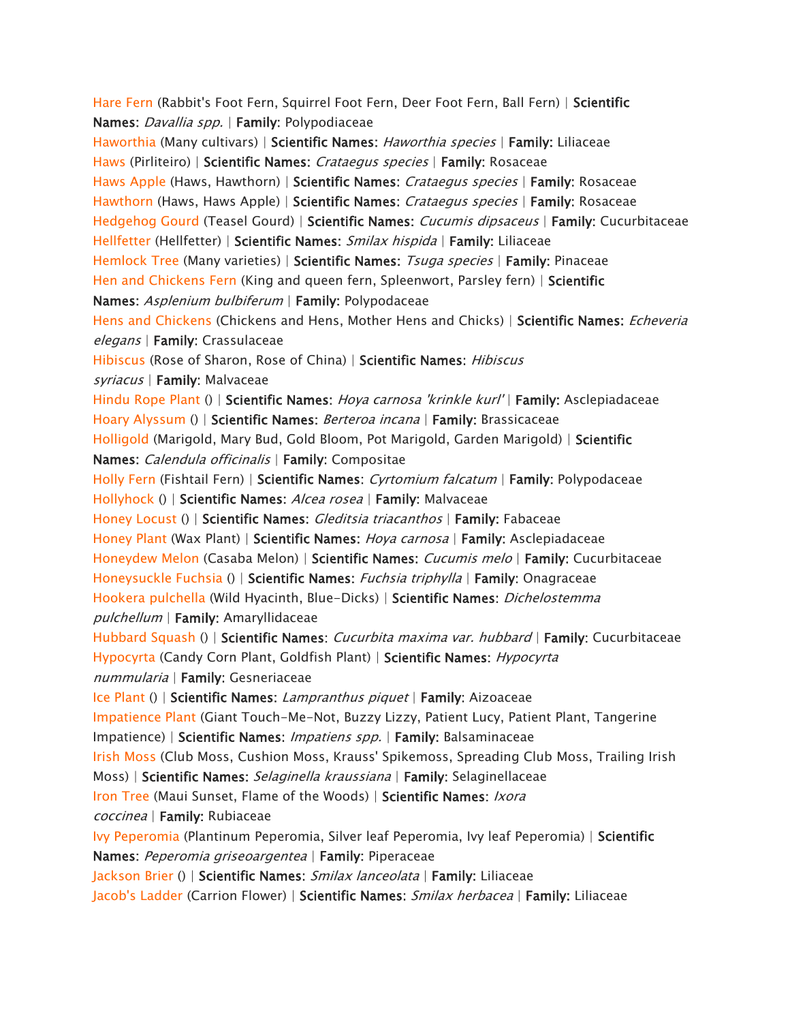*[Hare Fern](https://www.aspca.org/pet-care/animal-poison-control/toxic-and-non-toxic-plants/hare-fern) (Rabbit's Foot Fern, Squirrel Foot Fern, Deer Foot Fern, Ball Fern) | Scientific Names: Davallia spp. | Family: Polypodiaceae [Haworthia](https://www.aspca.org/pet-care/animal-poison-control/toxic-and-non-toxic-plants/haworthia) (Many cultivars) | Scientific Names: Haworthia species | Family: Liliaceae [Haws](https://www.aspca.org/pet-care/animal-poison-control/toxic-and-non-toxic-plants/haws) (Pirliteiro) | Scientific Names: Crataegus species | Family: Rosaceae [Haws Apple](https://www.aspca.org/pet-care/animal-poison-control/toxic-and-non-toxic-plants/haws-apple) (Haws, Hawthorn) | Scientific Names: Crataegus species | Family: Rosaceae [Hawthorn](https://www.aspca.org/pet-care/animal-poison-control/toxic-and-non-toxic-plants/hawthorn) (Haws, Haws Apple) | Scientific Names: Crataegus species | Family: Rosaceae [Hedgehog Gourd](https://www.aspca.org/pet-care/animal-poison-control/toxic-and-non-toxic-plants/hedgehog-gourd) (Teasel Gourd) | Scientific Names: Cucumis dipsaceus | Family: Cucurbitaceae [Hellfetter](https://www.aspca.org/pet-care/animal-poison-control/toxic-and-non-toxic-plants/hellfetter) (Hellfetter) | Scientific Names: Smilax hispida | Family: Liliaceae [Hemlock Tree](https://www.aspca.org/pet-care/animal-poison-control/toxic-and-non-toxic-plants/hemlock-tree) (Many varieties) | Scientific Names: Tsuga species | Family: Pinaceae [Hen and Chickens Fern](https://www.aspca.org/pet-care/animal-poison-control/toxic-and-non-toxic-plants/hen-and-chickens-fern) (King and queen fern, Spleenwort, Parsley fern) | Scientific Names: Asplenium bulbiferum | Family: Polypodaceae [Hens and Chickens](https://www.aspca.org/pet-care/animal-poison-control/toxic-and-non-toxic-plants/hens-and-chickens) (Chickens and Hens, Mother Hens and Chicks) | Scientific Names: Echeveria elegans | Family: Crassulaceae [Hibiscus](https://www.aspca.org/pet-care/animal-poison-control/toxic-and-non-toxic-plants/hibiscus) (Rose of Sharon, Rose of China) | Scientific Names: Hibiscus syriacus | Family: Malvaceae [Hindu Rope Plant](https://www.aspca.org/pet-care/animal-poison-control/toxic-and-non-toxic-plants/hindu-rope-plant) () | Scientific Names: Hoya carnosa 'krinkle kurl' | Family: Asclepiadaceae [Hoary Alyssum](https://www.aspca.org/pet-care/animal-poison-control/toxic-and-non-toxic-plants/hoary-alyssum) () | Scientific Names: Berteroa incana | Family: Brassicaceae [Holligold](https://www.aspca.org/pet-care/animal-poison-control/toxic-and-non-toxic-plants/holligold) (Marigold, Mary Bud, Gold Bloom, Pot Marigold, Garden Marigold) | Scientific Names: Calendula officinalis | Family: Compositae [Holly Fern](https://www.aspca.org/pet-care/animal-poison-control/toxic-and-non-toxic-plants/holly-fern) (Fishtail Fern) | Scientific Names: Cyrtomium falcatum | Family: Polypodaceae [Hollyhock](https://www.aspca.org/pet-care/animal-poison-control/toxic-and-non-toxic-plants/hollyhock) () | Scientific Names: Alcea rosea | Family: Malvaceae [Honey Locust](https://www.aspca.org/pet-care/animal-poison-control/toxic-and-non-toxic-plants/honey-locust) () | Scientific Names: Gleditsia triacanthos | Family: Fabaceae [Honey Plant](https://www.aspca.org/pet-care/animal-poison-control/toxic-and-non-toxic-plants/honey-plant) (Wax Plant) | Scientific Names: Hoya carnosa | Family: Asclepiadaceae [Honeydew Melon](https://www.aspca.org/pet-care/animal-poison-control/toxic-and-non-toxic-plants/honeydew-melon) (Casaba Melon) | Scientific Names: Cucumis melo | Family: Cucurbitaceae [Honeysuckle Fuchsia](https://www.aspca.org/pet-care/animal-poison-control/toxic-and-non-toxic-plants/honeysuckle-fuchsia) () | Scientific Names: Fuchsia triphylla | Family: Onagraceae [Hookera pulchella](https://www.aspca.org/pet-care/animal-poison-control/toxic-and-non-toxic-plants/hookera-pulchella) (Wild Hyacinth, Blue-Dicks) | Scientific Names: Dichelostemma pulchellum | Family: Amaryllidaceae [Hubbard Squash](https://www.aspca.org/pet-care/animal-poison-control/toxic-and-non-toxic-plants/hubbard-squash) () | Scientific Names: Cucurbita maxima var. hubbard | Family: Cucurbitaceae [Hypocyrta](https://www.aspca.org/pet-care/animal-poison-control/toxic-and-non-toxic-plants/hypocyrta) (Candy Corn Plant, Goldfish Plant) | Scientific Names: Hypocyrta nummularia | Family: Gesneriaceae [Ice Plant](https://www.aspca.org/pet-care/animal-poison-control/toxic-and-non-toxic-plants/ice-plant) () | Scientific Names: Lampranthus piquet | Family: Aizoaceae [Impatience Plant](https://www.aspca.org/pet-care/animal-poison-control/toxic-and-non-toxic-plants/impatience-plant) (Giant Touch-Me-Not, Buzzy Lizzy, Patient Lucy, Patient Plant, Tangerine Impatience) | Scientific Names: Impatiens spp. | Family: Balsaminaceae [Irish Moss](https://www.aspca.org/pet-care/animal-poison-control/toxic-and-non-toxic-plants/irish-moss) (Club Moss, Cushion Moss, Krauss' Spikemoss, Spreading Club Moss, Trailing Irish Moss) | Scientific Names: Selaginella kraussiana | Family: Selaginellaceae [Iron Tree](https://www.aspca.org/pet-care/animal-poison-control/toxic-and-non-toxic-plants/iron-tree) (Maui Sunset, Flame of the Woods) | Scientific Names: Ixora coccinea | Family: Rubiaceae [Ivy Peperomia](https://www.aspca.org/pet-care/animal-poison-control/toxic-and-non-toxic-plants/ivy-peperomia) (Plantinum Peperomia, Silver leaf Peperomia, Ivy leaf Peperomia) | Scientific Names: Peperomia griseoargentea | Family: Piperaceae [Jackson Brier](https://www.aspca.org/pet-care/animal-poison-control/toxic-and-non-toxic-plants/jackson-brier) () | Scientific Names: Smilax lanceolata | Family: Liliaceae [Jacob's Ladder](https://www.aspca.org/pet-care/animal-poison-control/toxic-and-non-toxic-plants/jacobs-ladder) (Carrion Flower) | Scientific Names: Smilax herbacea | Family: Liliaceae*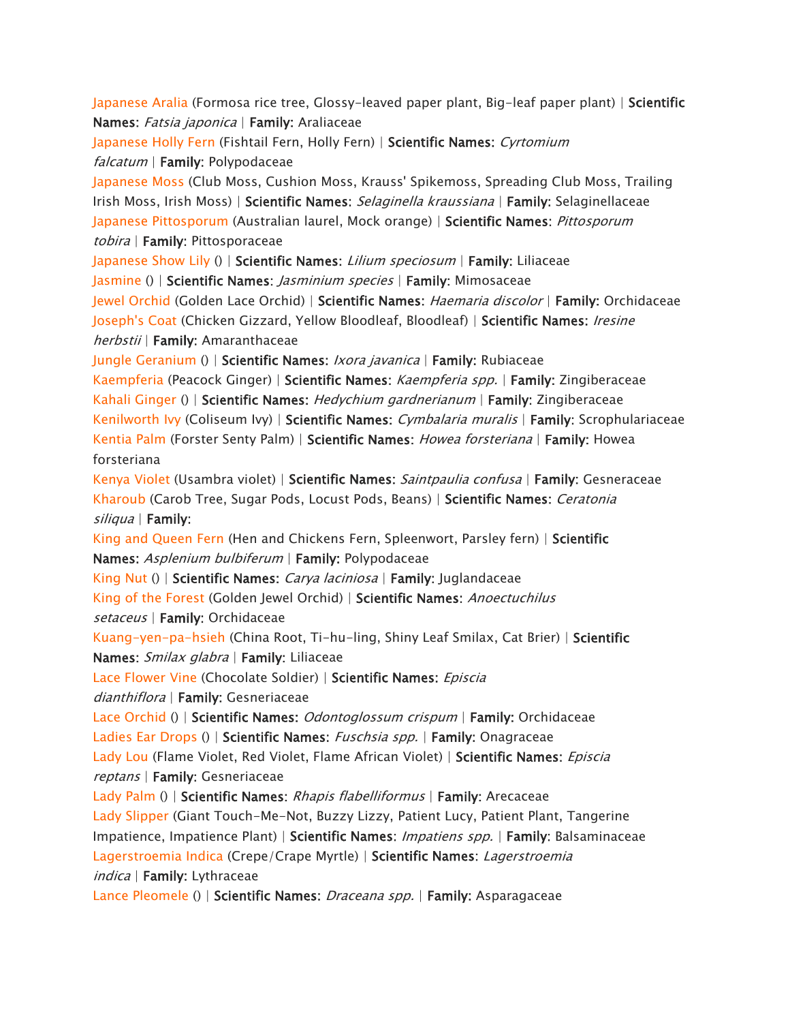*[Japanese Aralia](https://www.aspca.org/pet-care/animal-poison-control/toxic-and-non-toxic-plants/japanese-aralia) (Formosa rice tree, Glossy-leaved paper plant, Big-leaf paper plant) | Scientific Names: Fatsia japonica | Family: Araliaceae* 

*[Japanese Holly Fern](https://www.aspca.org/pet-care/animal-poison-control/toxic-and-non-toxic-plants/japanese-holly-fern) (Fishtail Fern, Holly Fern) | Scientific Names: Cyrtomium falcatum | Family: Polypodaceae* 

*[Japanese Moss](https://www.aspca.org/pet-care/animal-poison-control/toxic-and-non-toxic-plants/japanese-moss) (Club Moss, Cushion Moss, Krauss' Spikemoss, Spreading Club Moss, Trailing Irish Moss, Irish Moss) | Scientific Names: Selaginella kraussiana | Family: Selaginellaceae [Japanese Pittosporum](https://www.aspca.org/pet-care/animal-poison-control/toxic-and-non-toxic-plants/japanese-pittosporum) (Australian laurel, Mock orange) | Scientific Names: Pittosporum tobira | Family: Pittosporaceae* 

*[Japanese Show Lily](https://www.aspca.org/pet-care/animal-poison-control/toxic-and-non-toxic-plants/japanese-show-lily) () | Scientific Names: Lilium speciosum | Family: Liliaceae* 

*[Jasmine](https://www.aspca.org/pet-care/animal-poison-control/toxic-and-non-toxic-plants/jasmine) () | Scientific Names: Jasminium species | Family: Mimosaceae* 

*[Jewel Orchid](https://www.aspca.org/pet-care/animal-poison-control/toxic-and-non-toxic-plants/jewel-orchid) (Golden Lace Orchid) | Scientific Names: Haemaria discolor | Family: Orchidaceae [Joseph's Coat](https://www.aspca.org/pet-care/animal-poison-control/toxic-and-non-toxic-plants/josephs-coat) (Chicken Gizzard, Yellow Bloodleaf, Bloodleaf) | Scientific Names: Iresine herbstii | Family: Amaranthaceae* 

*[Jungle Geranium](https://www.aspca.org/pet-care/animal-poison-control/toxic-and-non-toxic-plants/jungle-geranium) () | Scientific Names: Ixora javanica | Family: Rubiaceae* 

*[Kaempferia](https://www.aspca.org/pet-care/animal-poison-control/toxic-and-non-toxic-plants/kaempferia) (Peacock Ginger) | Scientific Names: Kaempferia spp. | Family: Zingiberaceae [Kahali Ginger](https://www.aspca.org/pet-care/animal-poison-control/toxic-and-non-toxic-plants/kahali-ginger) () | Scientific Names: Hedychium gardnerianum | Family: Zingiberaceae [Kenilworth Ivy](https://www.aspca.org/pet-care/animal-poison-control/toxic-and-non-toxic-plants/kenilworth-ivy) (Coliseum Ivy) | Scientific Names: Cymbalaria muralis | Family: Scrophulariaceae [Kentia Palm](https://www.aspca.org/pet-care/animal-poison-control/toxic-and-non-toxic-plants/kentia-palm) (Forster Senty Palm) | Scientific Names: Howea forsteriana | Family: Howea forsteriana* 

*[Kenya Violet](https://www.aspca.org/pet-care/animal-poison-control/toxic-and-non-toxic-plants/kenya-violet) (Usambra violet) | Scientific Names: Saintpaulia confusa | Family: Gesneraceae [Kharoub](https://www.aspca.org/pet-care/animal-poison-control/toxic-and-non-toxic-plants/kharoub) (Carob Tree, Sugar Pods, Locust Pods, Beans) | Scientific Names: Ceratonia siliqua | Family:*

*[King and Queen Fern](https://www.aspca.org/pet-care/animal-poison-control/toxic-and-non-toxic-plants/king-and-queen-fern) (Hen and Chickens Fern, Spleenwort, Parsley fern) | Scientific Names: Asplenium bulbiferum | Family: Polypodaceae* 

*[King Nut](https://www.aspca.org/pet-care/animal-poison-control/toxic-and-non-toxic-plants/king-nut) () | Scientific Names: Carya laciniosa | Family: Juglandaceae* 

*[King of the Forest](https://www.aspca.org/pet-care/animal-poison-control/toxic-and-non-toxic-plants/king-forest) (Golden Jewel Orchid) | Scientific Names: Anoectuchilus setaceus | Family: Orchidaceae* 

*[Kuang-yen-pa-hsieh](https://www.aspca.org/pet-care/animal-poison-control/toxic-and-non-toxic-plants/kuang-yen-pa-hsieh) (China Root, Ti-hu-ling, Shiny Leaf Smilax, Cat Brier) | Scientific Names: Smilax glabra | Family: Liliaceae* 

*[Lace Flower Vine](https://www.aspca.org/pet-care/animal-poison-control/toxic-and-non-toxic-plants/lace-flower-vine) (Chocolate Soldier) | Scientific Names: Episcia* 

*dianthiflora | Family: Gesneriaceae* 

*[Lace Orchid](https://www.aspca.org/pet-care/animal-poison-control/toxic-and-non-toxic-plants/lace-orchid) () | Scientific Names: Odontoglossum crispum | Family: Orchidaceae [Ladies Ear Drops](https://www.aspca.org/pet-care/animal-poison-control/toxic-and-non-toxic-plants/ladies-ear-drops) () | Scientific Names: Fuschsia spp. | Family: Onagraceae [Lady Lou](https://www.aspca.org/pet-care/animal-poison-control/toxic-and-non-toxic-plants/lady-lou) (Flame Violet, Red Violet, Flame African Violet) | Scientific Names: Episcia reptans | Family: Gesneriaceae* 

*[Lady Palm](https://www.aspca.org/pet-care/animal-poison-control/toxic-and-non-toxic-plants/lady-palm) () | Scientific Names: Rhapis flabelliformus | Family: Arecaceae [Lady Slipper](https://www.aspca.org/pet-care/animal-poison-control/toxic-and-non-toxic-plants/lady-slipper) (Giant Touch-Me-Not, Buzzy Lizzy, Patient Lucy, Patient Plant, Tangerine Impatience, Impatience Plant) | Scientific Names: Impatiens spp. | Family: Balsaminaceae [Lagerstroemia Indica](https://www.aspca.org/pet-care/animal-poison-control/toxic-and-non-toxic-plants/lagerstroemia-indica) (Crepe/Crape Myrtle) | Scientific Names: Lagerstroemia indica | Family: Lythraceae* 

*[Lance Pleomele](https://www.aspca.org/pet-care/animal-poison-control/toxic-and-non-toxic-plants/lance-pleomele) () | Scientific Names: Draceana spp. | Family: Asparagaceae*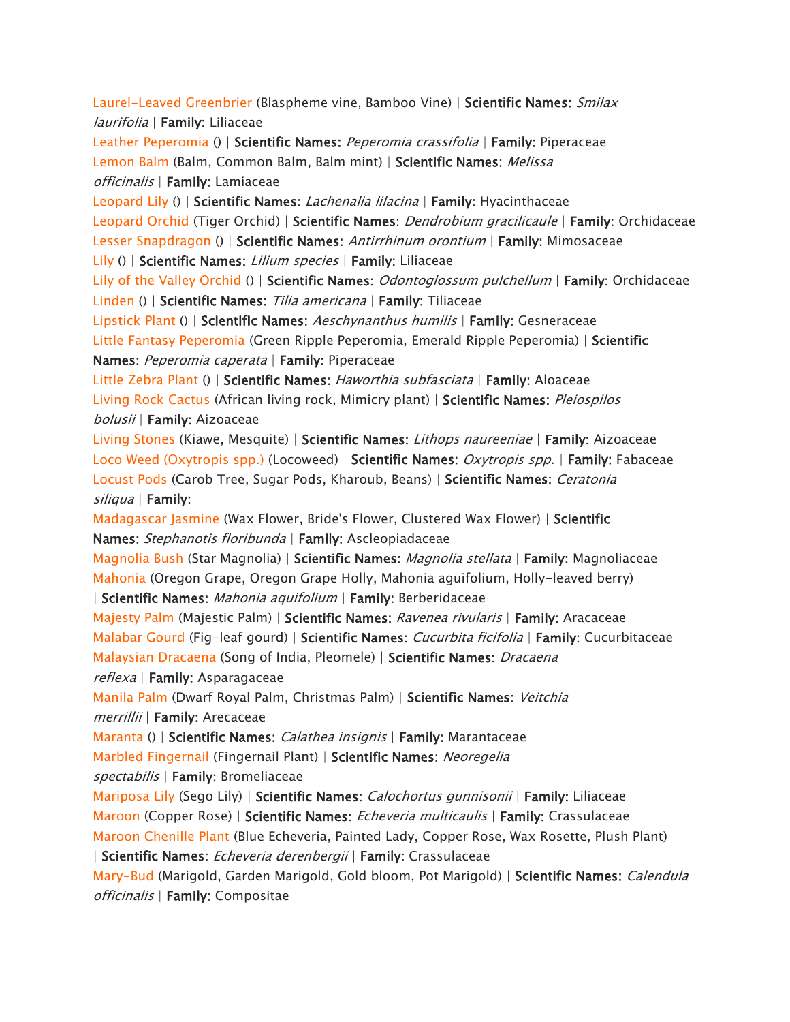*[Laurel-Leaved Greenbrier](https://www.aspca.org/pet-care/animal-poison-control/toxic-and-non-toxic-plants/laurel-leaved-greenbrier) (Blaspheme vine, Bamboo Vine) | Scientific Names: Smilax laurifolia | Family: Liliaceae [Leather Peperomia](https://www.aspca.org/pet-care/animal-poison-control/toxic-and-non-toxic-plants/leather-peperomia) () | Scientific Names: Peperomia crassifolia | Family: Piperaceae [Lemon Balm](https://www.aspca.org/pet-care/animal-poison-control/toxic-and-non-toxic-plants/lemon-balm) (Balm, Common Balm, Balm mint) | Scientific Names: Melissa officinalis | Family: Lamiaceae [Leopard Lily](https://www.aspca.org/pet-care/animal-poison-control/toxic-and-non-toxic-plants/leopard-lily) () | Scientific Names: Lachenalia lilacina | Family: Hyacinthaceae [Leopard Orchid](https://www.aspca.org/pet-care/animal-poison-control/toxic-and-non-toxic-plants/leopard-orchid) (Tiger Orchid) | Scientific Names: Dendrobium gracilicaule | Family: Orchidaceae [Lesser Snapdragon](https://www.aspca.org/pet-care/animal-poison-control/toxic-and-non-toxic-plants/lesser-snapdragon) () | Scientific Names: Antirrhinum orontium | Family: Mimosaceae [Lily](https://www.aspca.org/pet-care/animal-poison-control/toxic-and-non-toxic-plants/lily) () | Scientific Names: Lilium species | Family: Liliaceae [Lily of the Valley Orchid](https://www.aspca.org/pet-care/animal-poison-control/toxic-and-non-toxic-plants/lily-valley-orchid) () | Scientific Names: Odontoglossum pulchellum | Family: Orchidaceae [Linden](https://www.aspca.org/pet-care/animal-poison-control/toxic-and-non-toxic-plants/linden) () | Scientific Names: Tilia americana | Family: Tiliaceae [Lipstick Plant](https://www.aspca.org/pet-care/animal-poison-control/toxic-and-non-toxic-plants/lipstick-plant) () | Scientific Names: Aeschynanthus humilis | Family: Gesneraceae [Little Fantasy Peperomia](https://www.aspca.org/pet-care/animal-poison-control/toxic-and-non-toxic-plants/little-fantasy-peperomia) (Green Ripple Peperomia, Emerald Ripple Peperomia) | Scientific Names: Peperomia caperata | Family: Piperaceae [Little Zebra Plant](https://www.aspca.org/pet-care/animal-poison-control/toxic-and-non-toxic-plants/little-zebra-plant) () | Scientific Names: Haworthia subfasciata | Family: Aloaceae [Living Rock Cactus](https://www.aspca.org/pet-care/animal-poison-control/toxic-and-non-toxic-plants/living-rock-cactus) (African living rock, Mimicry plant) | Scientific Names: Pleiospilos bolusii | Family: Aizoaceae [Living Stones](https://www.aspca.org/pet-care/animal-poison-control/toxic-and-non-toxic-plants/living-stones) (Kiawe, Mesquite) | Scientific Names: Lithops naureeniae | Family: Aizoaceae [Loco Weed \(Oxytropis spp.\)](https://www.aspca.org/pet-care/animal-poison-control/toxic-and-non-toxic-plants/loco-weed-oxytropis-spp) (Locoweed) | Scientific Names: Oxytropis spp. | Family: Fabaceae [Locust Pods](https://www.aspca.org/pet-care/animal-poison-control/toxic-and-non-toxic-plants/locust-pods) (Carob Tree, Sugar Pods, Kharoub, Beans) | Scientific Names: Ceratonia siliqua | Family: [Madagascar Jasmine](https://www.aspca.org/pet-care/animal-poison-control/toxic-and-non-toxic-plants/madagascar-jasmine) (Wax Flower, Bride's Flower, Clustered Wax Flower) | Scientific Names: Stephanotis floribunda | Family: Ascleopiadaceae [Magnolia Bush](https://www.aspca.org/pet-care/animal-poison-control/toxic-and-non-toxic-plants/magnolia-bush) (Star Magnolia) | Scientific Names: Magnolia stellata | Family: Magnoliaceae [Mahonia](https://www.aspca.org/pet-care/animal-poison-control/toxic-and-non-toxic-plants/mahonia) (Oregon Grape, Oregon Grape Holly, Mahonia aguifolium, Holly-leaved berry) | Scientific Names: Mahonia aquifolium | Family: Berberidaceae [Majesty Palm \(](https://www.aspca.org/pet-care/animal-poison-control/toxic-and-non-toxic-plants/majesty-palm)Majestic Palm) | Scientific Names: Ravenea rivularis | Family: Aracaceae [Malabar Gourd](https://www.aspca.org/pet-care/animal-poison-control/toxic-and-non-toxic-plants/malabar-gourd) (Fig-leaf gourd) | Scientific Names: Cucurbita ficifolia | Family: Cucurbitaceae [Malaysian Dracaena](https://www.aspca.org/pet-care/animal-poison-control/toxic-and-non-toxic-plants/malaysian-dracaena) (Song of India, Pleomele) | Scientific Names: Dracaena reflexa | Family: Asparagaceae [Manila Palm](https://www.aspca.org/pet-care/animal-poison-control/toxic-and-non-toxic-plants/manila-palm) (Dwarf Royal Palm, Christmas Palm) | Scientific Names: Veitchia merrillii | Family: Arecaceae [Maranta](https://www.aspca.org/pet-care/animal-poison-control/toxic-and-non-toxic-plants/maranta) () | Scientific Names: Calathea insignis | Family: Marantaceae [Marbled Fingernail](https://www.aspca.org/pet-care/animal-poison-control/toxic-and-non-toxic-plants/marbled-fingernail) (Fingernail Plant) | Scientific Names: Neoregelia spectabilis | Family: Bromeliaceae [Mariposa Lily](https://www.aspca.org/pet-care/animal-poison-control/toxic-and-non-toxic-plants/mariposa-lily) (Sego Lily) | Scientific Names: Calochortus gunnisonii | Family: Liliaceae [Maroon](https://www.aspca.org/pet-care/animal-poison-control/toxic-and-non-toxic-plants/maroon) (Copper Rose) | Scientific Names: Echeveria multicaulis | Family: Crassulaceae [Maroon Chenille Plant](https://www.aspca.org/pet-care/animal-poison-control/toxic-and-non-toxic-plants/maroon-chenille-plant) (Blue Echeveria, Painted Lady, Copper Rose, Wax Rosette, Plush Plant) | Scientific Names: Echeveria derenbergii | Family: Crassulaceae [Mary-Bud](https://www.aspca.org/pet-care/animal-poison-control/toxic-and-non-toxic-plants/mary-bud) (Marigold, Garden Marigold, Gold bloom, Pot Marigold) | Scientific Names: Calendula officinalis | Family: Compositae*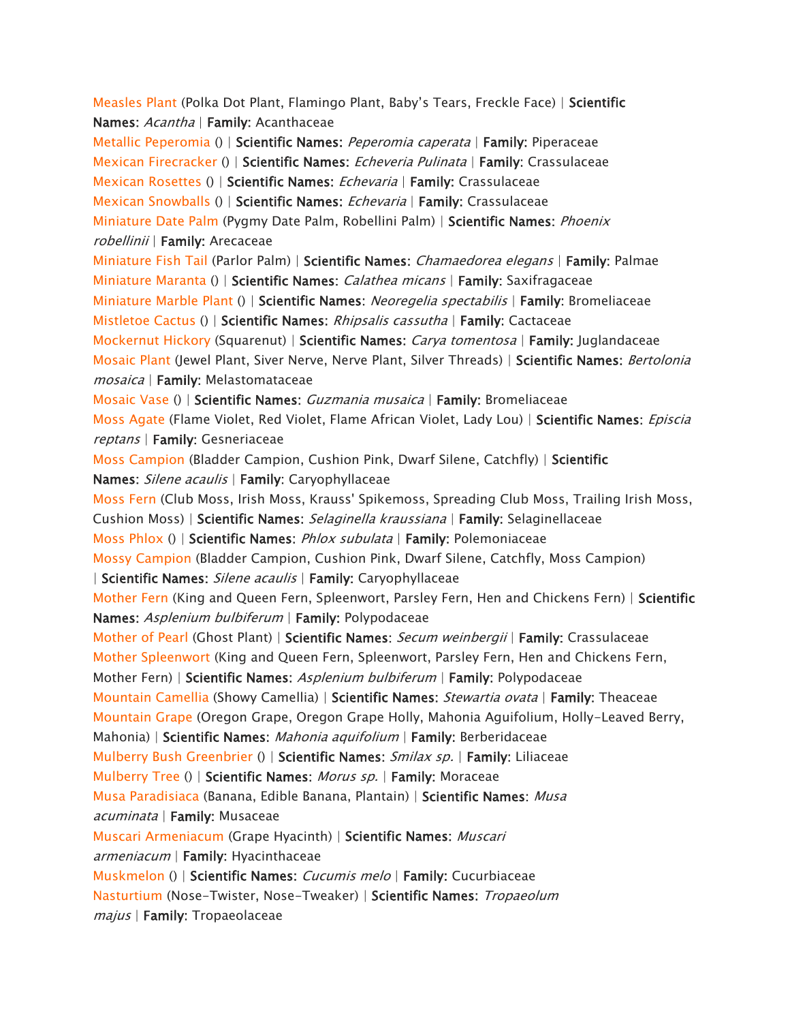*[Measles Plant](https://www.aspca.org/pet-care/animal-poison-control/toxic-and-non-toxic-plants/measles-plant)* (Polka Dot Plant, Flamingo Plant, Baby's Tears, Freckle Face) | *Scientific Names: Acantha | Family: Acanthaceae [Metallic Peperomia](https://www.aspca.org/pet-care/animal-poison-control/toxic-and-non-toxic-plants/metallic-peperomia) () | Scientific Names: Peperomia caperata | Family: Piperaceae [Mexican Firecracker](https://www.aspca.org/pet-care/animal-poison-control/toxic-and-non-toxic-plants/mexican-firecracker) () | Scientific Names: Echeveria Pulinata | Family: Crassulaceae [Mexican Rosettes](https://www.aspca.org/pet-care/animal-poison-control/toxic-and-non-toxic-plants/mexican-rosettes) () | Scientific Names: Echevaria | Family: Crassulaceae [Mexican Snowballs](https://www.aspca.org/pet-care/animal-poison-control/toxic-and-non-toxic-plants/mexican-snowballs) () | Scientific Names: Echevaria | Family: Crassulaceae [Miniature Date Palm](https://www.aspca.org/pet-care/animal-poison-control/toxic-and-non-toxic-plants/miniature-date-palm) (Pygmy Date Palm, Robellini Palm) | Scientific Names: Phoenix robellinii | Family: Arecaceae [Miniature Fish Tail](https://www.aspca.org/pet-care/animal-poison-control/toxic-and-non-toxic-plants/miniature-fish-tail) (Parlor Palm) | Scientific Names: Chamaedorea elegans | Family: Palmae [Miniature Maranta](https://www.aspca.org/pet-care/animal-poison-control/toxic-and-non-toxic-plants/miniature-maranta) () | Scientific Names: Calathea micans | Family: Saxifragaceae [Miniature Marble Plant](https://www.aspca.org/pet-care/animal-poison-control/toxic-and-non-toxic-plants/miniature-marble-plant) () | Scientific Names: Neoregelia spectabilis | Family: Bromeliaceae [Mistletoe Cactus](https://www.aspca.org/pet-care/animal-poison-control/toxic-and-non-toxic-plants/mistletoe-cactus) () | Scientific Names: Rhipsalis cassutha | Family: Cactaceae [Mockernut Hickory](https://www.aspca.org/pet-care/animal-poison-control/toxic-and-non-toxic-plants/mockernut-hickory) (Squarenut) | Scientific Names: Carya tomentosa | Family: Juglandaceae [Mosaic Plant](https://www.aspca.org/pet-care/animal-poison-control/toxic-and-non-toxic-plants/mosaic-plant) (Jewel Plant, Siver Nerve, Nerve Plant, Silver Threads) | Scientific Names: Bertolonia mosaica | Family: Melastomataceae [Mosaic Vase](https://www.aspca.org/pet-care/animal-poison-control/toxic-and-non-toxic-plants/mosaic-vase) () | Scientific Names: Guzmania musaica | Family: Bromeliaceae [Moss Agate](https://www.aspca.org/pet-care/animal-poison-control/toxic-and-non-toxic-plants/moss-agate) (Flame Violet, Red Violet, Flame African Violet, Lady Lou) | Scientific Names: Episcia reptans | Family: Gesneriaceae [Moss Campion](https://www.aspca.org/pet-care/animal-poison-control/toxic-and-non-toxic-plants/moss-campion) (Bladder Campion, Cushion Pink, Dwarf Silene, Catchfly) | Scientific Names: Silene acaulis | Family: Caryophyllaceae [Moss Fern](https://www.aspca.org/pet-care/animal-poison-control/toxic-and-non-toxic-plants/moss-fern) (Club Moss, Irish Moss, Krauss' Spikemoss, Spreading Club Moss, Trailing Irish Moss, Cushion Moss) | Scientific Names: Selaginella kraussiana | Family: Selaginellaceae [Moss Phlox](https://www.aspca.org/pet-care/animal-poison-control/toxic-and-non-toxic-plants/moss-phlox) () | Scientific Names: Phlox subulata | Family: Polemoniaceae [Mossy Campion](https://www.aspca.org/pet-care/animal-poison-control/toxic-and-non-toxic-plants/mossy-campion) (Bladder Campion, Cushion Pink, Dwarf Silene, Catchfly, Moss Campion) | Scientific Names: Silene acaulis | Family: Caryophyllaceae [Mother Fern](https://www.aspca.org/pet-care/animal-poison-control/toxic-and-non-toxic-plants/mother-fern) (King and Queen Fern, Spleenwort, Parsley Fern, Hen and Chickens Fern) | Scientific Names: Asplenium bulbiferum | Family: Polypodaceae [Mother of Pearl](https://www.aspca.org/pet-care/animal-poison-control/toxic-and-non-toxic-plants/mother-pearl) (Ghost Plant) | Scientific Names: Secum weinbergii | Family: Crassulaceae [Mother Spleenwort](https://www.aspca.org/pet-care/animal-poison-control/toxic-and-non-toxic-plants/mother-spleenwort) (King and Queen Fern, Spleenwort, Parsley Fern, Hen and Chickens Fern, Mother Fern) | Scientific Names: Asplenium bulbiferum | Family: Polypodaceae [Mountain Camellia](https://www.aspca.org/pet-care/animal-poison-control/toxic-and-non-toxic-plants/mountain-camellia) (Showy Camellia) | Scientific Names: Stewartia ovata | Family: Theaceae [Mountain Grape](https://www.aspca.org/pet-care/animal-poison-control/toxic-and-non-toxic-plants/mountain-grape) (Oregon Grape, Oregon Grape Holly, Mahonia Aguifolium, Holly-Leaved Berry, Mahonia) | Scientific Names: Mahonia aquifolium | Family: Berberidaceae [Mulberry Bush Greenbrier](https://www.aspca.org/pet-care/animal-poison-control/toxic-and-non-toxic-plants/mulberry-bush-greenbrier) () | Scientific Names: Smilax sp. | Family: Liliaceae [Mulberry Tree](https://www.aspca.org/pet-care/animal-poison-control/toxic-and-non-toxic-plants/mulberry-tree) () | Scientific Names: Morus sp. | Family: Moraceae [Musa Paradisiaca](https://www.aspca.org/pet-care/animal-poison-control/toxic-and-non-toxic-plants/musa-paradisiaca) (Banana, Edible Banana, Plantain) | Scientific Names: Musa acuminata | Family: Musaceae [Muscari Armeniacum](https://www.aspca.org/pet-care/animal-poison-control/toxic-and-non-toxic-plants/muscari-armeniacum) (Grape Hyacinth) | Scientific Names: Muscari armeniacum | Family: Hyacinthaceae [Muskmelon](https://www.aspca.org/pet-care/animal-poison-control/toxic-and-non-toxic-plants/muskmelon) () | Scientific Names: Cucumis melo | Family: Cucurbiaceae [Nasturtium](https://www.aspca.org/pet-care/animal-poison-control/toxic-and-non-toxic-plants/nasturtium) (Nose-Twister, Nose-Tweaker) | Scientific Names: Tropaeolum majus | Family: Tropaeolaceae*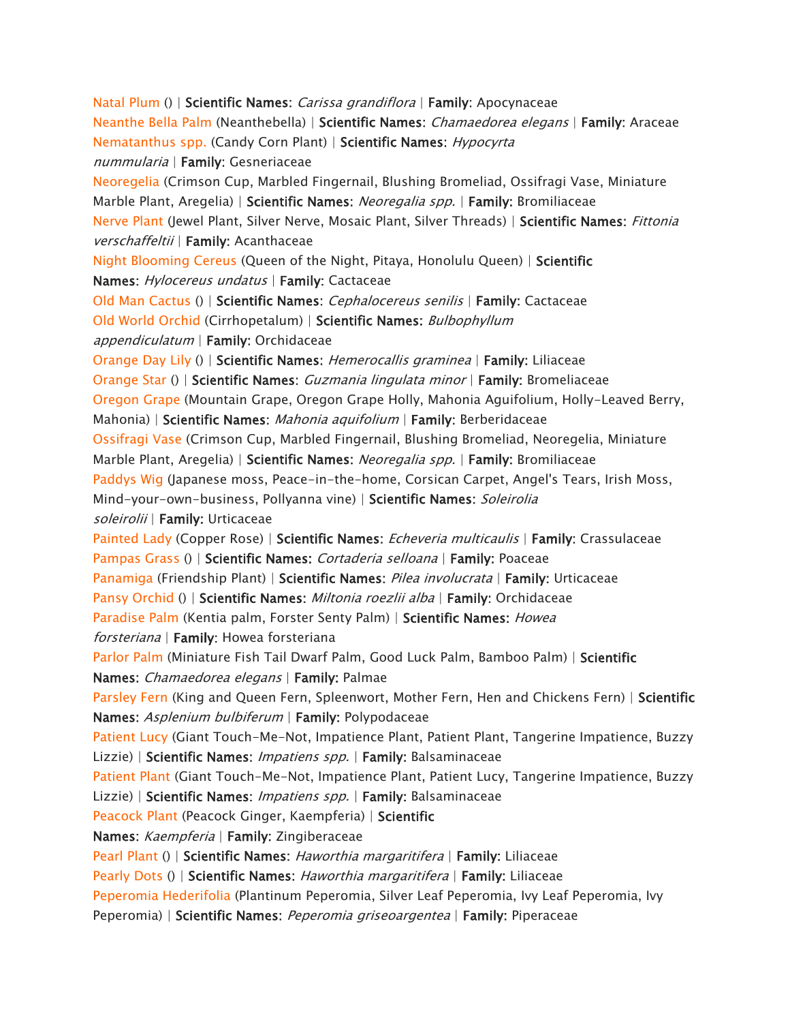*[Natal Plum](https://www.aspca.org/pet-care/animal-poison-control/toxic-and-non-toxic-plants/natal-plum) () | Scientific Names: Carissa grandiflora | Family: Apocynaceae [Neanthe Bella Palm](https://www.aspca.org/pet-care/animal-poison-control/toxic-and-non-toxic-plants/neanthe-bella-palm) (Neanthebella) | Scientific Names: Chamaedorea elegans | Family: Araceae [Nematanthus spp.](https://www.aspca.org/pet-care/animal-poison-control/toxic-and-non-toxic-plants/nematanthus-spp) (Candy Corn Plant) | Scientific Names: Hypocyrta nummularia | Family: Gesneriaceae [Neoregelia](https://www.aspca.org/pet-care/animal-poison-control/toxic-and-non-toxic-plants/neoregelia) (Crimson Cup, Marbled Fingernail, Blushing Bromeliad, Ossifragi Vase, Miniature Marble Plant, Aregelia) | Scientific Names: Neoregalia spp. | Family: Bromiliaceae [Nerve Plant](https://www.aspca.org/pet-care/animal-poison-control/toxic-and-non-toxic-plants/nerve-plant) (Jewel Plant, Silver Nerve, Mosaic Plant, Silver Threads) | Scientific Names: Fittonia verschaffeltii | Family: Acanthaceae [Night Blooming Cereus](https://www.aspca.org/pet-care/animal-poison-control/toxic-and-non-toxic-plants/night-blooming-cereus) (Queen of the Night, Pitaya, Honolulu Queen) | Scientific Names: Hylocereus undatus | Family: Cactaceae [Old Man Cactus](https://www.aspca.org/pet-care/animal-poison-control/toxic-and-non-toxic-plants/old-man-cactus) () | Scientific Names: Cephalocereus senilis | Family: Cactaceae [Old World Orchid](https://www.aspca.org/pet-care/animal-poison-control/toxic-and-non-toxic-plants/old-world-orchid) (Cirrhopetalum) | Scientific Names: Bulbophyllum appendiculatum | Family: Orchidaceae [Orange Day Lily](https://www.aspca.org/pet-care/animal-poison-control/toxic-and-non-toxic-plants/orange-day-lily) () | Scientific Names: Hemerocallis graminea | Family: Liliaceae [Orange Star](https://www.aspca.org/pet-care/animal-poison-control/toxic-and-non-toxic-plants/orange-star) () | Scientific Names: Guzmania lingulata minor | Family: Bromeliaceae [Oregon Grape](https://www.aspca.org/pet-care/animal-poison-control/toxic-and-non-toxic-plants/oregon-grape) (Mountain Grape, Oregon Grape Holly, Mahonia Aguifolium, Holly-Leaved Berry, Mahonia) | Scientific Names: Mahonia aquifolium | Family: Berberidaceae [Ossifragi Vase](https://www.aspca.org/pet-care/animal-poison-control/toxic-and-non-toxic-plants/ossifragi-vase) (Crimson Cup, Marbled Fingernail, Blushing Bromeliad, Neoregelia, Miniature Marble Plant, Aregelia) | Scientific Names: Neoregalia spp. | Family: Bromiliaceae [Paddys Wig](https://www.aspca.org/pet-care/animal-poison-control/toxic-and-non-toxic-plants/paddys-wig) (Japanese moss, Peace-in-the-home, Corsican Carpet, Angel's Tears, Irish Moss, Mind-your-own-business, Pollyanna vine) | Scientific Names: Soleirolia soleirolii | Family: Urticaceae [Painted Lady](https://www.aspca.org/pet-care/animal-poison-control/toxic-and-non-toxic-plants/painted-lady) (Copper Rose) | Scientific Names: Echeveria multicaulis | Family: Crassulaceae [Pampas Grass](https://www.aspca.org/pet-care/animal-poison-control/toxic-and-non-toxic-plants/pampas-grass) () | Scientific Names: Cortaderia selloana | Family: Poaceae [Panamiga](https://www.aspca.org/pet-care/animal-poison-control/toxic-and-non-toxic-plants/panamiga) (Friendship Plant) | Scientific Names: Pilea involucrata | Family: Urticaceae [Pansy Orchid](https://www.aspca.org/pet-care/animal-poison-control/toxic-and-non-toxic-plants/pansy-orchid) () | Scientific Names: Miltonia roezlii alba | Family: Orchidaceae [Paradise Palm](https://www.aspca.org/pet-care/animal-poison-control/toxic-and-non-toxic-plants/paradise-palm) (Kentia palm, Forster Senty Palm) | Scientific Names: Howea forsteriana | Family: Howea forsteriana [Parlor Palm](https://www.aspca.org/pet-care/animal-poison-control/toxic-and-non-toxic-plants/parlor-palm) (Miniature Fish Tail Dwarf Palm, Good Luck Palm, Bamboo Palm) | Scientific Names: Chamaedorea elegans | Family: Palmae [Parsley Fern](https://www.aspca.org/pet-care/animal-poison-control/toxic-and-non-toxic-plants/parsley-fern) (King and Queen Fern, Spleenwort, Mother Fern, Hen and Chickens Fern) | Scientific Names: Asplenium bulbiferum | Family: Polypodaceae [Patient Lucy](https://www.aspca.org/pet-care/animal-poison-control/toxic-and-non-toxic-plants/patient-lucy) (Giant Touch-Me-Not, Impatience Plant, Patient Plant, Tangerine Impatience, Buzzy Lizzie) | Scientific Names: Impatiens spp. | Family: Balsaminaceae [Patient Plant](https://www.aspca.org/pet-care/animal-poison-control/toxic-and-non-toxic-plants/patient-plant) (Giant Touch-Me-Not, Impatience Plant, Patient Lucy, Tangerine Impatience, Buzzy Lizzie) | Scientific Names: Impatiens spp. | Family: Balsaminaceae [Peacock Plant](https://www.aspca.org/pet-care/animal-poison-control/toxic-and-non-toxic-plants/peacock-plant) (Peacock Ginger, Kaempferia) | Scientific Names: Kaempferia | Family: Zingiberaceae [Pearl Plant](https://www.aspca.org/pet-care/animal-poison-control/toxic-and-non-toxic-plants/pearl-plant) () | Scientific Names: Haworthia margaritifera | Family: Liliaceae [Pearly Dots](https://www.aspca.org/pet-care/animal-poison-control/toxic-and-non-toxic-plants/pearly-dots) () | Scientific Names: Haworthia margaritifera | Family: Liliaceae [Peperomia Hederifolia](https://www.aspca.org/pet-care/animal-poison-control/toxic-and-non-toxic-plants/peperomia-hederifolia) (Plantinum Peperomia, Silver Leaf Peperomia, Ivy Leaf Peperomia, Ivy Peperomia) | Scientific Names: Peperomia griseoargentea | Family: Piperaceae*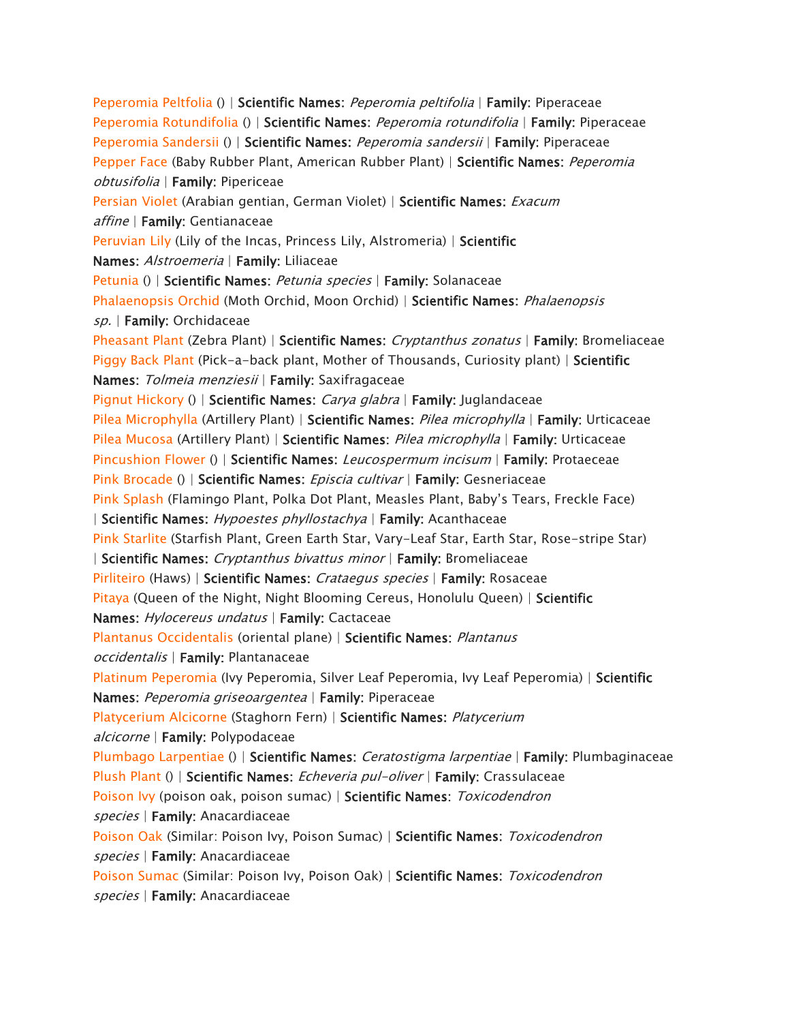*[Peperomia Peltfolia](https://www.aspca.org/pet-care/animal-poison-control/toxic-and-non-toxic-plants/peperomia-peltfolia) () | Scientific Names: Peperomia peltifolia | Family: Piperaceae [Peperomia Rotundifolia](https://www.aspca.org/pet-care/animal-poison-control/toxic-and-non-toxic-plants/peperomia-rotundifolia) () | Scientific Names: Peperomia rotundifolia | Family: Piperaceae [Peperomia Sandersii](https://www.aspca.org/pet-care/animal-poison-control/toxic-and-non-toxic-plants/peperomia-sandersii) () | Scientific Names: Peperomia sandersii | Family: Piperaceae [Pepper Face](https://www.aspca.org/pet-care/animal-poison-control/toxic-and-non-toxic-plants/pepper-face) (Baby Rubber Plant, American Rubber Plant) | Scientific Names: Peperomia obtusifolia | Family: Pipericeae [Persian Violet](https://www.aspca.org/pet-care/animal-poison-control/toxic-and-non-toxic-plants/persian-violet) (Arabian gentian, German Violet) | Scientific Names: Exacum affine | Family: Gentianaceae [Peruvian Lily](https://www.aspca.org/pet-care/animal-poison-control/toxic-and-non-toxic-plants/peruvian-lily) (Lily of the Incas, Princess Lily, Alstromeria) | Scientific Names: Alstroemeria | Family: Liliaceae [Petunia](https://www.aspca.org/pet-care/animal-poison-control/toxic-and-non-toxic-plants/petunia) () | Scientific Names: Petunia species | Family: Solanaceae [Phalaenopsis Orchid](https://www.aspca.org/pet-care/animal-poison-control/toxic-and-non-toxic-plants/phalaenopsis-orchid) (Moth Orchid, Moon Orchid) | Scientific Names: Phalaenopsis sp. | Family: Orchidaceae [Pheasant Plant](https://www.aspca.org/pet-care/animal-poison-control/toxic-and-non-toxic-plants/pheasant-plant) (Zebra Plant) | Scientific Names: Cryptanthus zonatus | Family: Bromeliaceae [Piggy Back Plant](https://www.aspca.org/pet-care/animal-poison-control/toxic-and-non-toxic-plants/piggy-back-plant) (Pick-a-back plant, Mother of Thousands, Curiosity plant) | Scientific Names: Tolmeia menziesii | Family: Saxifragaceae [Pignut Hickory](https://www.aspca.org/pet-care/animal-poison-control/toxic-and-non-toxic-plants/pignut-hickory) () | Scientific Names: Carya glabra | Family: Juglandaceae [Pilea Microphylla](https://www.aspca.org/pet-care/animal-poison-control/toxic-and-non-toxic-plants/pilea-microphylla) (Artillery Plant) | Scientific Names: Pilea microphylla | Family: Urticaceae [Pilea Mucosa](https://www.aspca.org/pet-care/animal-poison-control/toxic-and-non-toxic-plants/pilea-mucosa) (Artillery Plant) | Scientific Names: Pilea microphylla | Family: Urticaceae [Pincushion Flower](https://www.aspca.org/pet-care/animal-poison-control/toxic-and-non-toxic-plants/pincushion-flower) () | Scientific Names: Leucospermum incisum | Family: Protaeceae [Pink Brocade](https://www.aspca.org/pet-care/animal-poison-control/toxic-and-non-toxic-plants/pink-brocade) () | Scientific Names: Episcia cultivar | Family: Gesneriaceae [Pink Splash](https://www.aspca.org/pet-care/animal-poison-control/toxic-and-non-toxic-plants/pink-splash)* (Flamingo Plant, Polka Dot Plant, Measles Plant, Baby's Tears, Freckle Face) *| Scientific Names: Hypoestes phyllostachya | Family: Acanthaceae [Pink Starlite](https://www.aspca.org/pet-care/animal-poison-control/toxic-and-non-toxic-plants/pink-starlite) (Starfish Plant, Green Earth Star, Vary-Leaf Star, Earth Star, Rose-stripe Star) | Scientific Names: Cryptanthus bivattus minor | Family: Bromeliaceae [Pirliteiro](https://www.aspca.org/pet-care/animal-poison-control/toxic-and-non-toxic-plants/pirliteiro) (Haws) | Scientific Names: Crataegus species | Family: Rosaceae [Pitaya](https://www.aspca.org/pet-care/animal-poison-control/toxic-and-non-toxic-plants/pitaya) (Queen of the Night, Night Blooming Cereus, Honolulu Queen) | Scientific Names: Hylocereus undatus | Family: Cactaceae [Plantanus Occidentalis](https://www.aspca.org/pet-care/animal-poison-control/toxic-and-non-toxic-plants/plantanus-occidentalis) (oriental plane) | Scientific Names: Plantanus occidentalis | Family: Plantanaceae [Platinum Peperomia](https://www.aspca.org/pet-care/animal-poison-control/toxic-and-non-toxic-plants/platinum-peperomia) (Ivy Peperomia, Silver Leaf Peperomia, Ivy Leaf Peperomia) | Scientific Names: Peperomia griseoargentea | Family: Piperaceae [Platycerium Alcicorne](https://www.aspca.org/pet-care/animal-poison-control/toxic-and-non-toxic-plants/platycerium-alcicorne) (Staghorn Fern) | Scientific Names: Platycerium alcicorne | Family: Polypodaceae [Plumbago Larpentiae](https://www.aspca.org/pet-care/animal-poison-control/toxic-and-non-toxic-plants/plumbago-larpentiae) () | Scientific Names: Ceratostigma larpentiae | Family: Plumbaginaceae [Plush Plant](https://www.aspca.org/pet-care/animal-poison-control/toxic-and-non-toxic-plants/plush-plant) () | Scientific Names: Echeveria pul-oliver | Family: Crassulaceae [Poison Ivy](https://www.aspca.org/pet-care/animal-poison-control/toxic-and-non-toxic-plants/poison-ivy) (poison oak, poison sumac) | Scientific Names: Toxicodendron species | Family: Anacardiaceae [Poison Oak](https://www.aspca.org/pet-care/animal-poison-control/toxic-and-non-toxic-plants/poison-oak) (Similar: Poison Ivy, Poison Sumac) | Scientific Names: Toxicodendron species | Family: Anacardiaceae [Poison Sumac](https://www.aspca.org/pet-care/animal-poison-control/toxic-and-non-toxic-plants/poison-sumac) (Similar: Poison Ivy, Poison Oak) | Scientific Names: Toxicodendron species | Family: Anacardiaceae*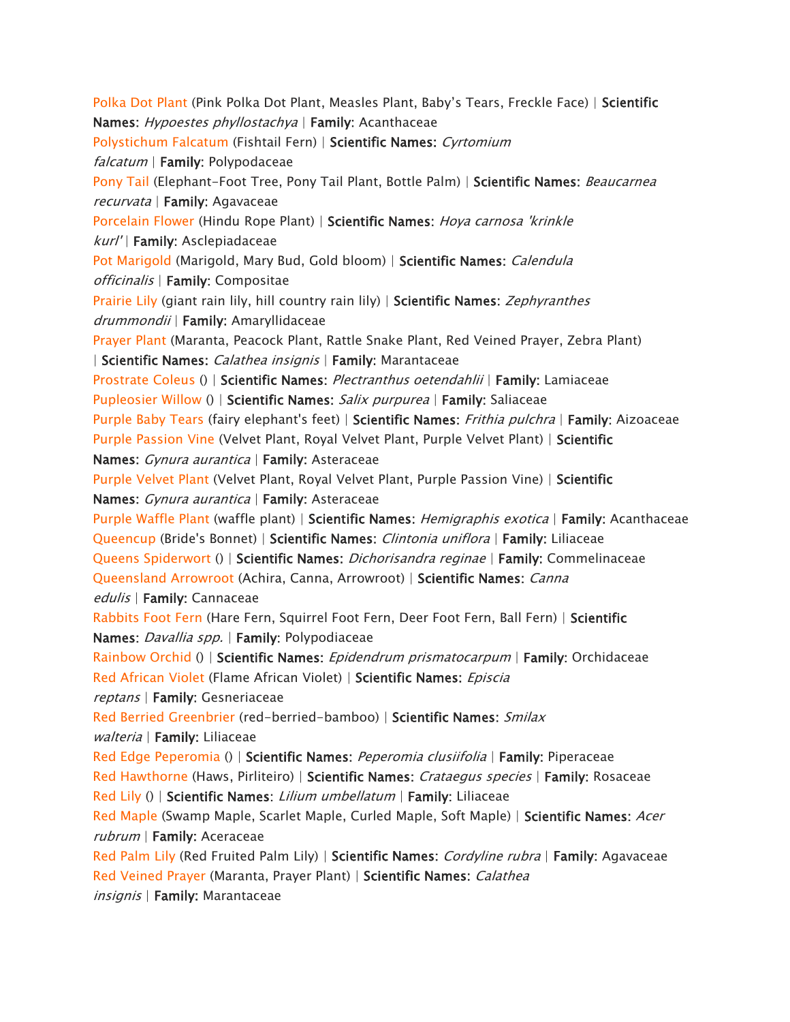*[Polka Dot Plant](https://www.aspca.org/pet-care/animal-poison-control/toxic-and-non-toxic-plants/polka-dot-plant)* (Pink Polka Dot Plant, Measles Plant, Baby's Tears, Freckle Face) | *Scientific Names: Hypoestes phyllostachya | Family: Acanthaceae [Polystichum Falcatum](https://www.aspca.org/pet-care/animal-poison-control/toxic-and-non-toxic-plants/polystichum-falcatum) (Fishtail Fern) | Scientific Names: Cyrtomium falcatum | Family: Polypodaceae [Pony Tail](https://www.aspca.org/pet-care/animal-poison-control/toxic-and-non-toxic-plants/pony-tail) (Elephant-Foot Tree, Pony Tail Plant, Bottle Palm) | Scientific Names: Beaucarnea recurvata | Family: Agavaceae [Porcelain Flower](https://www.aspca.org/pet-care/animal-poison-control/toxic-and-non-toxic-plants/porcelain-flower) (Hindu Rope Plant) | Scientific Names: Hoya carnosa 'krinkle kurl' | Family: Asclepiadaceae [Pot Marigold](https://www.aspca.org/pet-care/animal-poison-control/toxic-and-non-toxic-plants/pot-marigold) (Marigold, Mary Bud, Gold bloom) | Scientific Names: Calendula officinalis | Family: Compositae [Prairie Lily](https://www.aspca.org/pet-care/animal-poison-control/toxic-and-non-toxic-plants/prairie-lily) (giant rain lily, hill country rain lily) | Scientific Names: Zephyranthes drummondii | Family: Amaryllidaceae [Prayer Plant](https://www.aspca.org/pet-care/animal-poison-control/toxic-and-non-toxic-plants/prayer-plant) (Maranta, Peacock Plant, Rattle Snake Plant, Red Veined Prayer, Zebra Plant) | Scientific Names: Calathea insignis | Family: Marantaceae [Prostrate Coleus](https://www.aspca.org/pet-care/animal-poison-control/toxic-and-non-toxic-plants/prostrate-coleus) () | Scientific Names: Plectranthus oetendahlii | Family: Lamiaceae [Pupleosier Willow](https://www.aspca.org/pet-care/animal-poison-control/toxic-and-non-toxic-plants/pupleosier-willow) () | Scientific Names: Salix purpurea | Family: Saliaceae [Purple Baby Tears](https://www.aspca.org/pet-care/animal-poison-control/toxic-and-non-toxic-plants/purple-baby-tears) (fairy elephant's feet) | Scientific Names: Frithia pulchra | Family: Aizoaceae [Purple Passion Vine](https://www.aspca.org/pet-care/animal-poison-control/toxic-and-non-toxic-plants/purple-passion-vine) (Velvet Plant, Royal Velvet Plant, Purple Velvet Plant) | Scientific Names: Gynura aurantica | Family: Asteraceae [Purple Velvet Plant](https://www.aspca.org/pet-care/animal-poison-control/toxic-and-non-toxic-plants/purple-velvet-plant) (Velvet Plant, Royal Velvet Plant, Purple Passion Vine) | Scientific Names: Gynura aurantica | Family: Asteraceae [Purple Waffle Plant](https://www.aspca.org/pet-care/animal-poison-control/toxic-and-non-toxic-plants/purple-waffle-plant) (waffle plant) | Scientific Names: Hemigraphis exotica | Family: Acanthaceae [Queencup](https://www.aspca.org/pet-care/animal-poison-control/toxic-and-non-toxic-plants/queencup) (Bride's Bonnet) | Scientific Names: Clintonia uniflora | Family: Liliaceae [Queens Spiderwort](https://www.aspca.org/pet-care/animal-poison-control/toxic-and-non-toxic-plants/queens-spiderwort) () | Scientific Names: Dichorisandra reginae | Family: Commelinaceae [Queensland Arrowroot](https://www.aspca.org/pet-care/animal-poison-control/toxic-and-non-toxic-plants/queensland-arrowroot) (Achira, Canna, Arrowroot) | Scientific Names: Canna edulis | Family: Cannaceae [Rabbits Foot Fern](https://www.aspca.org/pet-care/animal-poison-control/toxic-and-non-toxic-plants/rabbits-foot-fern) (Hare Fern, Squirrel Foot Fern, Deer Foot Fern, Ball Fern) | Scientific Names: Davallia spp. | Family: Polypodiaceae [Rainbow Orchid](https://www.aspca.org/pet-care/animal-poison-control/toxic-and-non-toxic-plants/rainbow-orchid) () | Scientific Names: Epidendrum prismatocarpum | Family: Orchidaceae [Red African Violet](https://www.aspca.org/pet-care/animal-poison-control/toxic-and-non-toxic-plants/red-african-violet) (Flame African Violet) | Scientific Names: Episcia reptans | Family: Gesneriaceae [Red Berried Greenbrier](https://www.aspca.org/pet-care/animal-poison-control/toxic-and-non-toxic-plants/red-berried-greenbrier) (red-berried-bamboo) | Scientific Names: Smilax walteria | Family: Liliaceae [Red Edge Peperomia](https://www.aspca.org/pet-care/animal-poison-control/toxic-and-non-toxic-plants/red-edge-peperomia) () | Scientific Names: Peperomia clusiifolia | Family: Piperaceae [Red Hawthorne](https://www.aspca.org/pet-care/animal-poison-control/toxic-and-non-toxic-plants/red-hawthorne) (Haws, Pirliteiro) | Scientific Names: Crataegus species | Family: Rosaceae [Red Lily](https://www.aspca.org/pet-care/animal-poison-control/toxic-and-non-toxic-plants/red-lily) () | Scientific Names: Lilium umbellatum | Family: Liliaceae [Red Maple](https://www.aspca.org/pet-care/animal-poison-control/toxic-and-non-toxic-plants/red-maple) (Swamp Maple, Scarlet Maple, Curled Maple, Soft Maple) | Scientific Names: Acer rubrum | Family: Aceraceae [Red Palm Lily](https://www.aspca.org/pet-care/animal-poison-control/toxic-and-non-toxic-plants/red-palm-lily) (Red Fruited Palm Lily) | Scientific Names: Cordyline rubra | Family: Agavaceae [Red Veined Prayer](https://www.aspca.org/pet-care/animal-poison-control/toxic-and-non-toxic-plants/red-veined-prayer) (Maranta, Prayer Plant) | Scientific Names: Calathea insignis | Family: Marantaceae*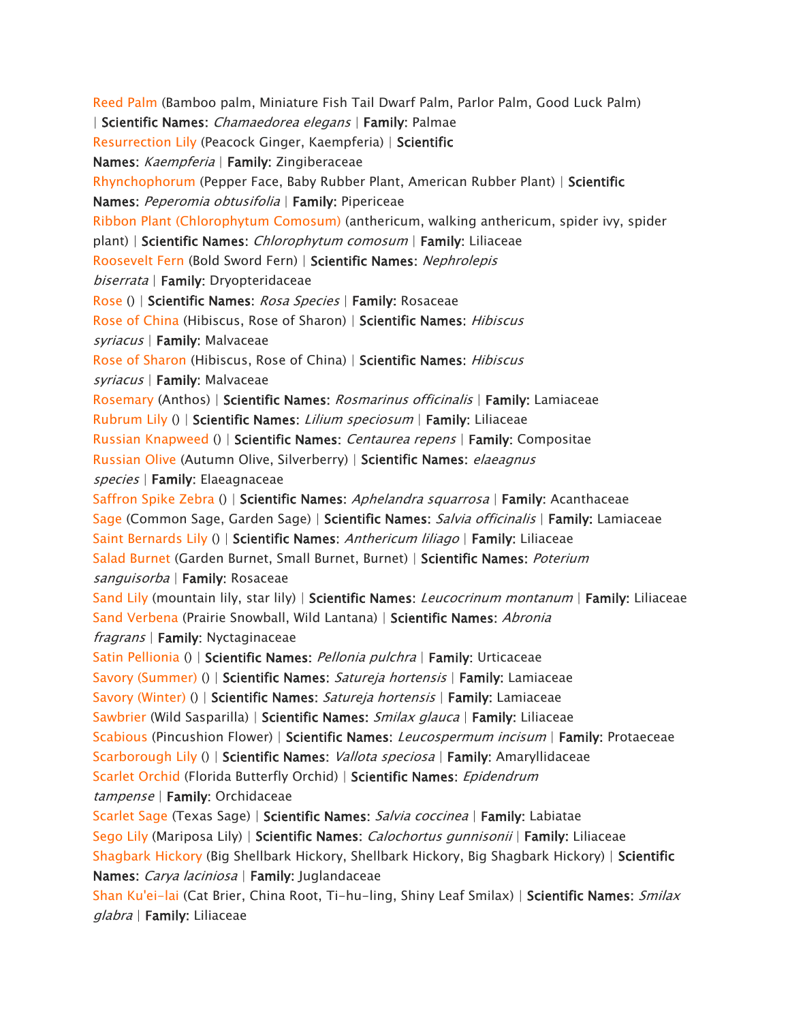*[Reed Palm](https://www.aspca.org/pet-care/animal-poison-control/toxic-and-non-toxic-plants/reed-palm) (Bamboo palm, Miniature Fish Tail Dwarf Palm, Parlor Palm, Good Luck Palm) | Scientific Names: Chamaedorea elegans | Family: Palmae [Resurrection Lily](https://www.aspca.org/pet-care/animal-poison-control/toxic-and-non-toxic-plants/resurrection-lily) (Peacock Ginger, Kaempferia) | Scientific Names: Kaempferia | Family: Zingiberaceae [Rhynchophorum](https://www.aspca.org/pet-care/animal-poison-control/toxic-and-non-toxic-plants/rhynchophorum) (Pepper Face, Baby Rubber Plant, American Rubber Plant) | Scientific Names: Peperomia obtusifolia | Family: Pipericeae [Ribbon Plant \(Chlorophytum Comosum\)](https://www.aspca.org/pet-care/animal-poison-control/toxic-and-non-toxic-plants/ribbon-plant-chlorophytum-comosum) (anthericum, walking anthericum, spider ivy, spider plant) | Scientific Names: Chlorophytum comosum | Family: Liliaceae [Roosevelt Fern](https://www.aspca.org/pet-care/animal-poison-control/toxic-and-non-toxic-plants/roosevelt-fern) (Bold Sword Fern) | Scientific Names: Nephrolepis biserrata | Family: Dryopteridaceae [Rose](https://www.aspca.org/pet-care/animal-poison-control/toxic-and-non-toxic-plants/rose) () | Scientific Names: Rosa Species | Family: Rosaceae [Rose of China](https://www.aspca.org/pet-care/animal-poison-control/toxic-and-non-toxic-plants/rose-china) (Hibiscus, Rose of Sharon) | Scientific Names: Hibiscus syriacus | Family: Malvaceae [Rose of Sharon](https://www.aspca.org/pet-care/animal-poison-control/toxic-and-non-toxic-plants/rose-sharon) (Hibiscus, Rose of China) | Scientific Names: Hibiscus syriacus | Family: Malvaceae [Rosemary](https://www.aspca.org/pet-care/animal-poison-control/toxic-and-non-toxic-plants/rosemary) (Anthos) | Scientific Names: Rosmarinus officinalis | Family: Lamiaceae [Rubrum Lily](https://www.aspca.org/pet-care/animal-poison-control/toxic-and-non-toxic-plants/rubrum-lily) () | Scientific Names: Lilium speciosum | Family: Liliaceae [Russian Knapweed](https://www.aspca.org/pet-care/animal-poison-control/toxic-and-non-toxic-plants/russian-knapweed) () | Scientific Names: Centaurea repens | Family: Compositae [Russian Olive](https://www.aspca.org/pet-care/animal-poison-control/toxic-and-non-toxic-plants/russian-olive) (Autumn Olive, Silverberry) | Scientific Names: elaeagnus species | Family: Elaeagnaceae [Saffron Spike Zebra](https://www.aspca.org/pet-care/animal-poison-control/toxic-and-non-toxic-plants/saffron-spike-zebra) () | Scientific Names: Aphelandra squarrosa | Family: Acanthaceae [Sage](https://www.aspca.org/pet-care/animal-poison-control/toxic-and-non-toxic-plants/sage) (Common Sage, Garden Sage) | Scientific Names: Salvia officinalis | Family: Lamiaceae [Saint Bernards Lily](https://www.aspca.org/pet-care/animal-poison-control/toxic-and-non-toxic-plants/saint-bernards-lily) () | Scientific Names: Anthericum liliago | Family: Liliaceae [Salad Burnet](https://www.aspca.org/pet-care/animal-poison-control/toxic-and-non-toxic-plants/salad-burnet) (Garden Burnet, Small Burnet, Burnet) | Scientific Names: Poterium sanguisorba | Family: Rosaceae [Sand Lily](https://www.aspca.org/pet-care/animal-poison-control/toxic-and-non-toxic-plants/sand-lily) (mountain lily, star lily) | Scientific Names: Leucocrinum montanum | Family: Liliaceae [Sand Verbena](https://www.aspca.org/pet-care/animal-poison-control/toxic-and-non-toxic-plants/sand-verbena) (Prairie Snowball, Wild Lantana) | Scientific Names: Abronia fragrans | Family: Nyctaginaceae [Satin Pellionia](https://www.aspca.org/pet-care/animal-poison-control/toxic-and-non-toxic-plants/satin-pellionia) () | Scientific Names: Pellonia pulchra | Family: Urticaceae [Savory \(Summer\)](https://www.aspca.org/pet-care/animal-poison-control/toxic-and-non-toxic-plants/savory-summer) () | Scientific Names: Satureja hortensis | Family: Lamiaceae [Savory \(Winter\)](https://www.aspca.org/pet-care/animal-poison-control/toxic-and-non-toxic-plants/savory-winter) () | Scientific Names: Satureja hortensis | Family: Lamiaceae [Sawbrier](https://www.aspca.org/pet-care/animal-poison-control/toxic-and-non-toxic-plants/sawbrier) (Wild Sasparilla) | Scientific Names: Smilax glauca | Family: Liliaceae [Scabious](https://www.aspca.org/pet-care/animal-poison-control/toxic-and-non-toxic-plants/scabious) (Pincushion Flower) | Scientific Names: Leucospermum incisum | Family: Protaeceae [Scarborough Lily](https://www.aspca.org/pet-care/animal-poison-control/toxic-and-non-toxic-plants/scarborough-lily) () | Scientific Names: Vallota speciosa | Family: Amaryllidaceae [Scarlet Orchid](https://www.aspca.org/pet-care/animal-poison-control/toxic-and-non-toxic-plants/scarlet-orchid) (Florida Butterfly Orchid) | Scientific Names: Epidendrum tampense | Family: Orchidaceae [Scarlet Sage](https://www.aspca.org/pet-care/animal-poison-control/toxic-and-non-toxic-plants/scarlet-sage) (Texas Sage) | Scientific Names: Salvia coccinea | Family: Labiatae [Sego Lily](https://www.aspca.org/pet-care/animal-poison-control/toxic-and-non-toxic-plants/sego-lily) (Mariposa Lily) | Scientific Names: Calochortus gunnisonii | Family: Liliaceae [Shagbark Hickory](https://www.aspca.org/pet-care/animal-poison-control/toxic-and-non-toxic-plants/shagbark-hickory) (Big Shellbark Hickory, Shellbark Hickory, Big Shagbark Hickory) | Scientific Names: Carya laciniosa | Family: Juglandaceae [Shan Ku'ei-lai](https://www.aspca.org/pet-care/animal-poison-control/toxic-and-non-toxic-plants/shan-kuei-lai) (Cat Brier, China Root, Ti-hu-ling, Shiny Leaf Smilax) | Scientific Names: Smilax glabra | Family: Liliaceae*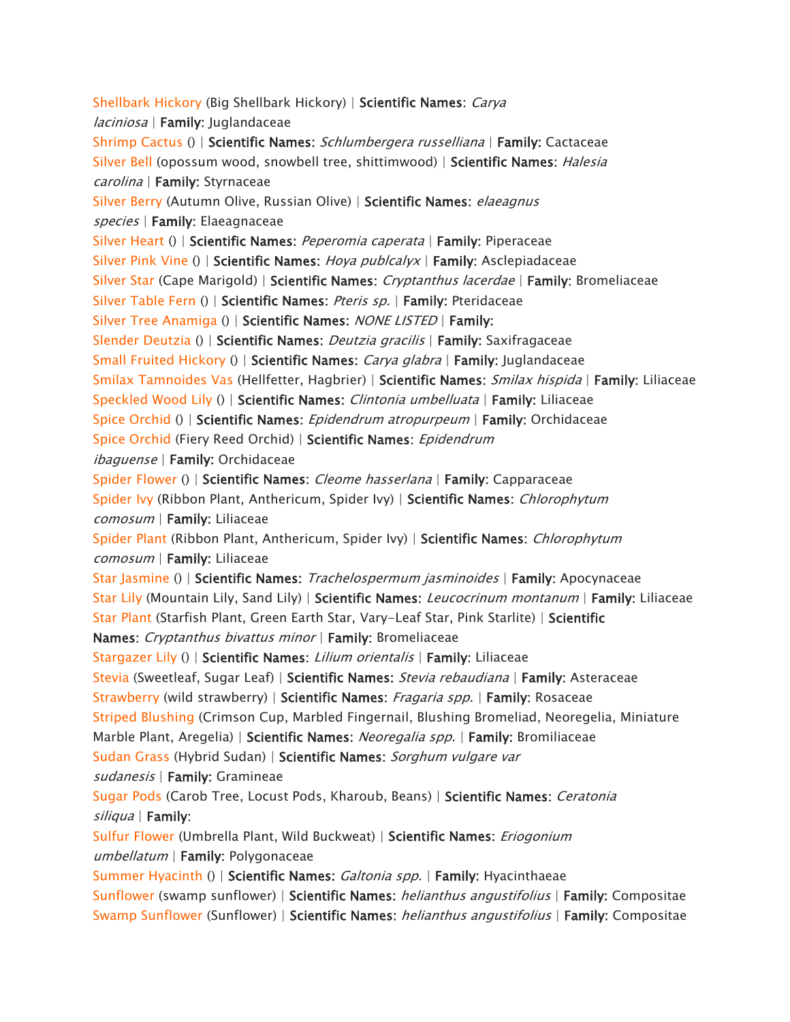*[Shellbark Hickory](https://www.aspca.org/pet-care/animal-poison-control/toxic-and-non-toxic-plants/shellbark-hickory) (Big Shellbark Hickory) | Scientific Names: Carya laciniosa | Family: Juglandaceae [Shrimp Cactus](https://www.aspca.org/pet-care/animal-poison-control/toxic-and-non-toxic-plants/shrimp-cactus) () | Scientific Names: Schlumbergera russelliana | Family: Cactaceae [Silver Bell](https://www.aspca.org/pet-care/animal-poison-control/toxic-and-non-toxic-plants/silver-bell) (opossum wood, snowbell tree, shittimwood) | Scientific Names: Halesia carolina | Family: Styrnaceae [Silver Berry](https://www.aspca.org/pet-care/animal-poison-control/toxic-and-non-toxic-plants/silver-berry) (Autumn Olive, Russian Olive) | Scientific Names: elaeagnus species | Family: Elaeagnaceae [Silver Heart](https://www.aspca.org/pet-care/animal-poison-control/toxic-and-non-toxic-plants/silver-heart) () | Scientific Names: Peperomia caperata | Family: Piperaceae [Silver Pink Vine](https://www.aspca.org/pet-care/animal-poison-control/toxic-and-non-toxic-plants/silver-pink-vine) () | Scientific Names: Hoya publcalyx | Family: Asclepiadaceae [Silver Star](https://www.aspca.org/pet-care/animal-poison-control/toxic-and-non-toxic-plants/silver-star) (Cape Marigold) | Scientific Names: Cryptanthus lacerdae | Family: Bromeliaceae [Silver Table Fern](https://www.aspca.org/pet-care/animal-poison-control/toxic-and-non-toxic-plants/silver-table-fern) () | Scientific Names: Pteris sp. | Family: Pteridaceae [Silver Tree Anamiga](https://www.aspca.org/pet-care/animal-poison-control/toxic-and-non-toxic-plants/silver-tree-anamiga) () | Scientific Names: NONE LISTED | Family: [Slender Deutzia](https://www.aspca.org/pet-care/animal-poison-control/toxic-and-non-toxic-plants/slender-deutzia) () | Scientific Names: Deutzia gracilis | Family: Saxifragaceae [Small Fruited Hickory](https://www.aspca.org/pet-care/animal-poison-control/toxic-and-non-toxic-plants/small-fruited-hickory) () | Scientific Names: Carya glabra | Family: Juglandaceae [Smilax Tamnoides Vas](https://www.aspca.org/pet-care/animal-poison-control/toxic-and-non-toxic-plants/smilax-tamnoides-vas) (Hellfetter, Hagbrier) | Scientific Names: Smilax hispida | Family: Liliaceae [Speckled Wood Lily](https://www.aspca.org/pet-care/animal-poison-control/toxic-and-non-toxic-plants/speckled-wood-lily) () | Scientific Names: Clintonia umbelluata | Family: Liliaceae [Spice Orchid](https://www.aspca.org/pet-care/animal-poison-control/toxic-and-non-toxic-plants/spice-orchid) () | Scientific Names: Epidendrum atropurpeum | Family: Orchidaceae [Spice Orchid](https://www.aspca.org/pet-care/animal-poison-control/toxic-and-non-toxic-plants/spice-orchid-0) (Fiery Reed Orchid) | Scientific Names: Epidendrum ibaguense | Family: Orchidaceae [Spider Flower](https://www.aspca.org/pet-care/animal-poison-control/toxic-and-non-toxic-plants/spider-flower) () | Scientific Names: Cleome hasserlana | Family: Capparaceae [Spider Ivy](https://www.aspca.org/pet-care/animal-poison-control/toxic-and-non-toxic-plants/spider-ivy) (Ribbon Plant, Anthericum, Spider Ivy) | Scientific Names: Chlorophytum comosum | Family: Liliaceae [Spider Plant](https://www.aspca.org/pet-care/animal-poison-control/toxic-and-non-toxic-plants/spider-plant) (Ribbon Plant, Anthericum, Spider Ivy) | Scientific Names: Chlorophytum comosum | Family: Liliaceae [Star Jasmine](https://www.aspca.org/pet-care/animal-poison-control/toxic-and-non-toxic-plants/star-jasmine) () | Scientific Names: Trachelospermum jasminoides | Family: Apocynaceae [Star Lily](https://www.aspca.org/pet-care/animal-poison-control/toxic-and-non-toxic-plants/star-lily) (Mountain Lily, Sand Lily) | Scientific Names: Leucocrinum montanum | Family: Liliaceae [Star Plant](https://www.aspca.org/pet-care/animal-poison-control/toxic-and-non-toxic-plants/star-plant) (Starfish Plant, Green Earth Star, Vary-Leaf Star, Pink Starlite) | Scientific Names: Cryptanthus bivattus minor | Family: Bromeliaceae [Stargazer Lily](https://www.aspca.org/pet-care/animal-poison-control/toxic-and-non-toxic-plants/stargazer-lily) () | Scientific Names: Lilium orientalis | Family: Liliaceae [Stevia](https://www.aspca.org/pet-care/animal-poison-control/toxic-and-non-toxic-plants/stevia) (Sweetleaf, Sugar Leaf) | Scientific Names: Stevia rebaudiana | Family: Asteraceae [Strawberry](https://www.aspca.org/pet-care/animal-poison-control/toxic-and-non-toxic-plants/strawberry) (wild strawberry) | Scientific Names: Fragaria spp. | Family: Rosaceae [Striped Blushing](https://www.aspca.org/pet-care/animal-poison-control/toxic-and-non-toxic-plants/striped-blushing) (Crimson Cup, Marbled Fingernail, Blushing Bromeliad, Neoregelia, Miniature Marble Plant, Aregelia) | Scientific Names: Neoregalia spp. | Family: Bromiliaceae [Sudan Grass](https://www.aspca.org/pet-care/animal-poison-control/toxic-and-non-toxic-plants/sudan-grass) (Hybrid Sudan) | Scientific Names: Sorghum vulgare var sudanesis | Family: Gramineae [Sugar Pods](https://www.aspca.org/pet-care/animal-poison-control/toxic-and-non-toxic-plants/sugar-pods) (Carob Tree, Locust Pods, Kharoub, Beans) | Scientific Names: Ceratonia siliqua | Family: [Sulfur Flower](https://www.aspca.org/pet-care/animal-poison-control/toxic-and-non-toxic-plants/sulfur-flower) (Umbrella Plant, Wild Buckweat) | Scientific Names: Eriogonium umbellatum | Family: Polygonaceae [Summer Hyacinth](https://www.aspca.org/pet-care/animal-poison-control/toxic-and-non-toxic-plants/summer-hyacinth) () | Scientific Names: Galtonia spp. | Family: Hyacinthaeae [Sunflower](https://www.aspca.org/pet-care/animal-poison-control/toxic-and-non-toxic-plants/sunflower) (swamp sunflower) | Scientific Names: helianthus angustifolius | Family: Compositae [Swamp Sunflower](https://www.aspca.org/pet-care/animal-poison-control/toxic-and-non-toxic-plants/swamp-sunflower) (Sunflower) | Scientific Names: helianthus angustifolius | Family: Compositae*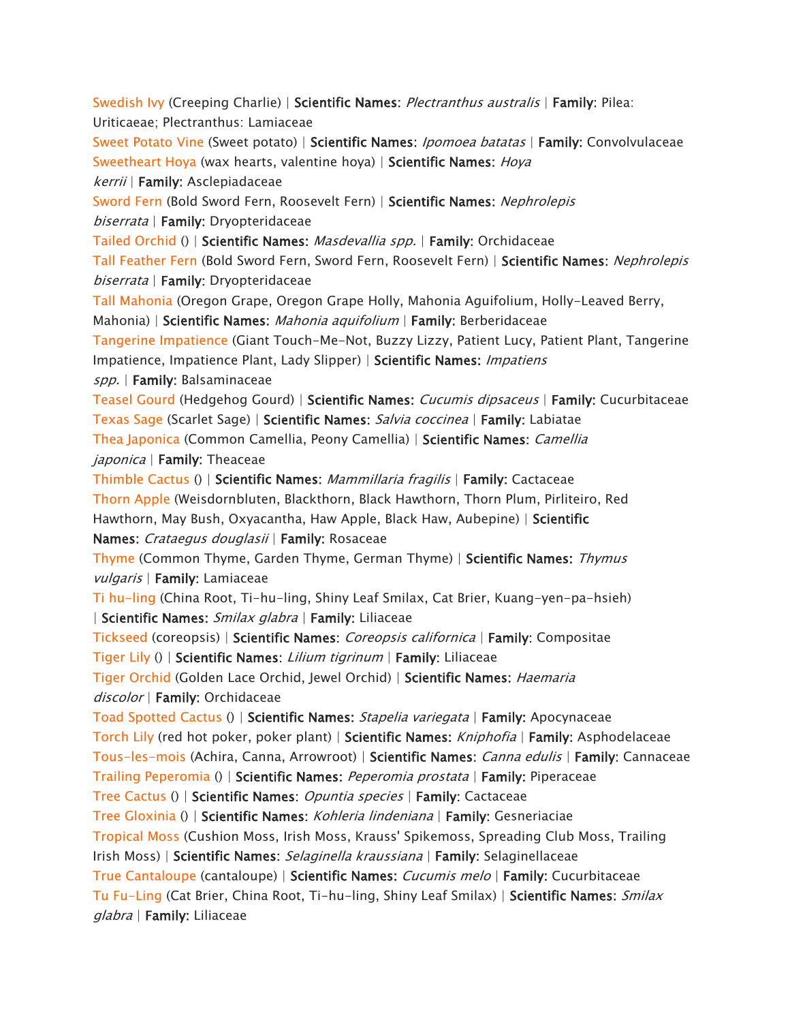*[Swedish Ivy](https://www.aspca.org/pet-care/animal-poison-control/toxic-and-non-toxic-plants/swedish-ivy) (Creeping Charlie) | Scientific Names: Plectranthus australis | Family: Pilea: Uriticaeae; Plectranthus: Lamiaceae [Sweet Potato Vine](https://www.aspca.org/pet-care/animal-poison-control/toxic-and-non-toxic-plants/sweet-potato-vine) (Sweet potato) | Scientific Names: Ipomoea batatas | Family: Convolvulaceae [Sweetheart Hoya](https://www.aspca.org/pet-care/animal-poison-control/toxic-and-non-toxic-plants/sweetheart-hoya) (wax hearts, valentine hoya) | Scientific Names: Hoya kerrii | Family: Asclepiadaceae [Sword Fern](https://www.aspca.org/pet-care/animal-poison-control/toxic-and-non-toxic-plants/sword-fern) (Bold Sword Fern, Roosevelt Fern) | Scientific Names: Nephrolepis biserrata | Family: Dryopteridaceae [Tailed Orchid](https://www.aspca.org/pet-care/animal-poison-control/toxic-and-non-toxic-plants/tailed-orchid) () | Scientific Names: Masdevallia spp. | Family: Orchidaceae [Tall Feather Fern](https://www.aspca.org/pet-care/animal-poison-control/toxic-and-non-toxic-plants/tall-feather-fern) (Bold Sword Fern, Sword Fern, Roosevelt Fern) | Scientific Names: Nephrolepis biserrata | Family: Dryopteridaceae [Tall Mahonia](https://www.aspca.org/pet-care/animal-poison-control/toxic-and-non-toxic-plants/tall-mahonia) (Oregon Grape, Oregon Grape Holly, Mahonia Aguifolium, Holly-Leaved Berry, Mahonia) | Scientific Names: Mahonia aquifolium | Family: Berberidaceae [Tangerine Impatience](https://www.aspca.org/pet-care/animal-poison-control/toxic-and-non-toxic-plants/tangerine-impatience) (Giant Touch-Me-Not, Buzzy Lizzy, Patient Lucy, Patient Plant, Tangerine Impatience, Impatience Plant, Lady Slipper) | Scientific Names: Impatiens spp. | Family: Balsaminaceae [Teasel Gourd](https://www.aspca.org/pet-care/animal-poison-control/toxic-and-non-toxic-plants/teasel-gourd) (Hedgehog Gourd) | Scientific Names: Cucumis dipsaceus | Family: Cucurbitaceae [Texas Sage](https://www.aspca.org/pet-care/animal-poison-control/toxic-and-non-toxic-plants/texas-sage) (Scarlet Sage) | Scientific Names: Salvia coccinea | Family: Labiatae [Thea Japonica](https://www.aspca.org/pet-care/animal-poison-control/toxic-and-non-toxic-plants/thea-japonica) (Common Camellia, Peony Camellia) | Scientific Names: Camellia japonica | Family: Theaceae [Thimble Cactus](https://www.aspca.org/pet-care/animal-poison-control/toxic-and-non-toxic-plants/thimble-cactus) () | Scientific Names: Mammillaria fragilis | Family: Cactaceae [Thorn Apple](https://www.aspca.org/pet-care/animal-poison-control/toxic-and-non-toxic-plants/thorn-apple) (Weisdornbluten, Blackthorn, Black Hawthorn, Thorn Plum, Pirliteiro, Red Hawthorn, May Bush, Oxyacantha, Haw Apple, Black Haw, Aubepine) | Scientific Names: Crataegus douglasii | Family: Rosaceae [Thyme](https://www.aspca.org/pet-care/animal-poison-control/toxic-and-non-toxic-plants/thyme) (Common Thyme, Garden Thyme, German Thyme) | Scientific Names: Thymus vulgaris | Family: Lamiaceae [Ti hu-ling](https://www.aspca.org/pet-care/animal-poison-control/toxic-and-non-toxic-plants/ti-hu-ling) (China Root, Ti-hu-ling, Shiny Leaf Smilax, Cat Brier, Kuang-yen-pa-hsieh) | Scientific Names: Smilax glabra | Family: Liliaceae [Tickseed](https://www.aspca.org/pet-care/animal-poison-control/toxic-and-non-toxic-plants/tickseed) (coreopsis) | Scientific Names: Coreopsis californica | Family: Compositae [Tiger Lily](https://www.aspca.org/pet-care/animal-poison-control/toxic-and-non-toxic-plants/tiger-lily) () | Scientific Names: Lilium tigrinum | Family: Liliaceae [Tiger Orchid](https://www.aspca.org/pet-care/animal-poison-control/toxic-and-non-toxic-plants/tiger-orchid) (Golden Lace Orchid, Jewel Orchid) | Scientific Names: Haemaria discolor | Family: Orchidaceae [Toad Spotted Cactus](https://www.aspca.org/pet-care/animal-poison-control/toxic-and-non-toxic-plants/toad-spotted-cactus) () | Scientific Names: Stapelia variegata | Family: Apocynaceae [Torch Lily](https://www.aspca.org/pet-care/animal-poison-control/toxic-and-non-toxic-plants/torch-lily) (red hot poker, poker plant) | Scientific Names: Kniphofia | Family: Asphodelaceae [Tous-les-mois](https://www.aspca.org/pet-care/animal-poison-control/toxic-and-non-toxic-plants/tous-les-mois) (Achira, Canna, Arrowroot) | Scientific Names: Canna edulis | Family: Cannaceae [Trailing Peperomia](https://www.aspca.org/pet-care/animal-poison-control/toxic-and-non-toxic-plants/trailing-peperomia) () | Scientific Names: Peperomia prostata | Family: Piperaceae [Tree Cactus](https://www.aspca.org/pet-care/animal-poison-control/toxic-and-non-toxic-plants/tree-cactus) () | Scientific Names: Opuntia species | Family: Cactaceae [Tree Gloxinia](https://www.aspca.org/pet-care/animal-poison-control/toxic-and-non-toxic-plants/tree-gloxinia) () | Scientific Names: Kohleria lindeniana | Family: Gesneriaciae [Tropical Moss](https://www.aspca.org/pet-care/animal-poison-control/toxic-and-non-toxic-plants/tropical-moss) (Cushion Moss, Irish Moss, Krauss' Spikemoss, Spreading Club Moss, Trailing Irish Moss) | Scientific Names: Selaginella kraussiana | Family: Selaginellaceae [True Cantaloupe](https://www.aspca.org/pet-care/animal-poison-control/toxic-and-non-toxic-plants/true-cantaloupe) (cantaloupe) | Scientific Names: Cucumis melo | Family: Cucurbitaceae [Tu Fu-Ling](https://www.aspca.org/pet-care/animal-poison-control/toxic-and-non-toxic-plants/tu-fu-ling) (Cat Brier, China Root, Ti-hu-ling, Shiny Leaf Smilax) | Scientific Names: Smilax glabra | Family: Liliaceae*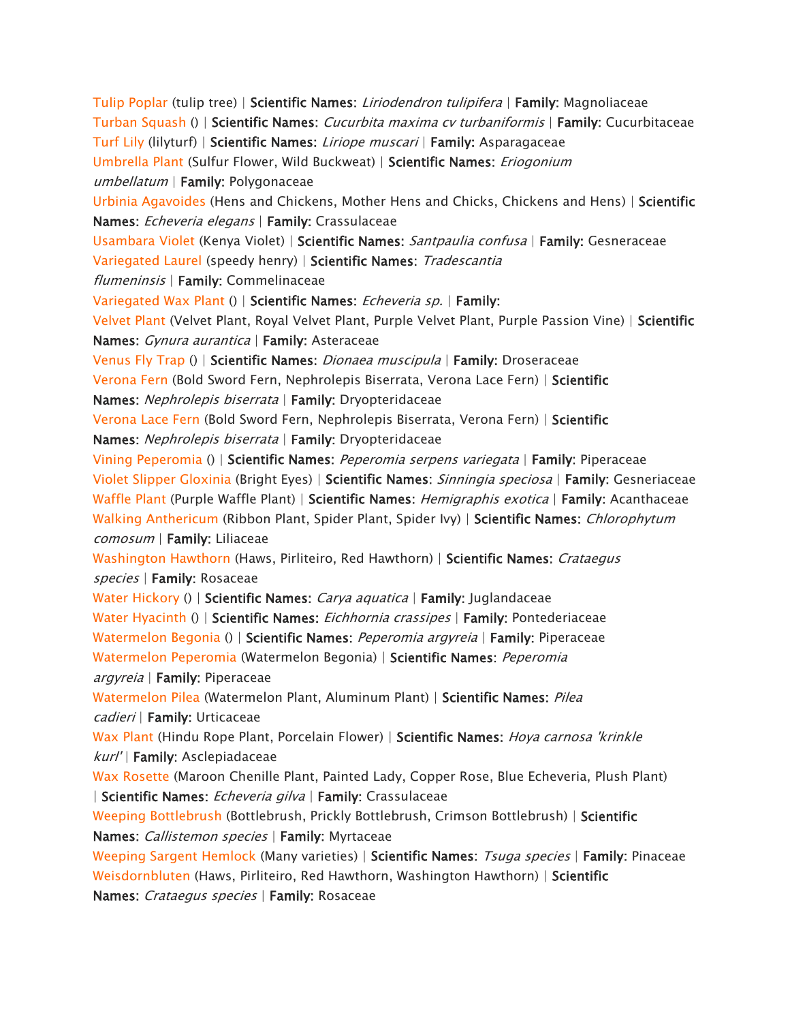*[Tulip Poplar](https://www.aspca.org/pet-care/animal-poison-control/toxic-and-non-toxic-plants/tulip-poplar) (tulip tree) | Scientific Names: Liriodendron tulipifera | Family: Magnoliaceae [Turban Squash](https://www.aspca.org/pet-care/animal-poison-control/toxic-and-non-toxic-plants/turban-squash) () | Scientific Names: Cucurbita maxima cv turbaniformis | Family: Cucurbitaceae [Turf Lily](https://www.aspca.org/pet-care/animal-poison-control/toxic-and-non-toxic-plants/turf-lily) (lilyturf) | Scientific Names: Liriope muscari | Family: Asparagaceae [Umbrella Plant](https://www.aspca.org/pet-care/animal-poison-control/toxic-and-non-toxic-plants/umbrella-plant) (Sulfur Flower, Wild Buckweat) | Scientific Names: Eriogonium umbellatum | Family: Polygonaceae [Urbinia Agavoides](https://www.aspca.org/pet-care/animal-poison-control/toxic-and-non-toxic-plants/urbinia-agavoides) (Hens and Chickens, Mother Hens and Chicks, Chickens and Hens) | Scientific Names: Echeveria elegans | Family: Crassulaceae [Usambara Violet](https://www.aspca.org/pet-care/animal-poison-control/toxic-and-non-toxic-plants/usambara-violet) (Kenya Violet) | Scientific Names: Santpaulia confusa | Family: Gesneraceae [Variegated Laurel](https://www.aspca.org/pet-care/animal-poison-control/toxic-and-non-toxic-plants/variegated-laurel) (speedy henry) | Scientific Names: Tradescantia flumeninsis | Family: Commelinaceae [Variegated Wax Plant](https://www.aspca.org/pet-care/animal-poison-control/toxic-and-non-toxic-plants/variegated-wax-plant) () | Scientific Names: Echeveria sp. | Family: [Velvet Plant](https://www.aspca.org/pet-care/animal-poison-control/toxic-and-non-toxic-plants/velvet-plant) (Velvet Plant, Royal Velvet Plant, Purple Velvet Plant, Purple Passion Vine) | Scientific Names: Gynura aurantica | Family: Asteraceae [Venus Fly Trap](https://www.aspca.org/pet-care/animal-poison-control/toxic-and-non-toxic-plants/venus-fly-trap) () | Scientific Names: Dionaea muscipula | Family: Droseraceae [Verona Fern](https://www.aspca.org/pet-care/animal-poison-control/toxic-and-non-toxic-plants/verona-fern) (Bold Sword Fern, Nephrolepis Biserrata, Verona Lace Fern) | Scientific Names: Nephrolepis biserrata | Family: Dryopteridaceae [Verona Lace Fern](https://www.aspca.org/pet-care/animal-poison-control/toxic-and-non-toxic-plants/verona-lace-fern) (Bold Sword Fern, Nephrolepis Biserrata, Verona Fern) | Scientific Names: Nephrolepis biserrata | Family: Dryopteridaceae [Vining Peperomia](https://www.aspca.org/pet-care/animal-poison-control/toxic-and-non-toxic-plants/vining-peperomia) () | Scientific Names: Peperomia serpens variegata | Family: Piperaceae [Violet Slipper Gloxinia](https://www.aspca.org/pet-care/animal-poison-control/toxic-and-non-toxic-plants/violet-slipper-gloxinia) (Bright Eyes) | Scientific Names: Sinningia speciosa | Family: Gesneriaceae [Waffle Plant](https://www.aspca.org/pet-care/animal-poison-control/toxic-and-non-toxic-plants/waffle-plant) (Purple Waffle Plant) | Scientific Names: Hemigraphis exotica | Family: Acanthaceae [Walking Anthericum](https://www.aspca.org/pet-care/animal-poison-control/toxic-and-non-toxic-plants/walking-anthericum) (Ribbon Plant, Spider Plant, Spider Ivy) | Scientific Names: Chlorophytum comosum | Family: Liliaceae [Washington Hawthorn](https://www.aspca.org/pet-care/animal-poison-control/toxic-and-non-toxic-plants/washington-hawthorn) (Haws, Pirliteiro, Red Hawthorn) | Scientific Names: Crataegus species | Family: Rosaceae [Water Hickory](https://www.aspca.org/pet-care/animal-poison-control/toxic-and-non-toxic-plants/water-hickory) () | Scientific Names: Carya aquatica | Family: Juglandaceae [Water Hyacinth](https://www.aspca.org/pet-care/animal-poison-control/toxic-and-non-toxic-plants/water-hyacinth) () | Scientific Names: Eichhornia crassipes | Family: Pontederiaceae [Watermelon Begonia](https://www.aspca.org/pet-care/animal-poison-control/toxic-and-non-toxic-plants/watermelon-begonia) () | Scientific Names: Peperomia argyreia | Family: Piperaceae [Watermelon Peperomia](https://www.aspca.org/pet-care/animal-poison-control/toxic-and-non-toxic-plants/watermelon-peperomia) (Watermelon Begonia) | Scientific Names: Peperomia argyreia | Family: Piperaceae [Watermelon Pilea](https://www.aspca.org/pet-care/animal-poison-control/toxic-and-non-toxic-plants/watermelon-pilea) (Watermelon Plant, Aluminum Plant) | Scientific Names: Pilea cadieri | Family: Urticaceae [Wax Plant](https://www.aspca.org/pet-care/animal-poison-control/toxic-and-non-toxic-plants/wax-plant) (Hindu Rope Plant, Porcelain Flower) | Scientific Names: Hoya carnosa 'krinkle kurl' | Family: Asclepiadaceae [Wax Rosette](https://www.aspca.org/pet-care/animal-poison-control/toxic-and-non-toxic-plants/wax-rosette) (Maroon Chenille Plant, Painted Lady, Copper Rose, Blue Echeveria, Plush Plant) | Scientific Names: Echeveria gilva | Family: Crassulaceae [Weeping Bottlebrush](https://www.aspca.org/pet-care/animal-poison-control/toxic-and-non-toxic-plants/weeping-bottlebrush) (Bottlebrush, Prickly Bottlebrush, Crimson Bottlebrush) | Scientific Names: Callistemon species | Family: Myrtaceae [Weeping Sargent Hemlock](https://www.aspca.org/pet-care/animal-poison-control/toxic-and-non-toxic-plants/weeping-sargent-hemlock) (Many varieties) | Scientific Names: Tsuga species | Family: Pinaceae [Weisdornbluten](https://www.aspca.org/pet-care/animal-poison-control/toxic-and-non-toxic-plants/weisdornbluten) (Haws, Pirliteiro, Red Hawthorn, Washington Hawthorn) | Scientific Names: Crataegus species | Family: Rosaceae*